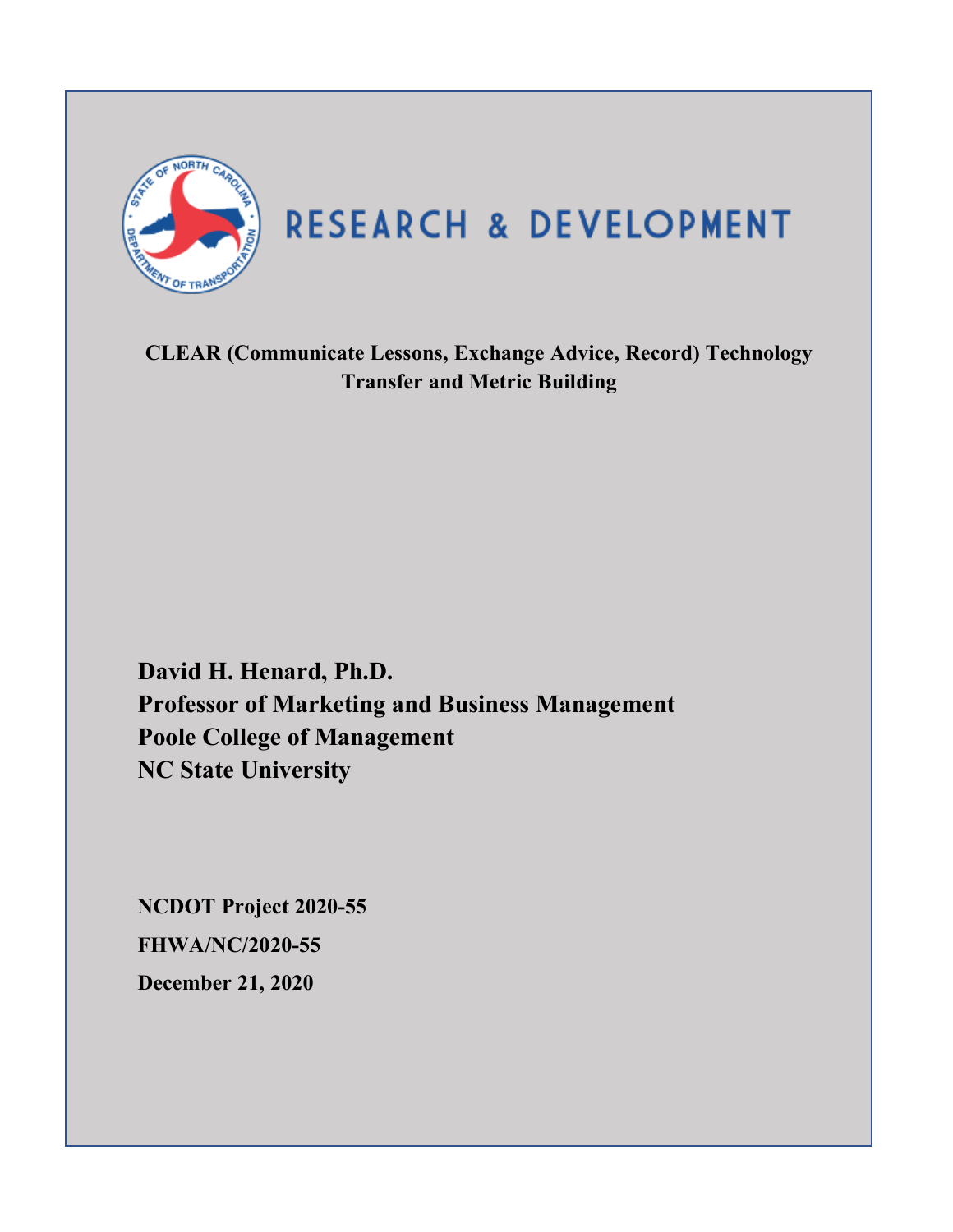

**CLEAR (Communicate Lessons, Exchange Advice, Record) Technology Transfer and Metric Building**

**David H. Henard, Ph.D. Professor of Marketing and Business Management Poole College of Management NC State University**

**NCDOT Project 2020-55 FHWA/NC/2020-55 December 21, 2020**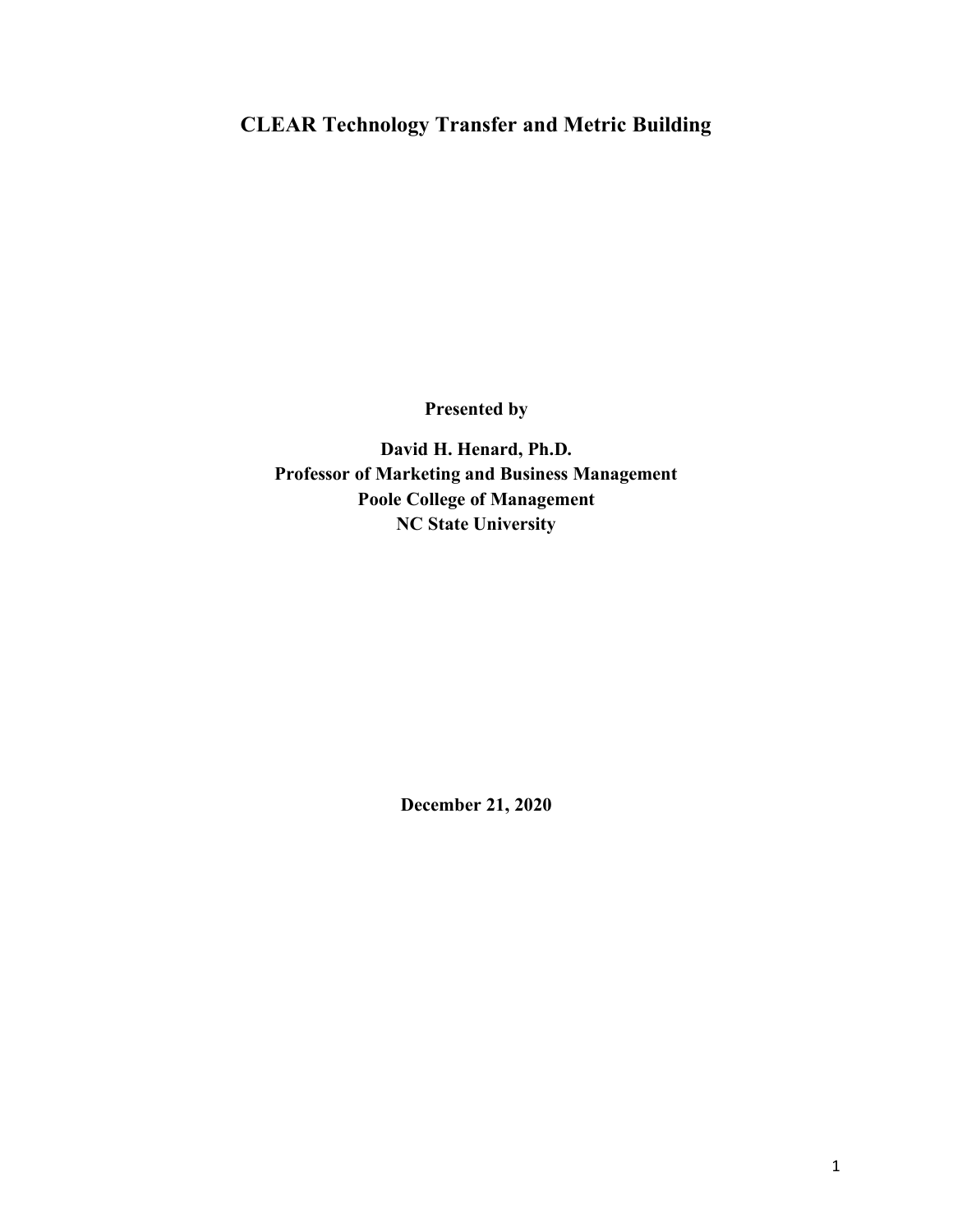# **CLEAR Technology Transfer and Metric Building**

**Presented by**

**David H. Henard, Ph.D. Professor of Marketing and Business Management Poole College of Management NC State University**

**December 21, 2020**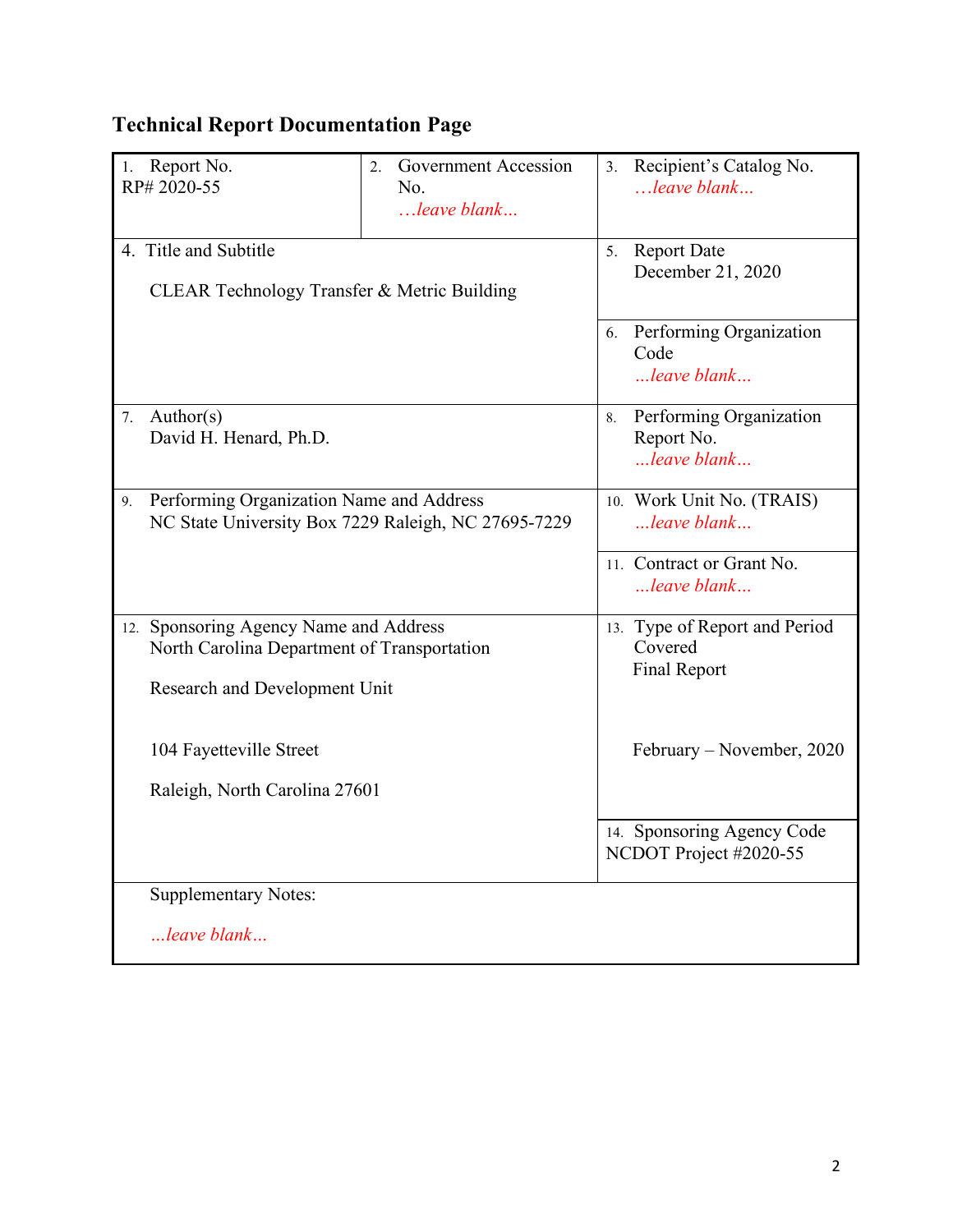# **Technical Report Documentation Page**

| 1. Report No.<br>RP# 2020-55                                                                          | Government Accession<br>2.<br>No.<br>$$ leave blank | 3. Recipient's Catalog No.<br>$$ leave blank               |
|-------------------------------------------------------------------------------------------------------|-----------------------------------------------------|------------------------------------------------------------|
| 4. Title and Subtitle<br>CLEAR Technology Transfer & Metric Building                                  |                                                     | <b>Report Date</b><br>5 <sub>1</sub><br>December 21, 2020  |
|                                                                                                       |                                                     | Performing Organization<br>6.<br>Code<br>leave blank       |
| 7. Author(s)<br>David H. Henard, Ph.D.                                                                |                                                     | Performing Organization<br>8.<br>Report No.<br>leave blank |
| Performing Organization Name and Address<br>9.<br>NC State University Box 7229 Raleigh, NC 27695-7229 |                                                     | 10. Work Unit No. (TRAIS)<br>leave blank                   |
|                                                                                                       |                                                     | 11. Contract or Grant No.<br>leave blank                   |
| 12. Sponsoring Agency Name and Address<br>North Carolina Department of Transportation                 |                                                     | 13. Type of Report and Period<br>Covered<br>Final Report   |
| Research and Development Unit                                                                         |                                                     |                                                            |
| 104 Fayetteville Street                                                                               |                                                     | February – November, 2020                                  |
| Raleigh, North Carolina 27601                                                                         |                                                     |                                                            |
|                                                                                                       |                                                     | 14. Sponsoring Agency Code<br>NCDOT Project #2020-55       |
| <b>Supplementary Notes:</b>                                                                           |                                                     |                                                            |
| leave blank                                                                                           |                                                     |                                                            |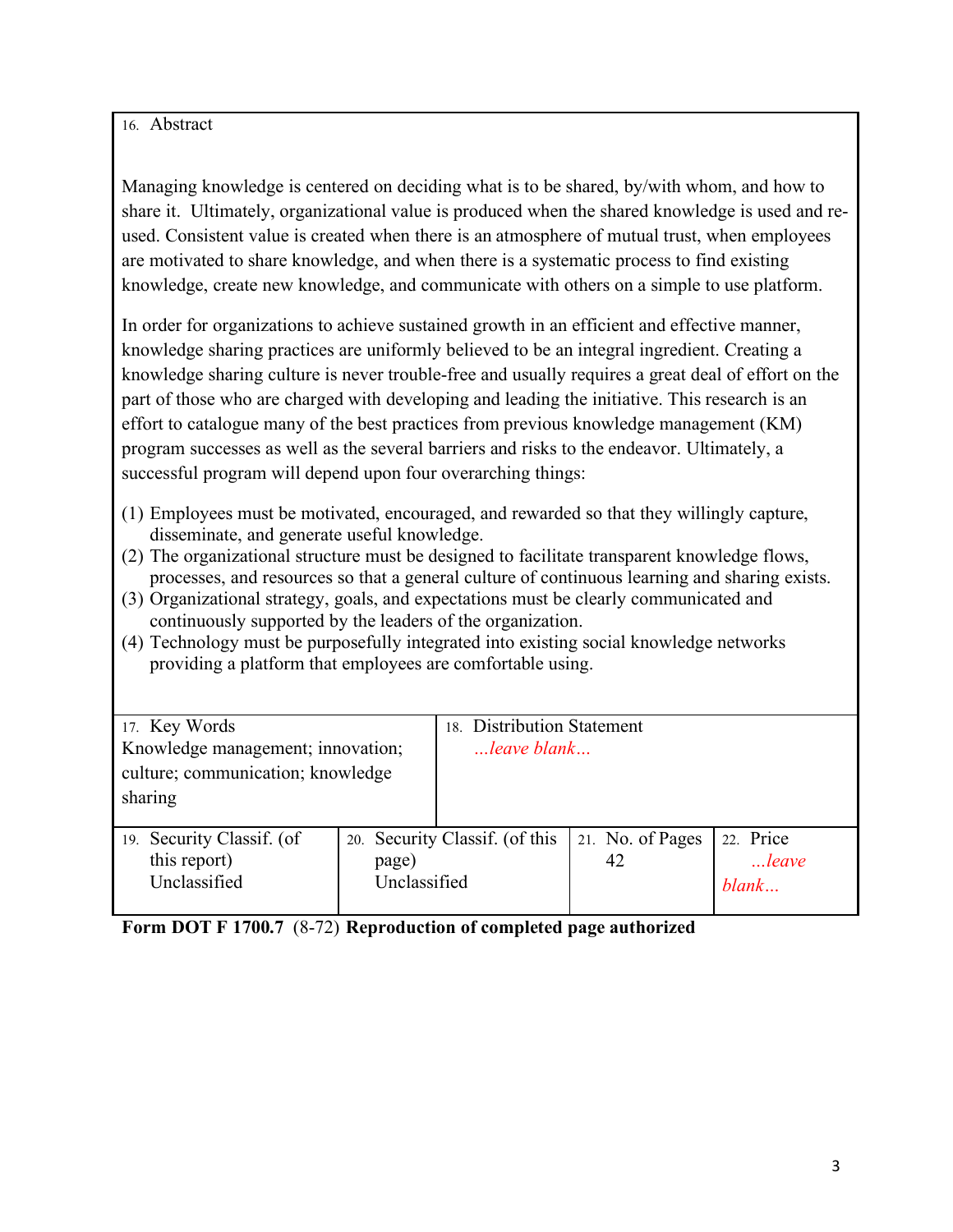#### 16. Abstract

Managing knowledge is centered on deciding what is to be shared, by/with whom, and how to share it. Ultimately, organizational value is produced when the shared knowledge is used and reused. Consistent value is created when there is an atmosphere of mutual trust, when employees are motivated to share knowledge, and when there is a systematic process to find existing knowledge, create new knowledge, and communicate with others on a simple to use platform.

In order for organizations to achieve sustained growth in an efficient and effective manner, knowledge sharing practices are uniformly believed to be an integral ingredient. Creating a knowledge sharing culture is never trouble-free and usually requires a great deal of effort on the part of those who are charged with developing and leading the initiative. This research is an effort to catalogue many of the best practices from previous knowledge management (KM) program successes as well as the several barriers and risks to the endeavor. Ultimately, a successful program will depend upon four overarching things:

- (1) Employees must be motivated, encouraged, and rewarded so that they willingly capture, disseminate, and generate useful knowledge.
- (2) The organizational structure must be designed to facilitate transparent knowledge flows, processes, and resources so that a general culture of continuous learning and sharing exists.
- (3) Organizational strategy, goals, and expectations must be clearly communicated and continuously supported by the leaders of the organization.
- (4) Technology must be purposefully integrated into existing social knowledge networks providing a platform that employees are comfortable using.

| 17. Key Words                                                          |                       | 18. Distribution Statement     |                        |                             |
|------------------------------------------------------------------------|-----------------------|--------------------------------|------------------------|-----------------------------|
| Knowledge management; innovation;<br>culture; communication; knowledge |                       | $m$ leave blank                |                        |                             |
| sharing                                                                |                       |                                |                        |                             |
| 19. Security Classif. (of<br>this report)<br>Unclassified              | page)<br>Unclassified | 20. Security Classif. (of this | 21. No. of Pages<br>42 | 22. Price<br>leave<br>blank |

**Form DOT F 1700.7** (8-72) **Reproduction of completed page authorized**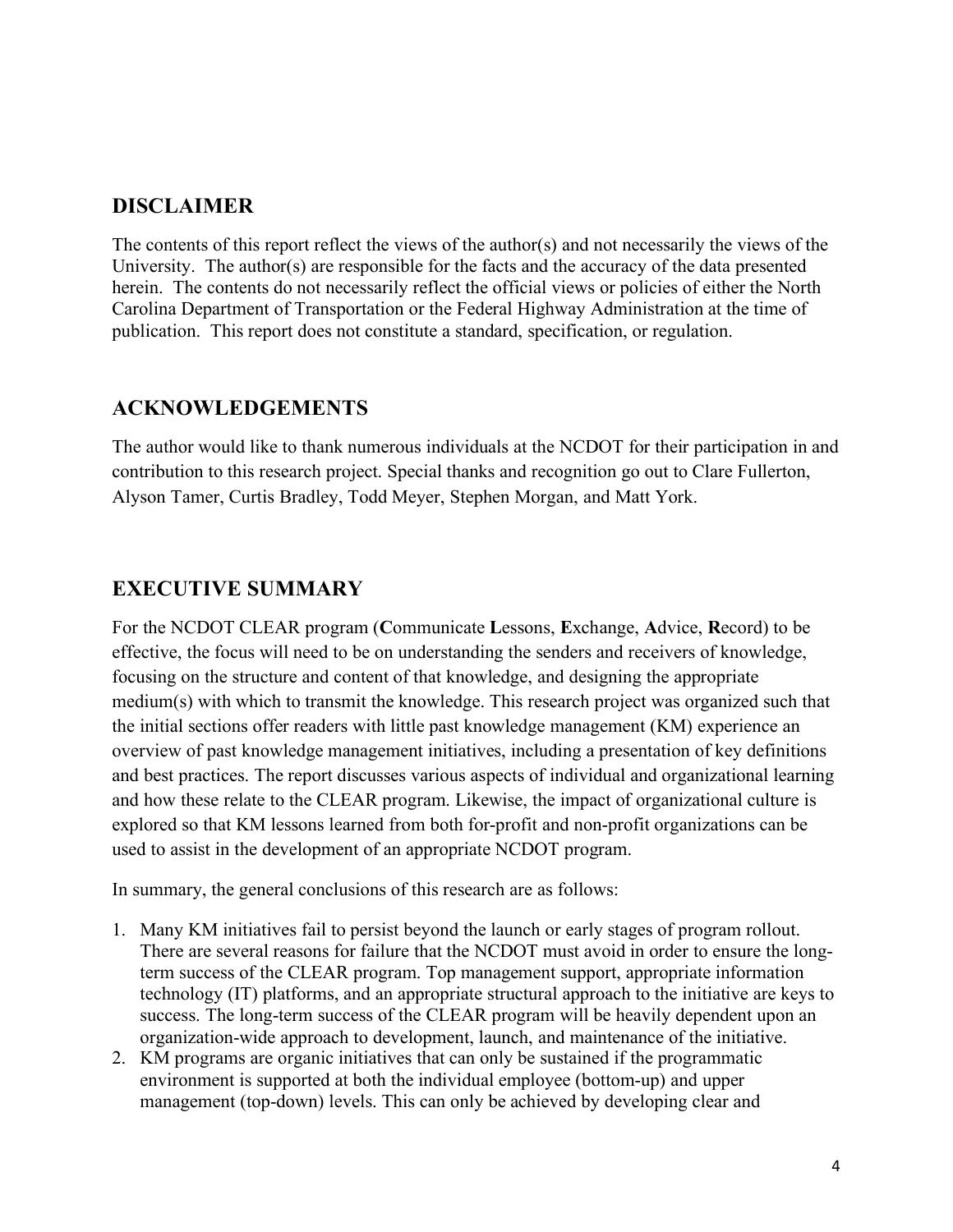## **DISCLAIMER**

The contents of this report reflect the views of the author(s) and not necessarily the views of the University. The author(s) are responsible for the facts and the accuracy of the data presented herein. The contents do not necessarily reflect the official views or policies of either the North Carolina Department of Transportation or the Federal Highway Administration at the time of publication. This report does not constitute a standard, specification, or regulation.

## **ACKNOWLEDGEMENTS**

The author would like to thank numerous individuals at the NCDOT for their participation in and contribution to this research project. Special thanks and recognition go out to Clare Fullerton, Alyson Tamer, Curtis Bradley, Todd Meyer, Stephen Morgan, and Matt York.

# **EXECUTIVE SUMMARY**

For the NCDOT CLEAR program (**C**ommunicate **L**essons, **E**xchange, **A**dvice, **R**ecord) to be effective, the focus will need to be on understanding the senders and receivers of knowledge, focusing on the structure and content of that knowledge, and designing the appropriate medium(s) with which to transmit the knowledge. This research project was organized such that the initial sections offer readers with little past knowledge management (KM) experience an overview of past knowledge management initiatives, including a presentation of key definitions and best practices. The report discusses various aspects of individual and organizational learning and how these relate to the CLEAR program. Likewise, the impact of organizational culture is explored so that KM lessons learned from both for-profit and non-profit organizations can be used to assist in the development of an appropriate NCDOT program.

In summary, the general conclusions of this research are as follows:

- 1. Many KM initiatives fail to persist beyond the launch or early stages of program rollout. There are several reasons for failure that the NCDOT must avoid in order to ensure the longterm success of the CLEAR program. Top management support, appropriate information technology (IT) platforms, and an appropriate structural approach to the initiative are keys to success. The long-term success of the CLEAR program will be heavily dependent upon an organization-wide approach to development, launch, and maintenance of the initiative.
- 2. KM programs are organic initiatives that can only be sustained if the programmatic environment is supported at both the individual employee (bottom-up) and upper management (top-down) levels. This can only be achieved by developing clear and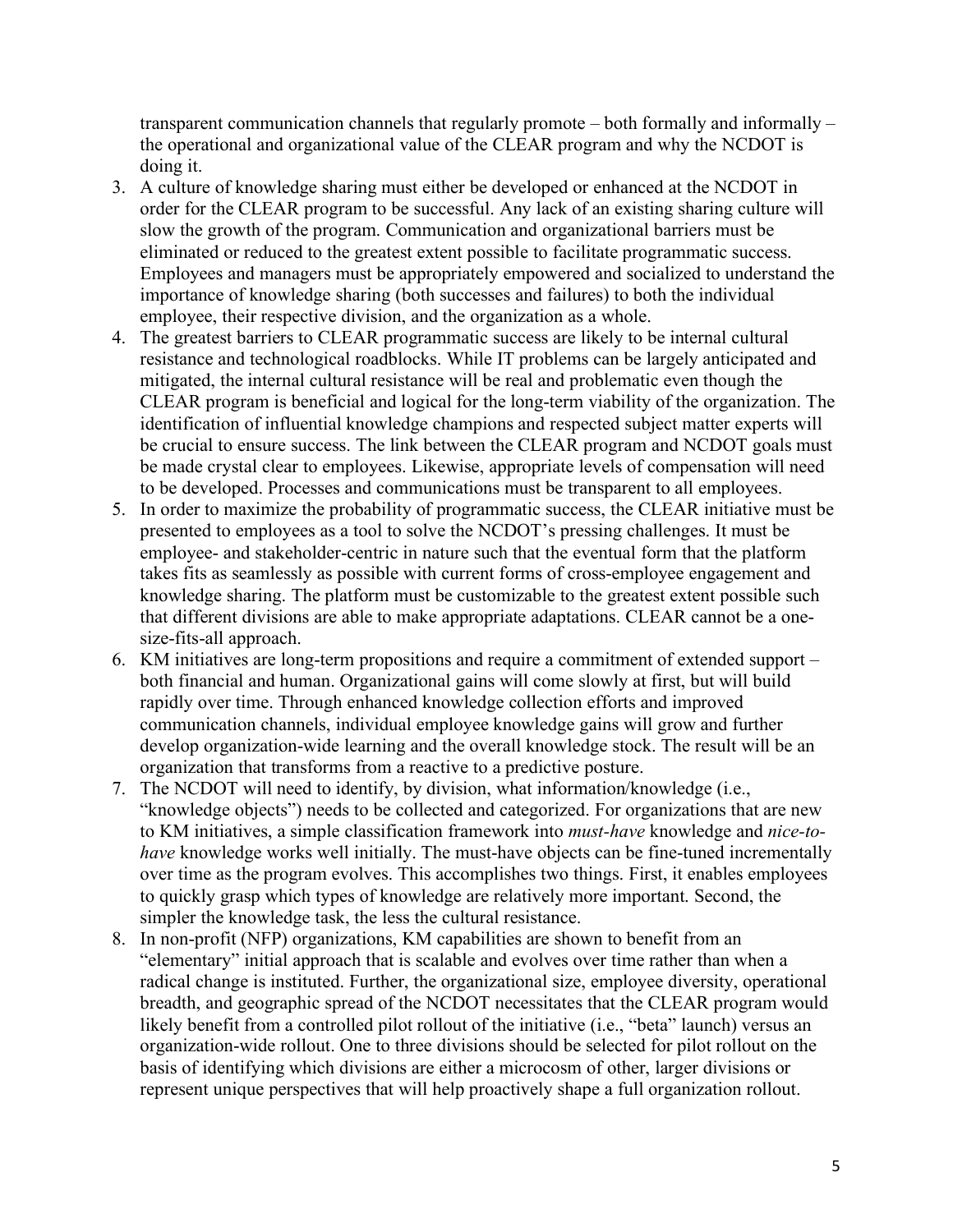transparent communication channels that regularly promote – both formally and informally – the operational and organizational value of the CLEAR program and why the NCDOT is doing it.

- 3. A culture of knowledge sharing must either be developed or enhanced at the NCDOT in order for the CLEAR program to be successful. Any lack of an existing sharing culture will slow the growth of the program. Communication and organizational barriers must be eliminated or reduced to the greatest extent possible to facilitate programmatic success. Employees and managers must be appropriately empowered and socialized to understand the importance of knowledge sharing (both successes and failures) to both the individual employee, their respective division, and the organization as a whole.
- 4. The greatest barriers to CLEAR programmatic success are likely to be internal cultural resistance and technological roadblocks. While IT problems can be largely anticipated and mitigated, the internal cultural resistance will be real and problematic even though the CLEAR program is beneficial and logical for the long-term viability of the organization. The identification of influential knowledge champions and respected subject matter experts will be crucial to ensure success. The link between the CLEAR program and NCDOT goals must be made crystal clear to employees. Likewise, appropriate levels of compensation will need to be developed. Processes and communications must be transparent to all employees.
- 5. In order to maximize the probability of programmatic success, the CLEAR initiative must be presented to employees as a tool to solve the NCDOT's pressing challenges. It must be employee- and stakeholder-centric in nature such that the eventual form that the platform takes fits as seamlessly as possible with current forms of cross-employee engagement and knowledge sharing. The platform must be customizable to the greatest extent possible such that different divisions are able to make appropriate adaptations. CLEAR cannot be a onesize-fits-all approach.
- 6. KM initiatives are long-term propositions and require a commitment of extended support both financial and human. Organizational gains will come slowly at first, but will build rapidly over time. Through enhanced knowledge collection efforts and improved communication channels, individual employee knowledge gains will grow and further develop organization-wide learning and the overall knowledge stock. The result will be an organization that transforms from a reactive to a predictive posture.
- 7. The NCDOT will need to identify, by division, what information/knowledge (i.e., "knowledge objects") needs to be collected and categorized. For organizations that are new to KM initiatives, a simple classification framework into *must-have* knowledge and *nice-tohave* knowledge works well initially. The must-have objects can be fine-tuned incrementally over time as the program evolves. This accomplishes two things. First, it enables employees to quickly grasp which types of knowledge are relatively more important. Second, the simpler the knowledge task, the less the cultural resistance.
- 8. In non-profit (NFP) organizations, KM capabilities are shown to benefit from an "elementary" initial approach that is scalable and evolves over time rather than when a radical change is instituted. Further, the organizational size, employee diversity, operational breadth, and geographic spread of the NCDOT necessitates that the CLEAR program would likely benefit from a controlled pilot rollout of the initiative (i.e., "beta" launch) versus an organization-wide rollout. One to three divisions should be selected for pilot rollout on the basis of identifying which divisions are either a microcosm of other, larger divisions or represent unique perspectives that will help proactively shape a full organization rollout.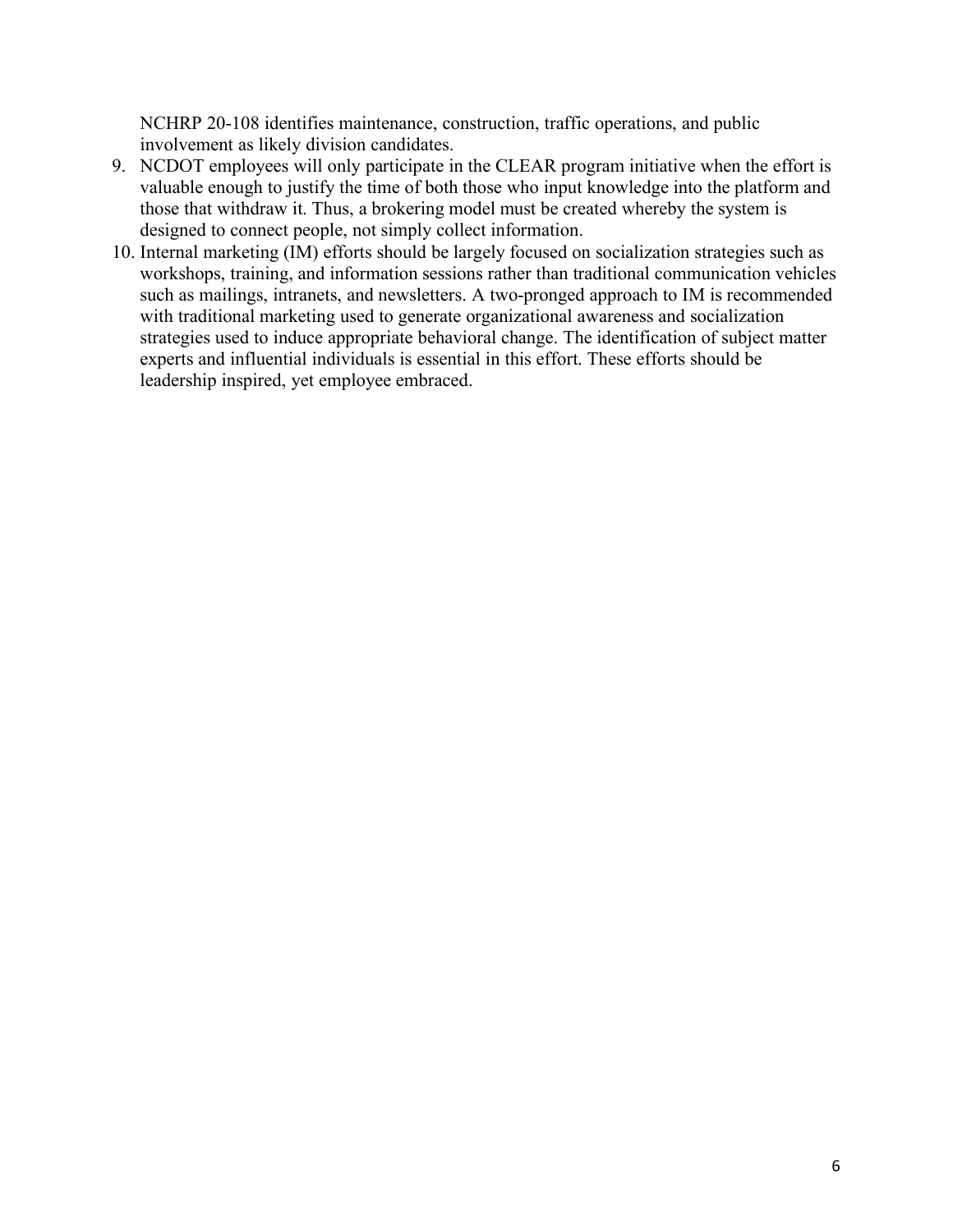NCHRP 20-108 identifies maintenance, construction, traffic operations, and public involvement as likely division candidates.

- 9. NCDOT employees will only participate in the CLEAR program initiative when the effort is valuable enough to justify the time of both those who input knowledge into the platform and those that withdraw it. Thus, a brokering model must be created whereby the system is designed to connect people, not simply collect information.
- 10. Internal marketing (IM) efforts should be largely focused on socialization strategies such as workshops, training, and information sessions rather than traditional communication vehicles such as mailings, intranets, and newsletters. A two-pronged approach to IM is recommended with traditional marketing used to generate organizational awareness and socialization strategies used to induce appropriate behavioral change. The identification of subject matter experts and influential individuals is essential in this effort. These efforts should be leadership inspired, yet employee embraced.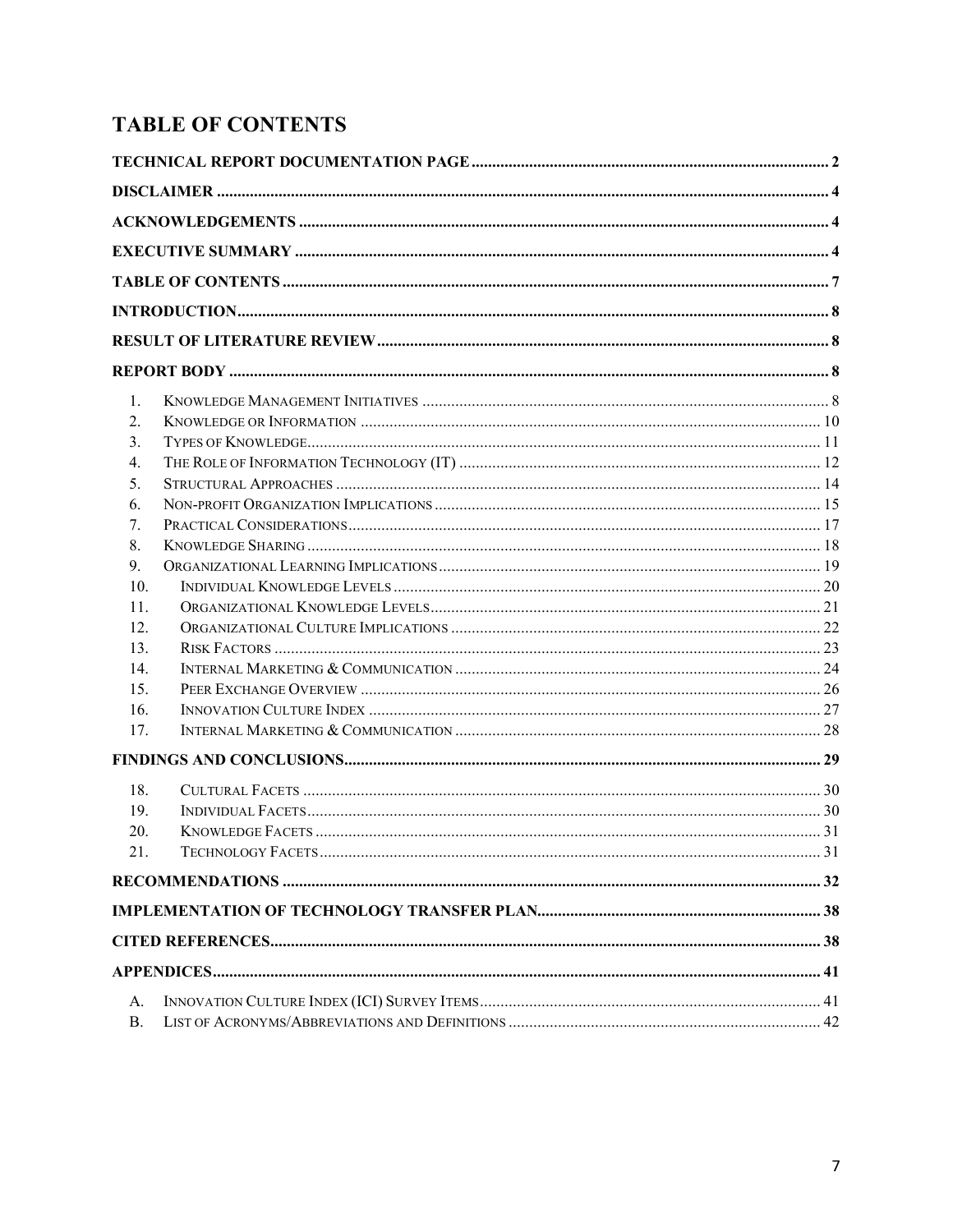# **TABLE OF CONTENTS**

| 1.              |  |
|-----------------|--|
| 2.              |  |
| 3.              |  |
| 4.              |  |
| 5.              |  |
| 6.              |  |
| 7.              |  |
| 8.              |  |
| 9.              |  |
| 10 <sub>l</sub> |  |
| 11.             |  |
| 12.             |  |
| 13.             |  |
| 14.             |  |
| 15 <sub>1</sub> |  |
| 16.             |  |
| 17.             |  |
|                 |  |
| 18.             |  |
| 19.             |  |
| 20.             |  |
| 21.             |  |
|                 |  |
|                 |  |
|                 |  |
|                 |  |
| $A_{\cdot}$     |  |
| <b>B.</b>       |  |
|                 |  |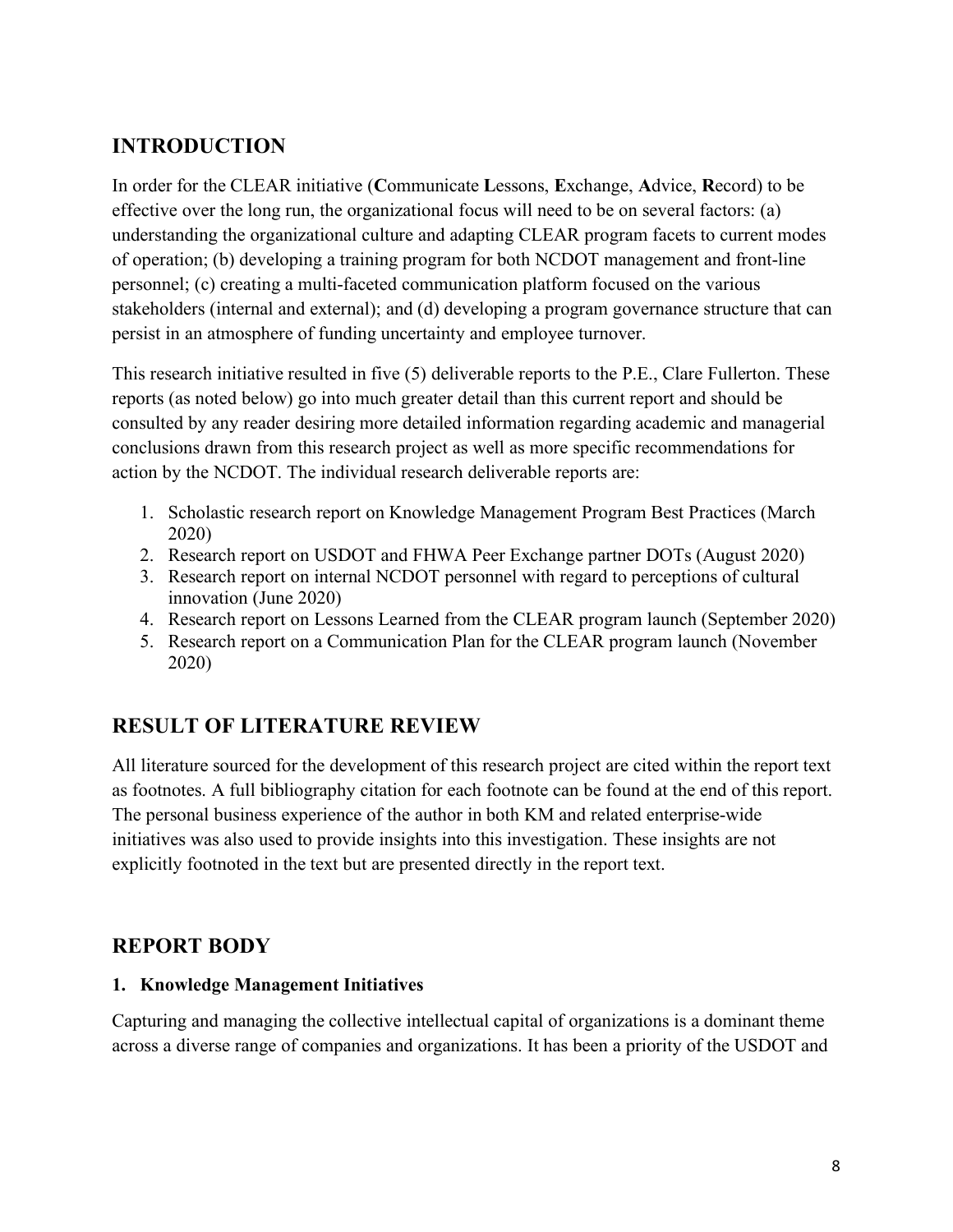# **INTRODUCTION**

In order for the CLEAR initiative (**C**ommunicate **L**essons, **E**xchange, **A**dvice, **R**ecord) to be effective over the long run, the organizational focus will need to be on several factors: (a) understanding the organizational culture and adapting CLEAR program facets to current modes of operation; (b) developing a training program for both NCDOT management and front-line personnel; (c) creating a multi-faceted communication platform focused on the various stakeholders (internal and external); and (d) developing a program governance structure that can persist in an atmosphere of funding uncertainty and employee turnover.

This research initiative resulted in five (5) deliverable reports to the P.E., Clare Fullerton. These reports (as noted below) go into much greater detail than this current report and should be consulted by any reader desiring more detailed information regarding academic and managerial conclusions drawn from this research project as well as more specific recommendations for action by the NCDOT. The individual research deliverable reports are:

- 1. Scholastic research report on Knowledge Management Program Best Practices (March 2020)
- 2. Research report on USDOT and FHWA Peer Exchange partner DOTs (August 2020)
- 3. Research report on internal NCDOT personnel with regard to perceptions of cultural innovation (June 2020)
- 4. Research report on Lessons Learned from the CLEAR program launch (September 2020)
- 5. Research report on a Communication Plan for the CLEAR program launch (November 2020)

# **RESULT OF LITERATURE REVIEW**

All literature sourced for the development of this research project are cited within the report text as footnotes. A full bibliography citation for each footnote can be found at the end of this report. The personal business experience of the author in both KM and related enterprise-wide initiatives was also used to provide insights into this investigation. These insights are not explicitly footnoted in the text but are presented directly in the report text.

## **REPORT BODY**

#### **1. Knowledge Management Initiatives**

Capturing and managing the collective intellectual capital of organizations is a dominant theme across a diverse range of companies and organizations. It has been a priority of the USDOT and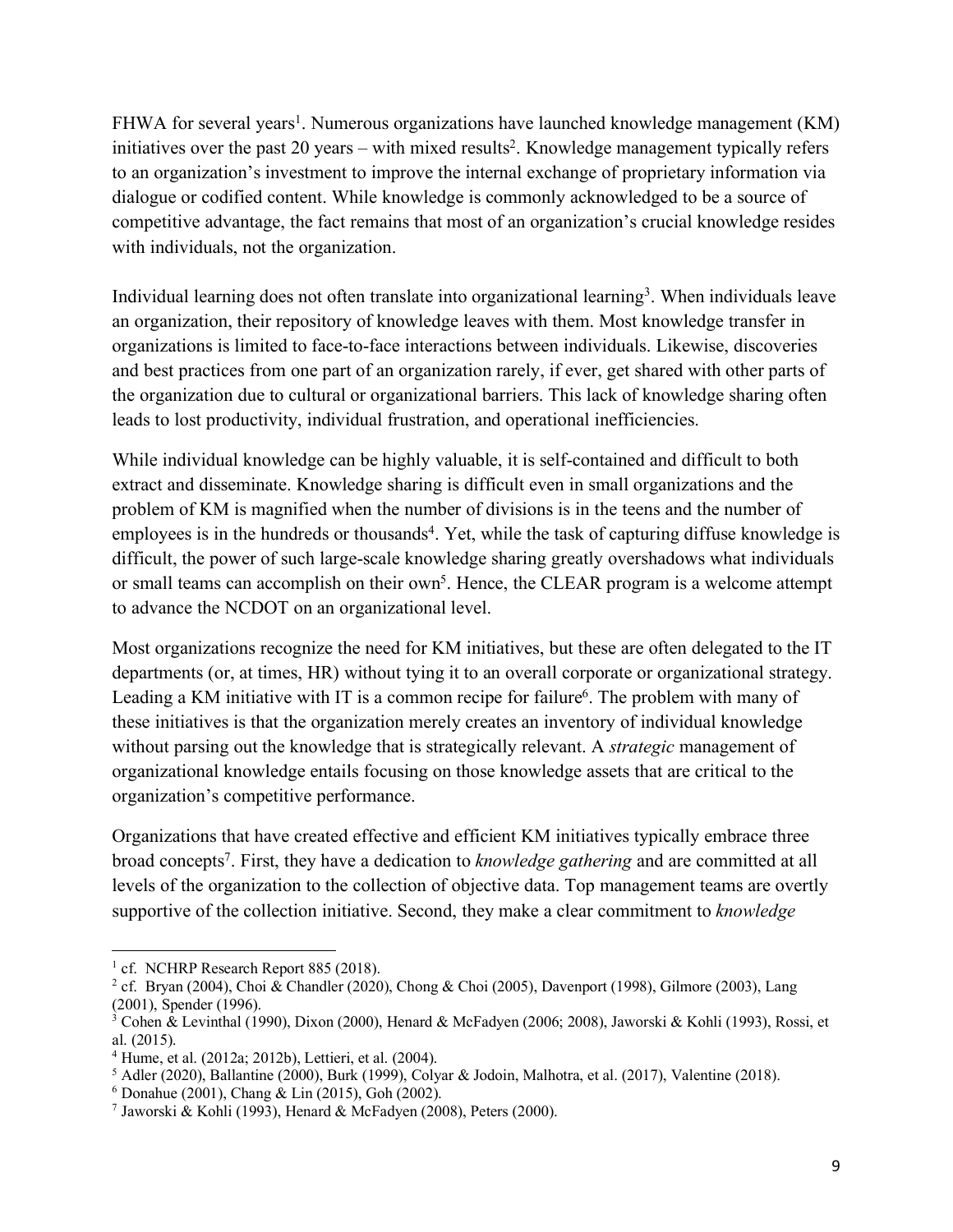FHWA for several years<sup>1</sup>. Numerous organizations have launched knowledge management (KM) initiatives over the past 20 years – with mixed results<sup>2</sup>. Knowledge management typically refers to an organization's investment to improve the internal exchange of proprietary information via dialogue or codified content. While knowledge is commonly acknowledged to be a source of competitive advantage, the fact remains that most of an organization's crucial knowledge resides with individuals, not the organization.

Individual learning does not often translate into organizational learning<sup>3</sup>. When individuals leave an organization, their repository of knowledge leaves with them. Most knowledge transfer in organizations is limited to face-to-face interactions between individuals. Likewise, discoveries and best practices from one part of an organization rarely, if ever, get shared with other parts of the organization due to cultural or organizational barriers. This lack of knowledge sharing often leads to lost productivity, individual frustration, and operational inefficiencies.

While individual knowledge can be highly valuable, it is self-contained and difficult to both extract and disseminate. Knowledge sharing is difficult even in small organizations and the problem of KM is magnified when the number of divisions is in the teens and the number of employees is in the hundreds or thousands<sup>4</sup>. Yet, while the task of capturing diffuse knowledge is difficult, the power of such large-scale knowledge sharing greatly overshadows what individuals or small teams can accomplish on their  $own<sup>5</sup>$ . Hence, the CLEAR program is a welcome attempt to advance the NCDOT on an organizational level.

Most organizations recognize the need for KM initiatives, but these are often delegated to the IT departments (or, at times, HR) without tying it to an overall corporate or organizational strategy. Leading a KM initiative with IT is a common recipe for failure<sup>6</sup>. The problem with many of these initiatives is that the organization merely creates an inventory of individual knowledge without parsing out the knowledge that is strategically relevant. A *strategic* management of organizational knowledge entails focusing on those knowledge assets that are critical to the organization's competitive performance.

Organizations that have created effective and efficient KM initiatives typically embrace three broad concepts7. First, they have a dedication to *knowledge gathering* and are committed at all levels of the organization to the collection of objective data. Top management teams are overtly supportive of the collection initiative. Second, they make a clear commitment to *knowledge* 

 $\overline{a}$ 

 $5$  Adler (2020), Ballantine (2000), Burk (1999), Colyar & Jodoin, Malhotra, et al. (2017), Valentine (2018).

<sup>&</sup>lt;sup>1</sup> cf. NCHRP Research Report 885 (2018).

<sup>&</sup>lt;sup>2</sup> cf. Bryan (2004), Choi & Chandler (2020), Chong & Choi (2005), Davenport (1998), Gilmore (2003), Lang (2001), Spender (1996).

 $3$  Cohen & Levinthal (1990), Dixon (2000), Henard & McFadyen (2006; 2008), Jaworski & Kohli (1993), Rossi, et al. (2015).

 $4$  Hume, et al. (2012a; 2012b), Lettieri, et al. (2004).

 $6$  Donahue (2001), Chang & Lin (2015), Goh (2002).

<sup>7</sup> Jaworski & Kohli (1993), Henard & McFadyen (2008), Peters (2000).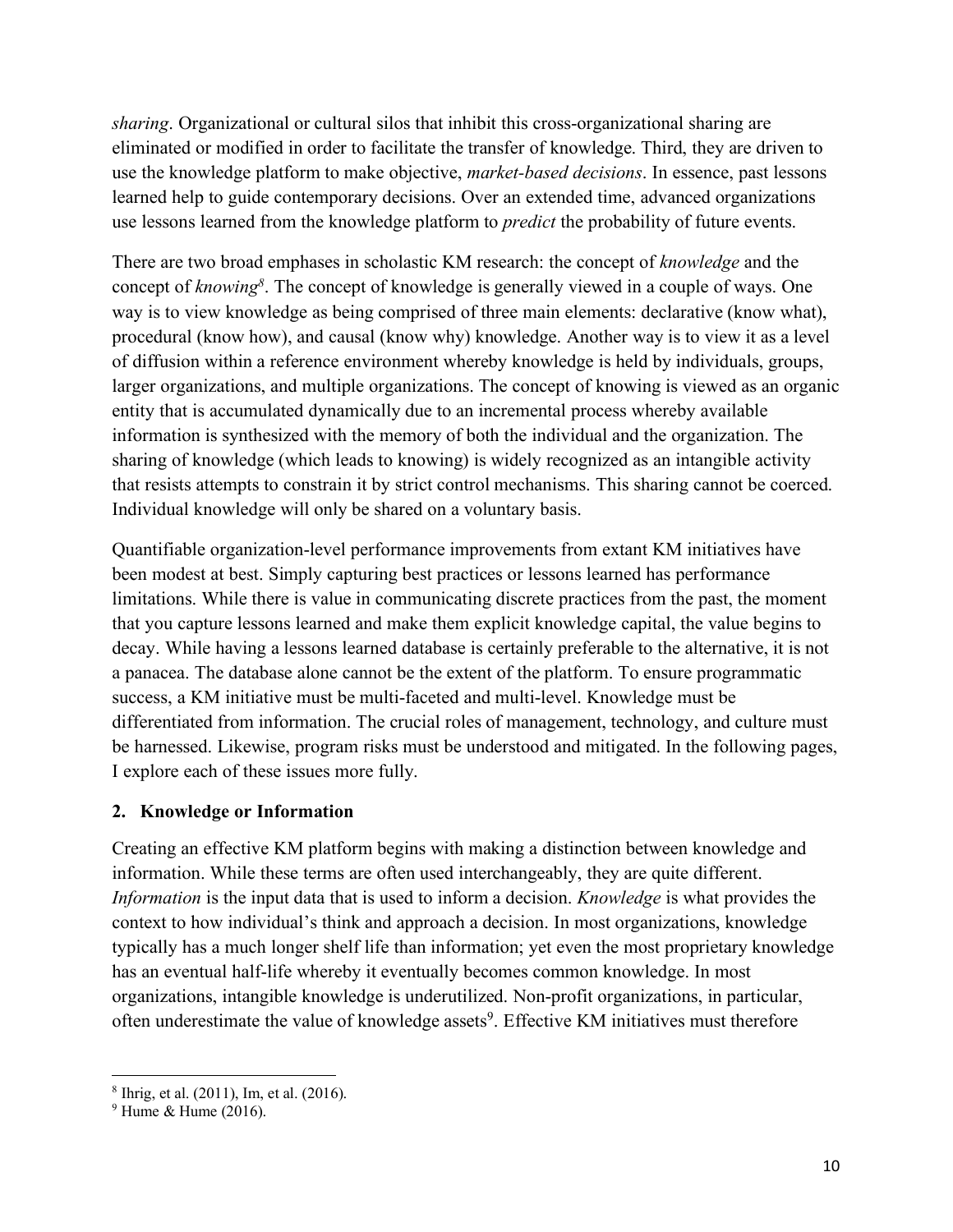*sharing*. Organizational or cultural silos that inhibit this cross-organizational sharing are eliminated or modified in order to facilitate the transfer of knowledge. Third, they are driven to use the knowledge platform to make objective, *market-based decisions*. In essence, past lessons learned help to guide contemporary decisions. Over an extended time, advanced organizations use lessons learned from the knowledge platform to *predict* the probability of future events.

There are two broad emphases in scholastic KM research: the concept of *knowledge* and the concept of *knowing8* . The concept of knowledge is generally viewed in a couple of ways. One way is to view knowledge as being comprised of three main elements: declarative (know what), procedural (know how), and causal (know why) knowledge. Another way is to view it as a level of diffusion within a reference environment whereby knowledge is held by individuals, groups, larger organizations, and multiple organizations. The concept of knowing is viewed as an organic entity that is accumulated dynamically due to an incremental process whereby available information is synthesized with the memory of both the individual and the organization. The sharing of knowledge (which leads to knowing) is widely recognized as an intangible activity that resists attempts to constrain it by strict control mechanisms. This sharing cannot be coerced. Individual knowledge will only be shared on a voluntary basis.

Quantifiable organization-level performance improvements from extant KM initiatives have been modest at best. Simply capturing best practices or lessons learned has performance limitations. While there is value in communicating discrete practices from the past, the moment that you capture lessons learned and make them explicit knowledge capital, the value begins to decay. While having a lessons learned database is certainly preferable to the alternative, it is not a panacea. The database alone cannot be the extent of the platform. To ensure programmatic success, a KM initiative must be multi-faceted and multi-level. Knowledge must be differentiated from information. The crucial roles of management, technology, and culture must be harnessed. Likewise, program risks must be understood and mitigated. In the following pages, I explore each of these issues more fully.

#### **2. Knowledge or Information**

Creating an effective KM platform begins with making a distinction between knowledge and information. While these terms are often used interchangeably, they are quite different. *Information* is the input data that is used to inform a decision. *Knowledge* is what provides the context to how individual's think and approach a decision. In most organizations, knowledge typically has a much longer shelf life than information; yet even the most proprietary knowledge has an eventual half-life whereby it eventually becomes common knowledge. In most organizations, intangible knowledge is underutilized. Non-profit organizations, in particular, often underestimate the value of knowledge assets<sup>9</sup>. Effective KM initiatives must therefore

l

<sup>8</sup> Ihrig, et al. (2011), Im, et al. (2016).

 $9$  Hume & Hume (2016).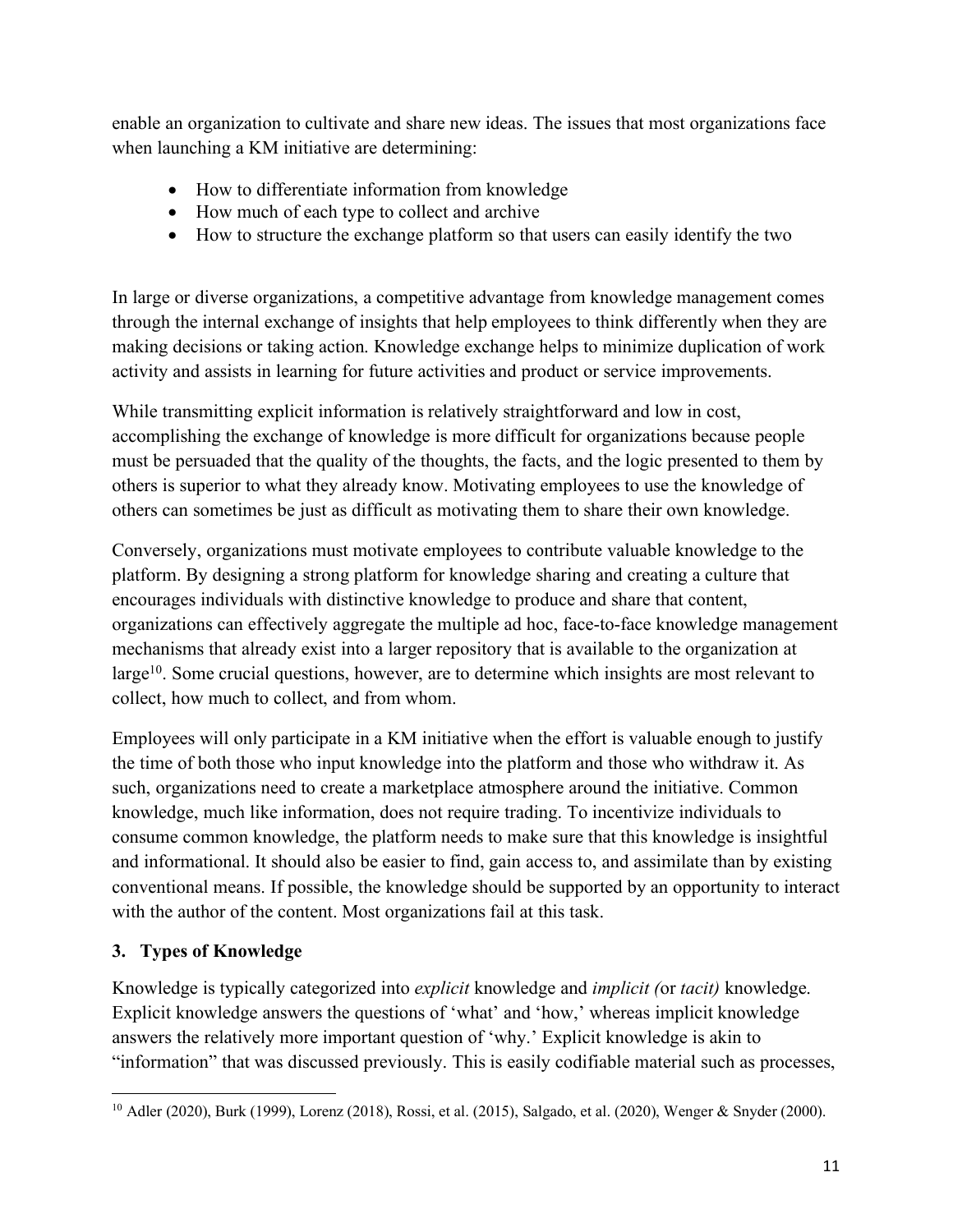enable an organization to cultivate and share new ideas. The issues that most organizations face when launching a KM initiative are determining:

- How to differentiate information from knowledge
- How much of each type to collect and archive
- How to structure the exchange platform so that users can easily identify the two

In large or diverse organizations, a competitive advantage from knowledge management comes through the internal exchange of insights that help employees to think differently when they are making decisions or taking action. Knowledge exchange helps to minimize duplication of work activity and assists in learning for future activities and product or service improvements.

While transmitting explicit information is relatively straightforward and low in cost, accomplishing the exchange of knowledge is more difficult for organizations because people must be persuaded that the quality of the thoughts, the facts, and the logic presented to them by others is superior to what they already know. Motivating employees to use the knowledge of others can sometimes be just as difficult as motivating them to share their own knowledge.

Conversely, organizations must motivate employees to contribute valuable knowledge to the platform. By designing a strong platform for knowledge sharing and creating a culture that encourages individuals with distinctive knowledge to produce and share that content, organizations can effectively aggregate the multiple ad hoc, face-to-face knowledge management mechanisms that already exist into a larger repository that is available to the organization at large<sup>10</sup>. Some crucial questions, however, are to determine which insights are most relevant to collect, how much to collect, and from whom.

Employees will only participate in a KM initiative when the effort is valuable enough to justify the time of both those who input knowledge into the platform and those who withdraw it. As such, organizations need to create a marketplace atmosphere around the initiative. Common knowledge, much like information, does not require trading. To incentivize individuals to consume common knowledge, the platform needs to make sure that this knowledge is insightful and informational. It should also be easier to find, gain access to, and assimilate than by existing conventional means. If possible, the knowledge should be supported by an opportunity to interact with the author of the content. Most organizations fail at this task.

## **3. Types of Knowledge**

Knowledge is typically categorized into *explicit* knowledge and *implicit (*or *tacit)* knowledge. Explicit knowledge answers the questions of 'what' and 'how,' whereas implicit knowledge answers the relatively more important question of 'why.' Explicit knowledge is akin to "information" that was discussed previously. This is easily codifiable material such as processes,

l <sup>10</sup> Adler (2020), Burk (1999), Lorenz (2018), Rossi, et al. (2015), Salgado, et al. (2020), Wenger & Snyder (2000).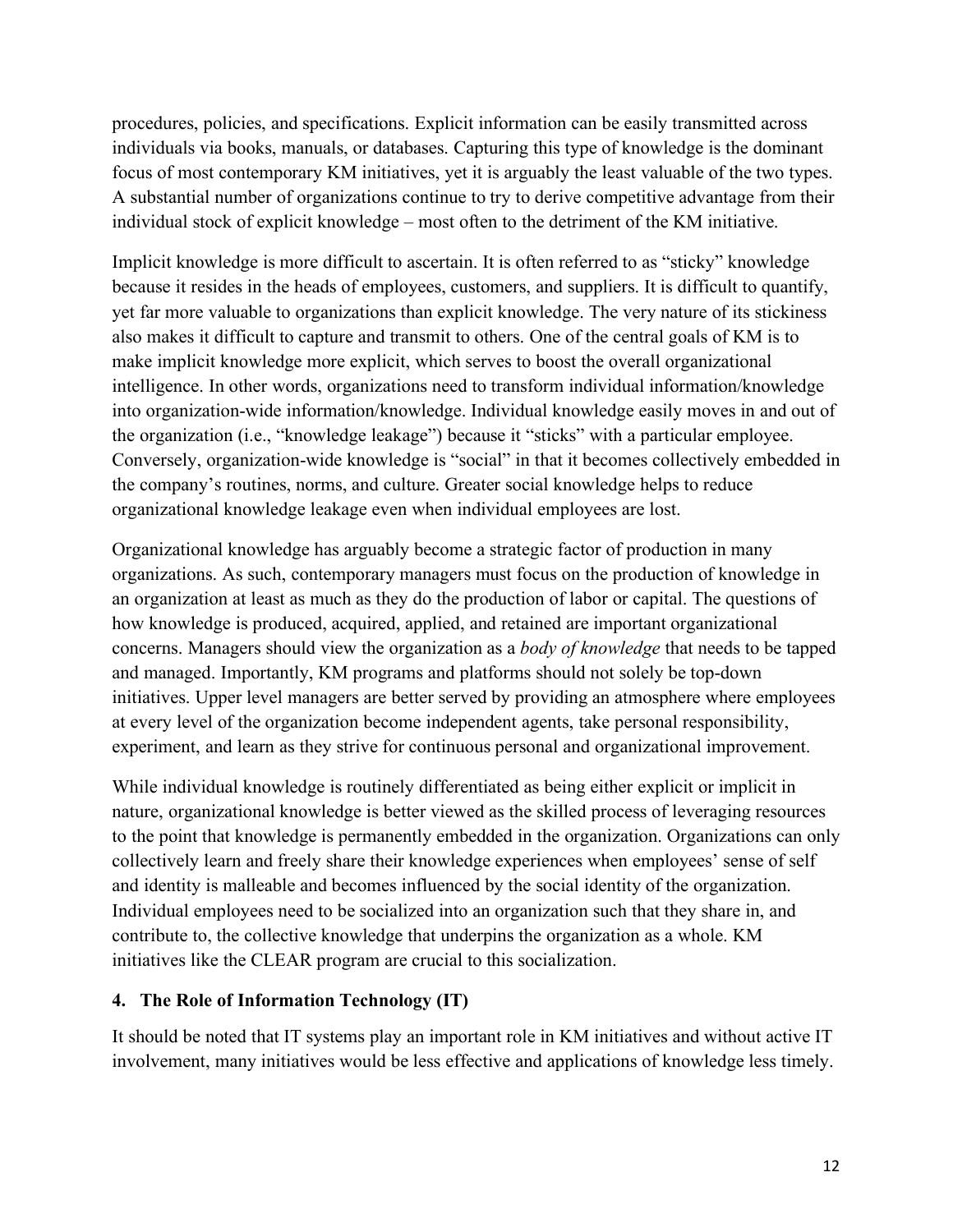procedures, policies, and specifications. Explicit information can be easily transmitted across individuals via books, manuals, or databases. Capturing this type of knowledge is the dominant focus of most contemporary KM initiatives, yet it is arguably the least valuable of the two types. A substantial number of organizations continue to try to derive competitive advantage from their individual stock of explicit knowledge – most often to the detriment of the KM initiative.

Implicit knowledge is more difficult to ascertain. It is often referred to as "sticky" knowledge because it resides in the heads of employees, customers, and suppliers. It is difficult to quantify, yet far more valuable to organizations than explicit knowledge. The very nature of its stickiness also makes it difficult to capture and transmit to others. One of the central goals of KM is to make implicit knowledge more explicit, which serves to boost the overall organizational intelligence. In other words, organizations need to transform individual information/knowledge into organization-wide information/knowledge. Individual knowledge easily moves in and out of the organization (i.e., "knowledge leakage") because it "sticks" with a particular employee. Conversely, organization-wide knowledge is "social" in that it becomes collectively embedded in the company's routines, norms, and culture. Greater social knowledge helps to reduce organizational knowledge leakage even when individual employees are lost.

Organizational knowledge has arguably become a strategic factor of production in many organizations. As such, contemporary managers must focus on the production of knowledge in an organization at least as much as they do the production of labor or capital. The questions of how knowledge is produced, acquired, applied, and retained are important organizational concerns. Managers should view the organization as a *body of knowledge* that needs to be tapped and managed. Importantly, KM programs and platforms should not solely be top-down initiatives. Upper level managers are better served by providing an atmosphere where employees at every level of the organization become independent agents, take personal responsibility, experiment, and learn as they strive for continuous personal and organizational improvement.

While individual knowledge is routinely differentiated as being either explicit or implicit in nature, organizational knowledge is better viewed as the skilled process of leveraging resources to the point that knowledge is permanently embedded in the organization. Organizations can only collectively learn and freely share their knowledge experiences when employees' sense of self and identity is malleable and becomes influenced by the social identity of the organization. Individual employees need to be socialized into an organization such that they share in, and contribute to, the collective knowledge that underpins the organization as a whole. KM initiatives like the CLEAR program are crucial to this socialization.

### **4. The Role of Information Technology (IT)**

It should be noted that IT systems play an important role in KM initiatives and without active IT involvement, many initiatives would be less effective and applications of knowledge less timely.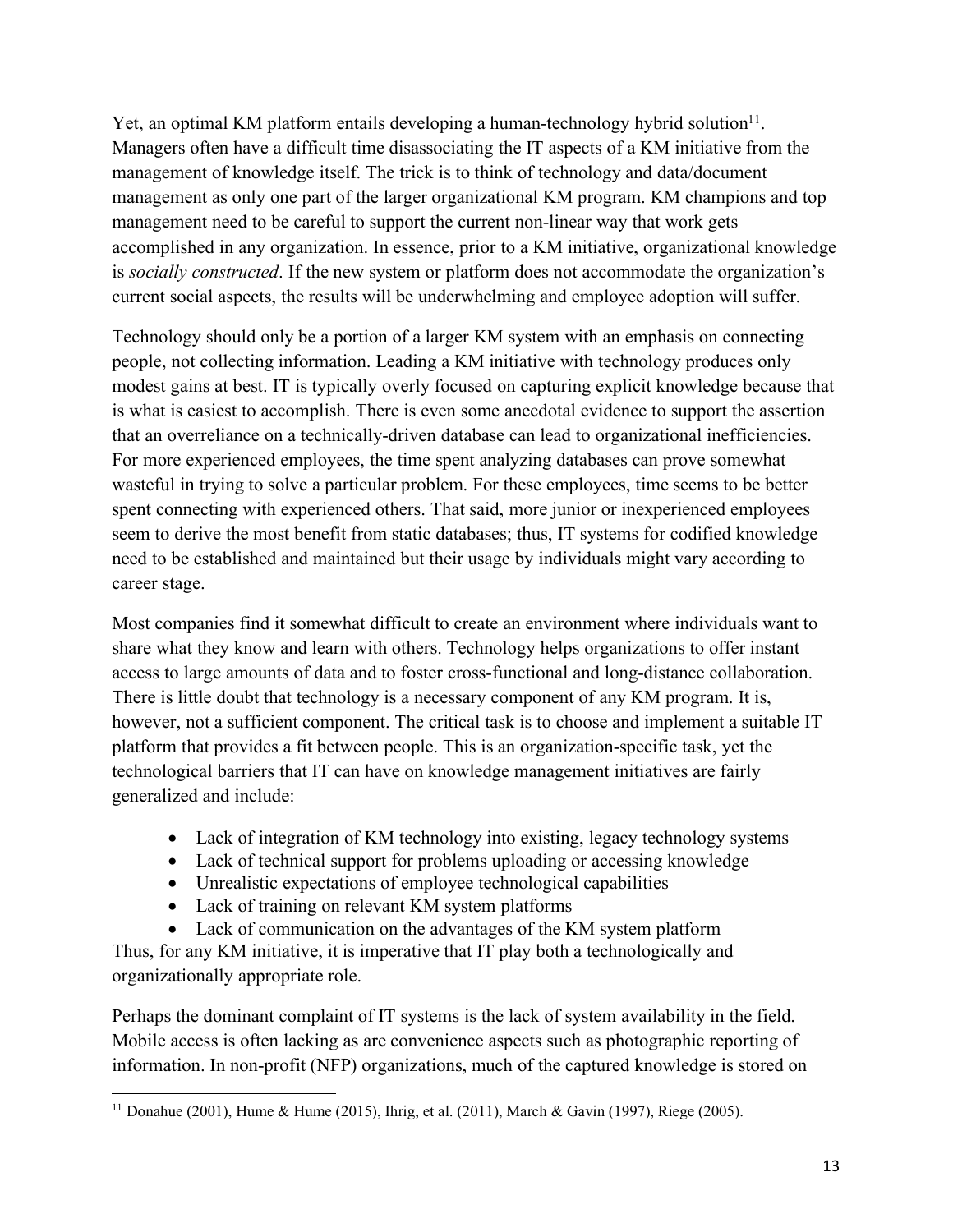Yet, an optimal KM platform entails developing a human-technology hybrid solution $1<sup>1</sup>$ . Managers often have a difficult time disassociating the IT aspects of a KM initiative from the management of knowledge itself. The trick is to think of technology and data/document management as only one part of the larger organizational KM program. KM champions and top management need to be careful to support the current non-linear way that work gets accomplished in any organization. In essence, prior to a KM initiative, organizational knowledge is *socially constructed*. If the new system or platform does not accommodate the organization's current social aspects, the results will be underwhelming and employee adoption will suffer.

Technology should only be a portion of a larger KM system with an emphasis on connecting people, not collecting information. Leading a KM initiative with technology produces only modest gains at best. IT is typically overly focused on capturing explicit knowledge because that is what is easiest to accomplish. There is even some anecdotal evidence to support the assertion that an overreliance on a technically-driven database can lead to organizational inefficiencies. For more experienced employees, the time spent analyzing databases can prove somewhat wasteful in trying to solve a particular problem. For these employees, time seems to be better spent connecting with experienced others. That said, more junior or inexperienced employees seem to derive the most benefit from static databases; thus, IT systems for codified knowledge need to be established and maintained but their usage by individuals might vary according to career stage.

Most companies find it somewhat difficult to create an environment where individuals want to share what they know and learn with others. Technology helps organizations to offer instant access to large amounts of data and to foster cross-functional and long-distance collaboration. There is little doubt that technology is a necessary component of any KM program. It is, however, not a sufficient component. The critical task is to choose and implement a suitable IT platform that provides a fit between people. This is an organization-specific task, yet the technological barriers that IT can have on knowledge management initiatives are fairly generalized and include:

- Lack of integration of KM technology into existing, legacy technology systems
- Lack of technical support for problems uploading or accessing knowledge
- Unrealistic expectations of employee technological capabilities
- Lack of training on relevant KM system platforms

• Lack of communication on the advantages of the KM system platform Thus, for any KM initiative, it is imperative that IT play both a technologically and organizationally appropriate role.

Perhaps the dominant complaint of IT systems is the lack of system availability in the field. Mobile access is often lacking as are convenience aspects such as photographic reporting of information. In non-profit (NFP) organizations, much of the captured knowledge is stored on

l <sup>11</sup> Donahue (2001), Hume & Hume (2015), Ihrig, et al. (2011), March & Gavin (1997), Riege (2005).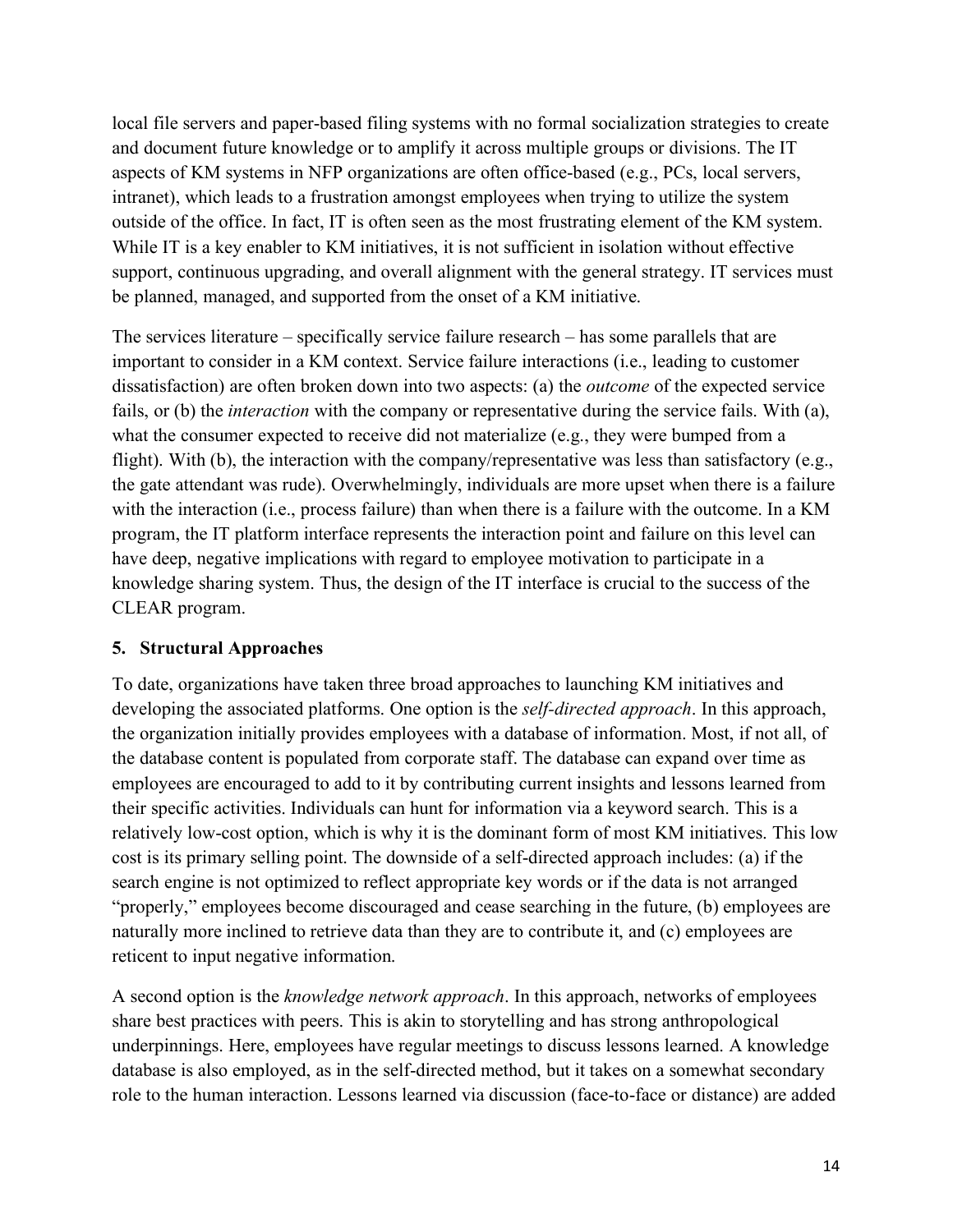local file servers and paper-based filing systems with no formal socialization strategies to create and document future knowledge or to amplify it across multiple groups or divisions. The IT aspects of KM systems in NFP organizations are often office-based (e.g., PCs, local servers, intranet), which leads to a frustration amongst employees when trying to utilize the system outside of the office. In fact, IT is often seen as the most frustrating element of the KM system. While IT is a key enabler to KM initiatives, it is not sufficient in isolation without effective support, continuous upgrading, and overall alignment with the general strategy. IT services must be planned, managed, and supported from the onset of a KM initiative.

The services literature – specifically service failure research – has some parallels that are important to consider in a KM context. Service failure interactions (i.e., leading to customer dissatisfaction) are often broken down into two aspects: (a) the *outcome* of the expected service fails, or (b) the *interaction* with the company or representative during the service fails. With (a), what the consumer expected to receive did not materialize (e.g., they were bumped from a flight). With (b), the interaction with the company/representative was less than satisfactory (e.g., the gate attendant was rude). Overwhelmingly, individuals are more upset when there is a failure with the interaction (i.e., process failure) than when there is a failure with the outcome. In a KM program, the IT platform interface represents the interaction point and failure on this level can have deep, negative implications with regard to employee motivation to participate in a knowledge sharing system. Thus, the design of the IT interface is crucial to the success of the CLEAR program.

### **5. Structural Approaches**

To date, organizations have taken three broad approaches to launching KM initiatives and developing the associated platforms. One option is the *self-directed approach*. In this approach, the organization initially provides employees with a database of information. Most, if not all, of the database content is populated from corporate staff. The database can expand over time as employees are encouraged to add to it by contributing current insights and lessons learned from their specific activities. Individuals can hunt for information via a keyword search. This is a relatively low-cost option, which is why it is the dominant form of most KM initiatives. This low cost is its primary selling point. The downside of a self-directed approach includes: (a) if the search engine is not optimized to reflect appropriate key words or if the data is not arranged "properly," employees become discouraged and cease searching in the future, (b) employees are naturally more inclined to retrieve data than they are to contribute it, and (c) employees are reticent to input negative information.

A second option is the *knowledge network approach*. In this approach, networks of employees share best practices with peers. This is akin to storytelling and has strong anthropological underpinnings. Here, employees have regular meetings to discuss lessons learned. A knowledge database is also employed, as in the self-directed method, but it takes on a somewhat secondary role to the human interaction. Lessons learned via discussion (face-to-face or distance) are added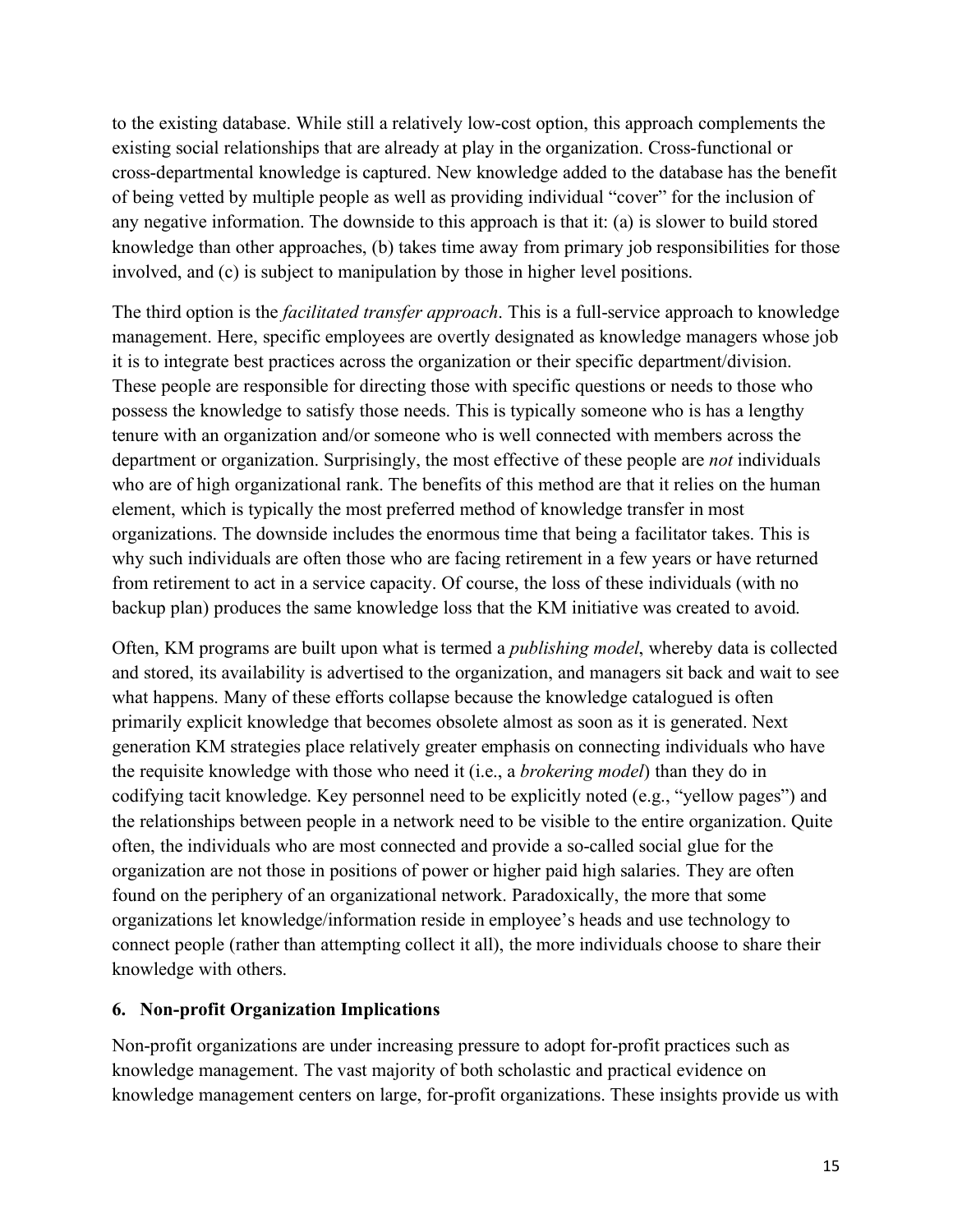to the existing database. While still a relatively low-cost option, this approach complements the existing social relationships that are already at play in the organization. Cross-functional or cross-departmental knowledge is captured. New knowledge added to the database has the benefit of being vetted by multiple people as well as providing individual "cover" for the inclusion of any negative information. The downside to this approach is that it: (a) is slower to build stored knowledge than other approaches, (b) takes time away from primary job responsibilities for those involved, and (c) is subject to manipulation by those in higher level positions.

The third option is the *facilitated transfer approach*. This is a full-service approach to knowledge management. Here, specific employees are overtly designated as knowledge managers whose job it is to integrate best practices across the organization or their specific department/division. These people are responsible for directing those with specific questions or needs to those who possess the knowledge to satisfy those needs. This is typically someone who is has a lengthy tenure with an organization and/or someone who is well connected with members across the department or organization. Surprisingly, the most effective of these people are *not* individuals who are of high organizational rank. The benefits of this method are that it relies on the human element, which is typically the most preferred method of knowledge transfer in most organizations. The downside includes the enormous time that being a facilitator takes. This is why such individuals are often those who are facing retirement in a few years or have returned from retirement to act in a service capacity. Of course, the loss of these individuals (with no backup plan) produces the same knowledge loss that the KM initiative was created to avoid.

Often, KM programs are built upon what is termed a *publishing model*, whereby data is collected and stored, its availability is advertised to the organization, and managers sit back and wait to see what happens. Many of these efforts collapse because the knowledge catalogued is often primarily explicit knowledge that becomes obsolete almost as soon as it is generated. Next generation KM strategies place relatively greater emphasis on connecting individuals who have the requisite knowledge with those who need it (i.e., a *brokering model*) than they do in codifying tacit knowledge. Key personnel need to be explicitly noted (e.g., "yellow pages") and the relationships between people in a network need to be visible to the entire organization. Quite often, the individuals who are most connected and provide a so-called social glue for the organization are not those in positions of power or higher paid high salaries. They are often found on the periphery of an organizational network. Paradoxically, the more that some organizations let knowledge/information reside in employee's heads and use technology to connect people (rather than attempting collect it all), the more individuals choose to share their knowledge with others.

#### **6. Non-profit Organization Implications**

Non-profit organizations are under increasing pressure to adopt for-profit practices such as knowledge management. The vast majority of both scholastic and practical evidence on knowledge management centers on large, for-profit organizations. These insights provide us with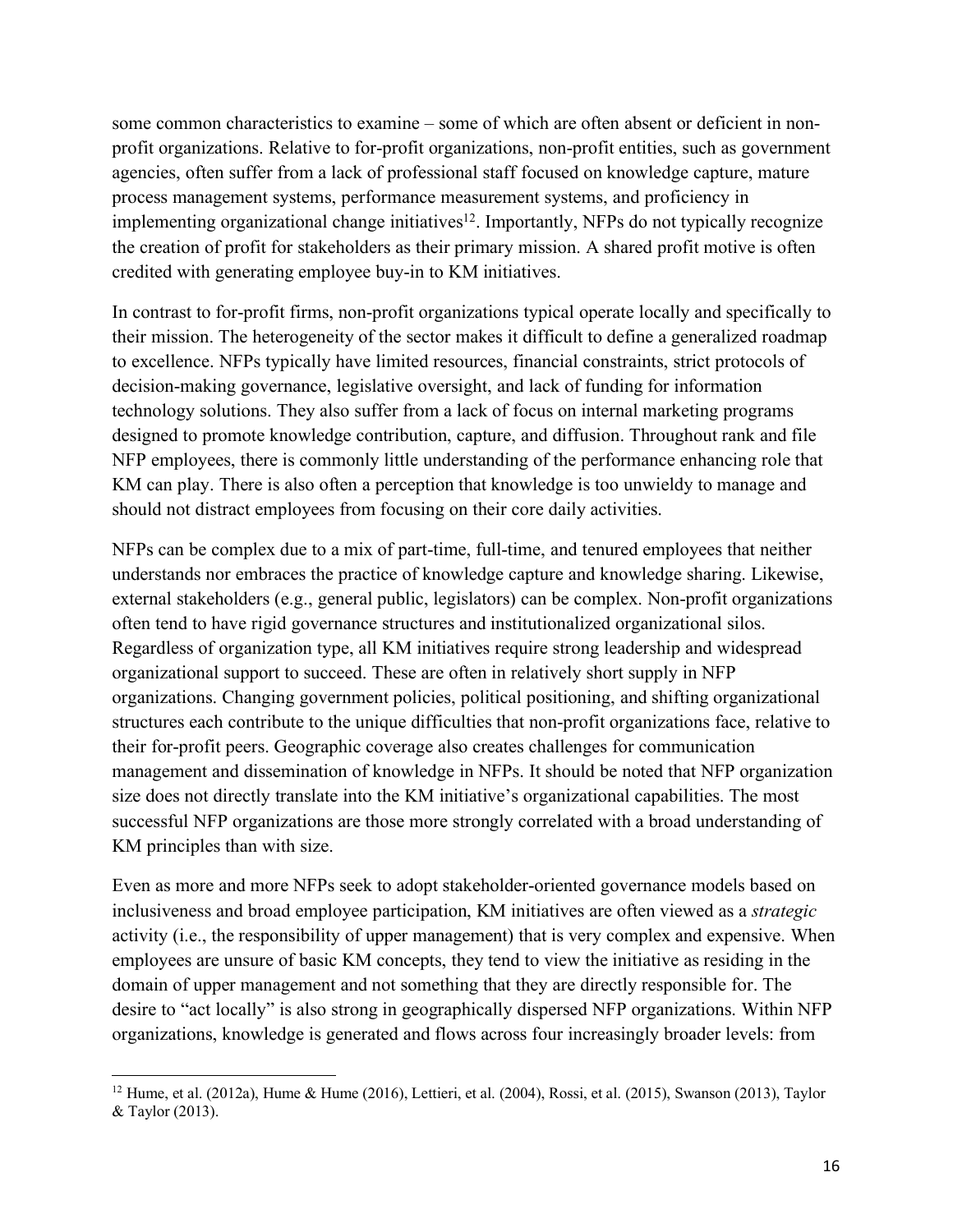some common characteristics to examine – some of which are often absent or deficient in nonprofit organizations. Relative to for-profit organizations, non-profit entities, such as government agencies, often suffer from a lack of professional staff focused on knowledge capture, mature process management systems, performance measurement systems, and proficiency in implementing organizational change initiatives<sup>12</sup>. Importantly, NFPs do not typically recognize the creation of profit for stakeholders as their primary mission. A shared profit motive is often credited with generating employee buy-in to KM initiatives.

In contrast to for-profit firms, non-profit organizations typical operate locally and specifically to their mission. The heterogeneity of the sector makes it difficult to define a generalized roadmap to excellence. NFPs typically have limited resources, financial constraints, strict protocols of decision-making governance, legislative oversight, and lack of funding for information technology solutions. They also suffer from a lack of focus on internal marketing programs designed to promote knowledge contribution, capture, and diffusion. Throughout rank and file NFP employees, there is commonly little understanding of the performance enhancing role that KM can play. There is also often a perception that knowledge is too unwieldy to manage and should not distract employees from focusing on their core daily activities.

NFPs can be complex due to a mix of part-time, full-time, and tenured employees that neither understands nor embraces the practice of knowledge capture and knowledge sharing. Likewise, external stakeholders (e.g., general public, legislators) can be complex. Non-profit organizations often tend to have rigid governance structures and institutionalized organizational silos. Regardless of organization type, all KM initiatives require strong leadership and widespread organizational support to succeed. These are often in relatively short supply in NFP organizations. Changing government policies, political positioning, and shifting organizational structures each contribute to the unique difficulties that non-profit organizations face, relative to their for-profit peers. Geographic coverage also creates challenges for communication management and dissemination of knowledge in NFPs. It should be noted that NFP organization size does not directly translate into the KM initiative's organizational capabilities. The most successful NFP organizations are those more strongly correlated with a broad understanding of KM principles than with size.

Even as more and more NFPs seek to adopt stakeholder-oriented governance models based on inclusiveness and broad employee participation, KM initiatives are often viewed as a *strategic* activity (i.e., the responsibility of upper management) that is very complex and expensive. When employees are unsure of basic KM concepts, they tend to view the initiative as residing in the domain of upper management and not something that they are directly responsible for. The desire to "act locally" is also strong in geographically dispersed NFP organizations. Within NFP organizations, knowledge is generated and flows across four increasingly broader levels: from

l

 $12$  Hume, et al. (2012a), Hume & Hume (2016), Lettieri, et al. (2004), Rossi, et al. (2015), Swanson (2013), Taylor & Taylor (2013).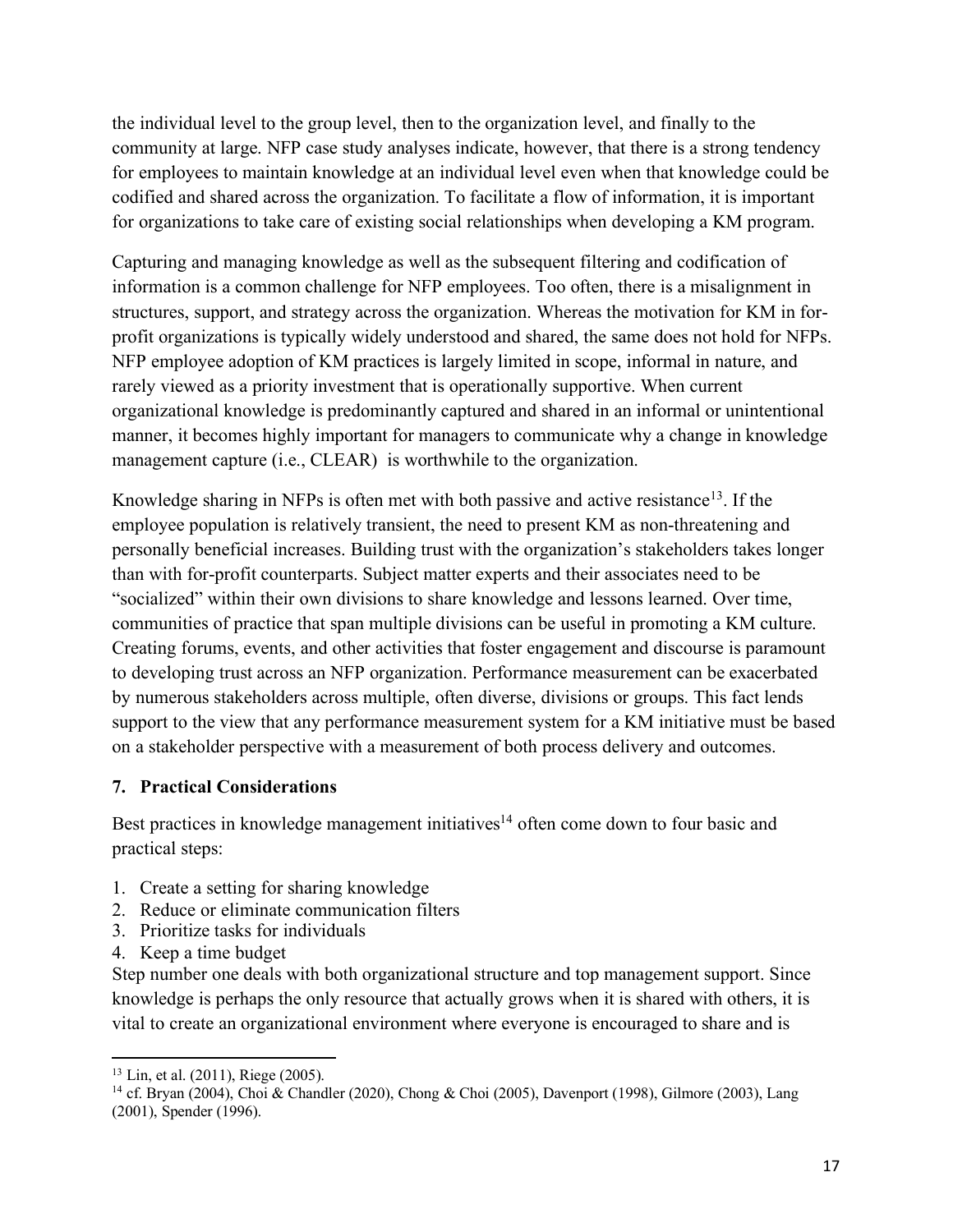the individual level to the group level, then to the organization level, and finally to the community at large. NFP case study analyses indicate, however, that there is a strong tendency for employees to maintain knowledge at an individual level even when that knowledge could be codified and shared across the organization. To facilitate a flow of information, it is important for organizations to take care of existing social relationships when developing a KM program.

Capturing and managing knowledge as well as the subsequent filtering and codification of information is a common challenge for NFP employees. Too often, there is a misalignment in structures, support, and strategy across the organization. Whereas the motivation for KM in forprofit organizations is typically widely understood and shared, the same does not hold for NFPs. NFP employee adoption of KM practices is largely limited in scope, informal in nature, and rarely viewed as a priority investment that is operationally supportive. When current organizational knowledge is predominantly captured and shared in an informal or unintentional manner, it becomes highly important for managers to communicate why a change in knowledge management capture (i.e., CLEAR) is worthwhile to the organization.

Knowledge sharing in NFPs is often met with both passive and active resistance<sup>13</sup>. If the employee population is relatively transient, the need to present KM as non-threatening and personally beneficial increases. Building trust with the organization's stakeholders takes longer than with for-profit counterparts. Subject matter experts and their associates need to be "socialized" within their own divisions to share knowledge and lessons learned. Over time, communities of practice that span multiple divisions can be useful in promoting a KM culture. Creating forums, events, and other activities that foster engagement and discourse is paramount to developing trust across an NFP organization. Performance measurement can be exacerbated by numerous stakeholders across multiple, often diverse, divisions or groups. This fact lends support to the view that any performance measurement system for a KM initiative must be based on a stakeholder perspective with a measurement of both process delivery and outcomes.

#### **7. Practical Considerations**

Best practices in knowledge management initiatives<sup>14</sup> often come down to four basic and practical steps:

- 1. Create a setting for sharing knowledge
- 2. Reduce or eliminate communication filters
- 3. Prioritize tasks for individuals
- 4. Keep a time budget

 $\overline{\phantom{a}}$ 

Step number one deals with both organizational structure and top management support. Since knowledge is perhaps the only resource that actually grows when it is shared with others, it is vital to create an organizational environment where everyone is encouraged to share and is

<sup>13</sup> Lin, et al. (2011), Riege (2005).

<sup>14</sup> cf. Bryan (2004), Choi & Chandler (2020), Chong & Choi (2005), Davenport (1998), Gilmore (2003), Lang (2001), Spender (1996).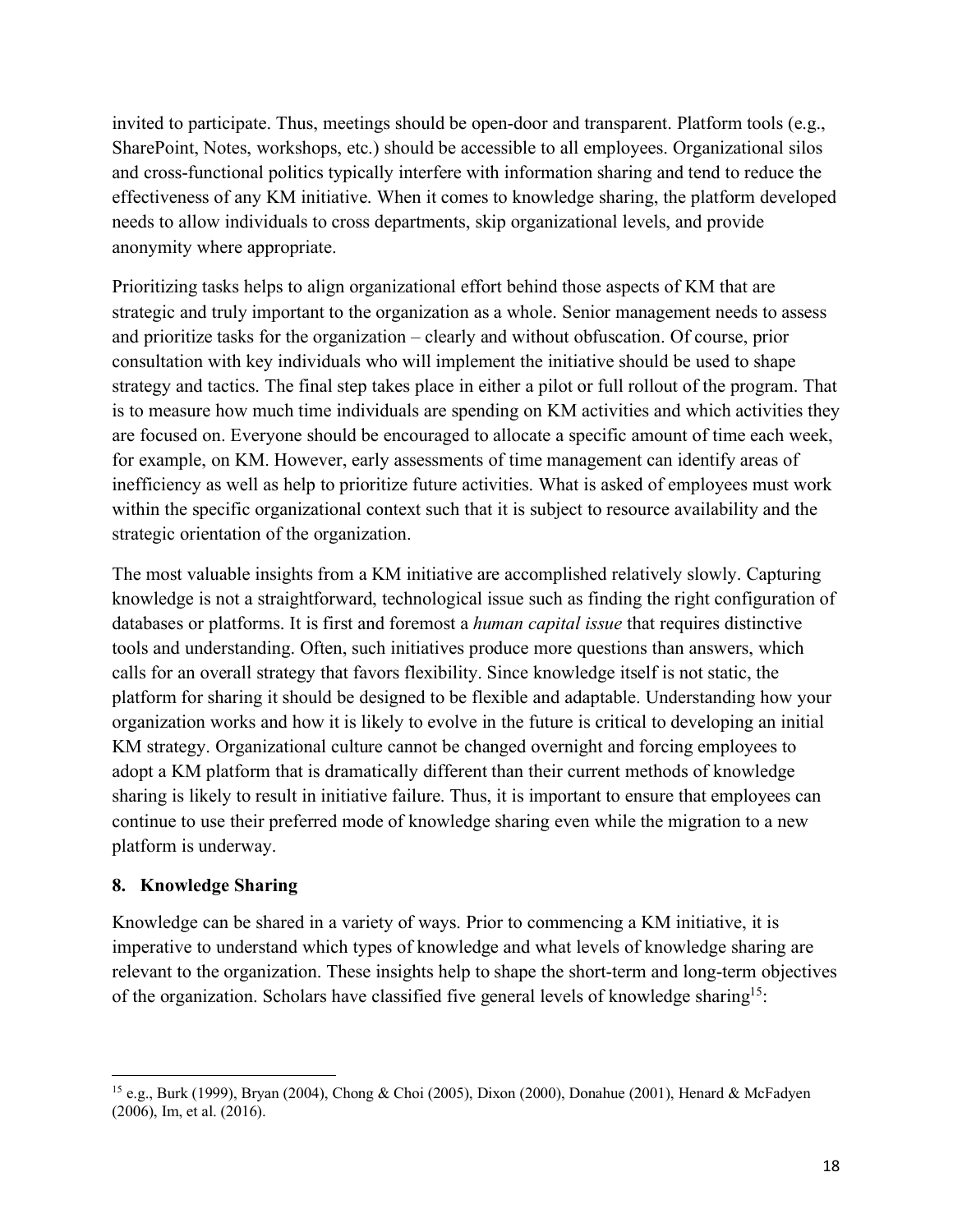invited to participate. Thus, meetings should be open-door and transparent. Platform tools (e.g., SharePoint, Notes, workshops, etc.) should be accessible to all employees. Organizational silos and cross-functional politics typically interfere with information sharing and tend to reduce the effectiveness of any KM initiative. When it comes to knowledge sharing, the platform developed needs to allow individuals to cross departments, skip organizational levels, and provide anonymity where appropriate.

Prioritizing tasks helps to align organizational effort behind those aspects of KM that are strategic and truly important to the organization as a whole. Senior management needs to assess and prioritize tasks for the organization – clearly and without obfuscation. Of course, prior consultation with key individuals who will implement the initiative should be used to shape strategy and tactics. The final step takes place in either a pilot or full rollout of the program. That is to measure how much time individuals are spending on KM activities and which activities they are focused on. Everyone should be encouraged to allocate a specific amount of time each week, for example, on KM. However, early assessments of time management can identify areas of inefficiency as well as help to prioritize future activities. What is asked of employees must work within the specific organizational context such that it is subject to resource availability and the strategic orientation of the organization.

The most valuable insights from a KM initiative are accomplished relatively slowly. Capturing knowledge is not a straightforward, technological issue such as finding the right configuration of databases or platforms. It is first and foremost a *human capital issue* that requires distinctive tools and understanding. Often, such initiatives produce more questions than answers, which calls for an overall strategy that favors flexibility. Since knowledge itself is not static, the platform for sharing it should be designed to be flexible and adaptable. Understanding how your organization works and how it is likely to evolve in the future is critical to developing an initial KM strategy. Organizational culture cannot be changed overnight and forcing employees to adopt a KM platform that is dramatically different than their current methods of knowledge sharing is likely to result in initiative failure. Thus, it is important to ensure that employees can continue to use their preferred mode of knowledge sharing even while the migration to a new platform is underway.

#### **8. Knowledge Sharing**

l

Knowledge can be shared in a variety of ways. Prior to commencing a KM initiative, it is imperative to understand which types of knowledge and what levels of knowledge sharing are relevant to the organization. These insights help to shape the short-term and long-term objectives of the organization. Scholars have classified five general levels of knowledge sharing15:

<sup>&</sup>lt;sup>15</sup> e.g., Burk (1999), Bryan (2004), Chong & Choi (2005), Dixon (2000), Donahue (2001), Henard & McFadyen (2006), Im, et al. (2016).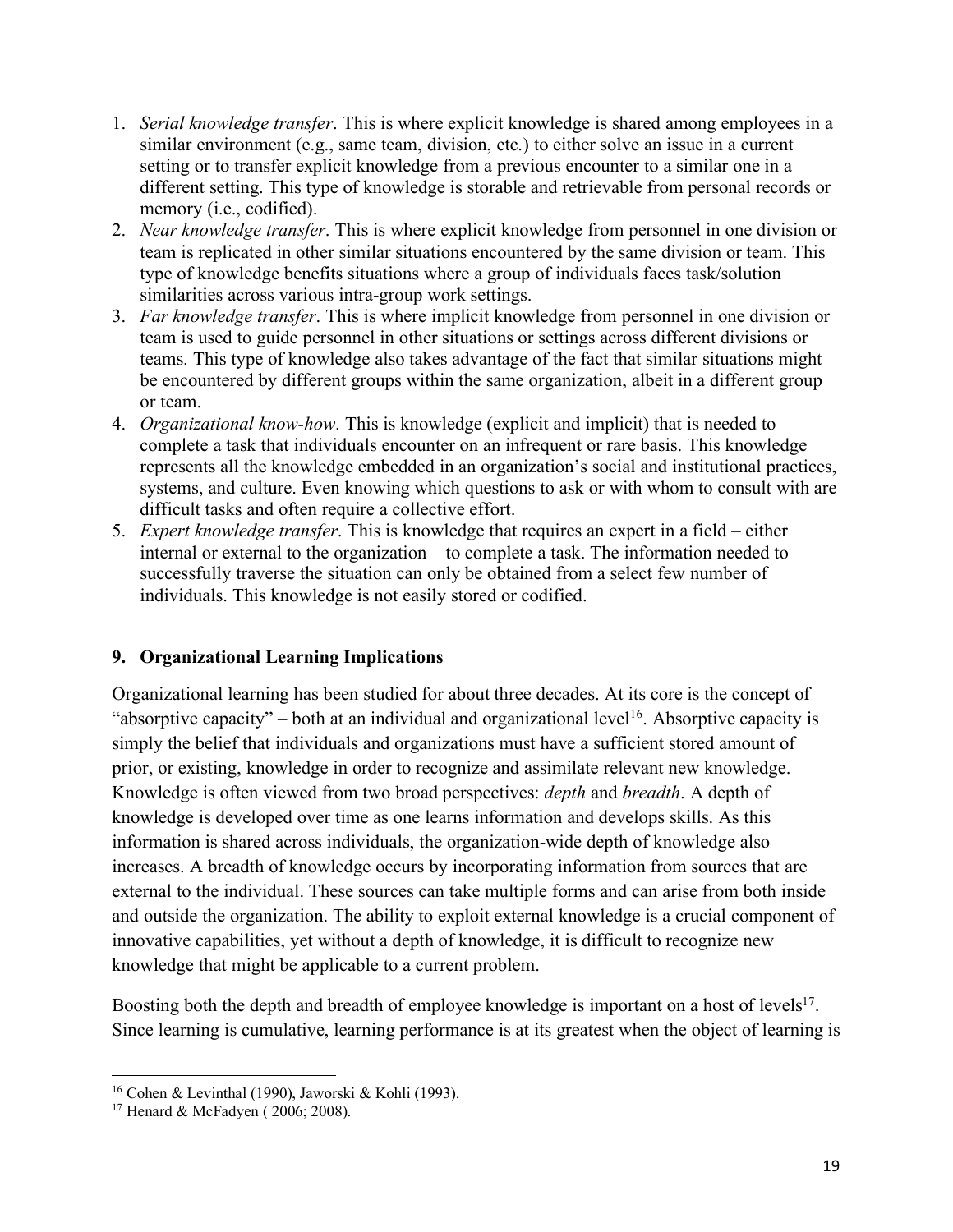- 1. *Serial knowledge transfer*. This is where explicit knowledge is shared among employees in a similar environment (e.g., same team, division, etc.) to either solve an issue in a current setting or to transfer explicit knowledge from a previous encounter to a similar one in a different setting. This type of knowledge is storable and retrievable from personal records or memory (i.e., codified).
- 2. *Near knowledge transfer*. This is where explicit knowledge from personnel in one division or team is replicated in other similar situations encountered by the same division or team. This type of knowledge benefits situations where a group of individuals faces task/solution similarities across various intra-group work settings.
- 3. *Far knowledge transfer*. This is where implicit knowledge from personnel in one division or team is used to guide personnel in other situations or settings across different divisions or teams. This type of knowledge also takes advantage of the fact that similar situations might be encountered by different groups within the same organization, albeit in a different group or team.
- 4. *Organizational know-how*. This is knowledge (explicit and implicit) that is needed to complete a task that individuals encounter on an infrequent or rare basis. This knowledge represents all the knowledge embedded in an organization's social and institutional practices, systems, and culture. Even knowing which questions to ask or with whom to consult with are difficult tasks and often require a collective effort.
- 5. *Expert knowledge transfer*. This is knowledge that requires an expert in a field either internal or external to the organization – to complete a task. The information needed to successfully traverse the situation can only be obtained from a select few number of individuals. This knowledge is not easily stored or codified.

### **9. Organizational Learning Implications**

Organizational learning has been studied for about three decades. At its core is the concept of "absorptive capacity" – both at an individual and organizational level<sup>16</sup>. Absorptive capacity is simply the belief that individuals and organizations must have a sufficient stored amount of prior, or existing, knowledge in order to recognize and assimilate relevant new knowledge. Knowledge is often viewed from two broad perspectives: *depth* and *breadth*. A depth of knowledge is developed over time as one learns information and develops skills. As this information is shared across individuals, the organization-wide depth of knowledge also increases. A breadth of knowledge occurs by incorporating information from sources that are external to the individual. These sources can take multiple forms and can arise from both inside and outside the organization. The ability to exploit external knowledge is a crucial component of innovative capabilities, yet without a depth of knowledge, it is difficult to recognize new knowledge that might be applicable to a current problem.

Boosting both the depth and breadth of employee knowledge is important on a host of levels<sup>17</sup>. Since learning is cumulative, learning performance is at its greatest when the object of learning is

l

<sup>&</sup>lt;sup>16</sup> Cohen & Levinthal (1990), Jaworski & Kohli (1993).

<sup>17</sup> Henard & McFadyen ( 2006; 2008).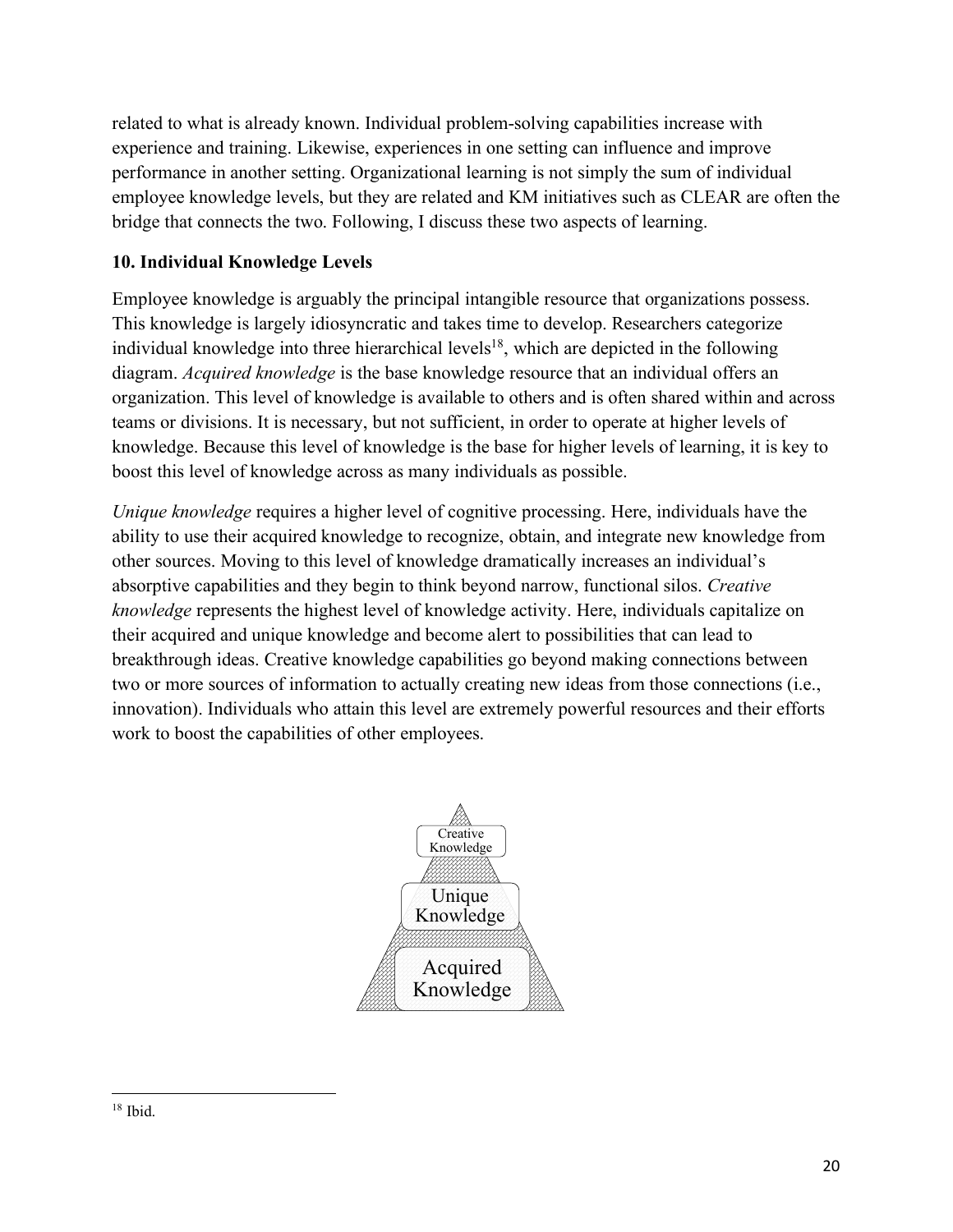related to what is already known. Individual problem-solving capabilities increase with experience and training. Likewise, experiences in one setting can influence and improve performance in another setting. Organizational learning is not simply the sum of individual employee knowledge levels, but they are related and KM initiatives such as CLEAR are often the bridge that connects the two. Following, I discuss these two aspects of learning.

#### **10. Individual Knowledge Levels**

Employee knowledge is arguably the principal intangible resource that organizations possess. This knowledge is largely idiosyncratic and takes time to develop. Researchers categorize individual knowledge into three hierarchical levels<sup>18</sup>, which are depicted in the following diagram. *Acquired knowledge* is the base knowledge resource that an individual offers an organization. This level of knowledge is available to others and is often shared within and across teams or divisions. It is necessary, but not sufficient, in order to operate at higher levels of knowledge. Because this level of knowledge is the base for higher levels of learning, it is key to boost this level of knowledge across as many individuals as possible.

*Unique knowledge* requires a higher level of cognitive processing. Here, individuals have the ability to use their acquired knowledge to recognize, obtain, and integrate new knowledge from other sources. Moving to this level of knowledge dramatically increases an individual's absorptive capabilities and they begin to think beyond narrow, functional silos. *Creative knowledge* represents the highest level of knowledge activity. Here, individuals capitalize on their acquired and unique knowledge and become alert to possibilities that can lead to breakthrough ideas. Creative knowledge capabilities go beyond making connections between two or more sources of information to actually creating new ideas from those connections (i.e., innovation). Individuals who attain this level are extremely powerful resources and their efforts work to boost the capabilities of other employees.



l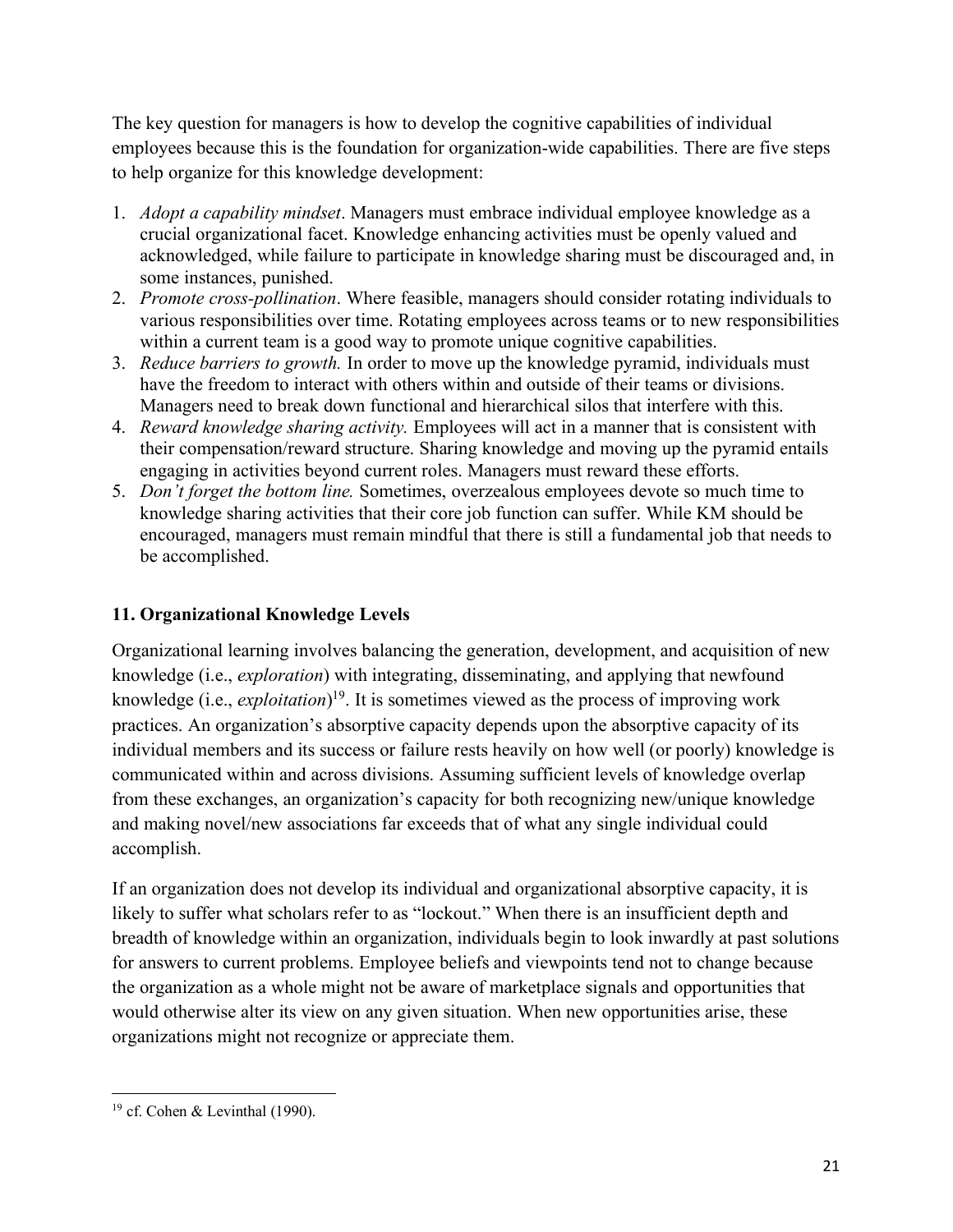The key question for managers is how to develop the cognitive capabilities of individual employees because this is the foundation for organization-wide capabilities. There are five steps to help organize for this knowledge development:

- 1. *Adopt a capability mindset*. Managers must embrace individual employee knowledge as a crucial organizational facet. Knowledge enhancing activities must be openly valued and acknowledged, while failure to participate in knowledge sharing must be discouraged and, in some instances, punished.
- 2. *Promote cross-pollination*. Where feasible, managers should consider rotating individuals to various responsibilities over time. Rotating employees across teams or to new responsibilities within a current team is a good way to promote unique cognitive capabilities.
- 3. *Reduce barriers to growth.* In order to move up the knowledge pyramid, individuals must have the freedom to interact with others within and outside of their teams or divisions. Managers need to break down functional and hierarchical silos that interfere with this.
- 4. *Reward knowledge sharing activity.* Employees will act in a manner that is consistent with their compensation/reward structure. Sharing knowledge and moving up the pyramid entails engaging in activities beyond current roles. Managers must reward these efforts.
- 5. *Don't forget the bottom line.* Sometimes, overzealous employees devote so much time to knowledge sharing activities that their core job function can suffer. While KM should be encouraged, managers must remain mindful that there is still a fundamental job that needs to be accomplished.

### **11. Organizational Knowledge Levels**

Organizational learning involves balancing the generation, development, and acquisition of new knowledge (i.e., *exploration*) with integrating, disseminating, and applying that newfound knowledge (i.e., *exploitation*) 19. It is sometimes viewed as the process of improving work practices. An organization's absorptive capacity depends upon the absorptive capacity of its individual members and its success or failure rests heavily on how well (or poorly) knowledge is communicated within and across divisions. Assuming sufficient levels of knowledge overlap from these exchanges, an organization's capacity for both recognizing new/unique knowledge and making novel/new associations far exceeds that of what any single individual could accomplish.

If an organization does not develop its individual and organizational absorptive capacity, it is likely to suffer what scholars refer to as "lockout." When there is an insufficient depth and breadth of knowledge within an organization, individuals begin to look inwardly at past solutions for answers to current problems. Employee beliefs and viewpoints tend not to change because the organization as a whole might not be aware of marketplace signals and opportunities that would otherwise alter its view on any given situation. When new opportunities arise, these organizations might not recognize or appreciate them.

l <sup>19</sup> cf. Cohen & Levinthal (1990).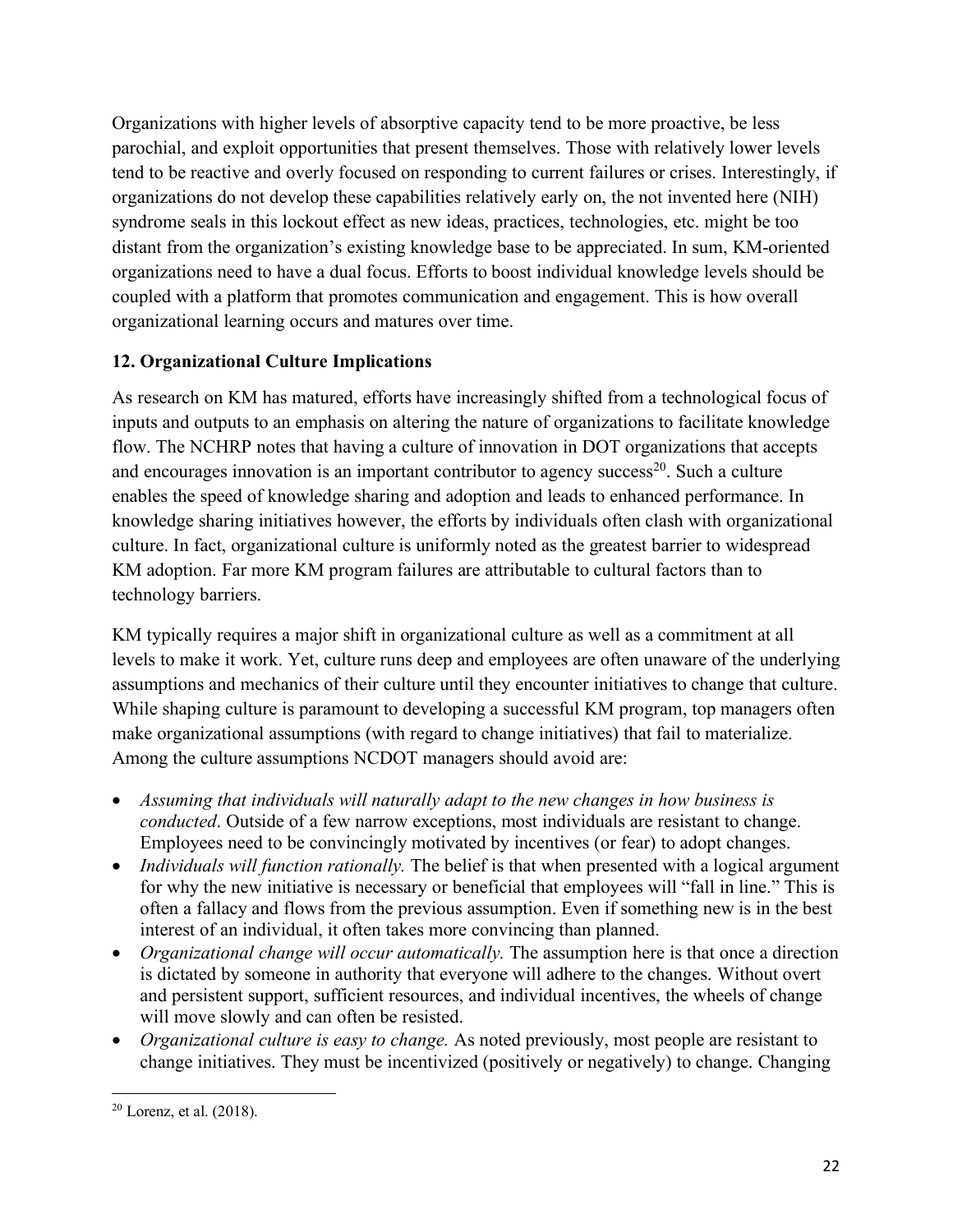Organizations with higher levels of absorptive capacity tend to be more proactive, be less parochial, and exploit opportunities that present themselves. Those with relatively lower levels tend to be reactive and overly focused on responding to current failures or crises. Interestingly, if organizations do not develop these capabilities relatively early on, the not invented here (NIH) syndrome seals in this lockout effect as new ideas, practices, technologies, etc. might be too distant from the organization's existing knowledge base to be appreciated. In sum, KM-oriented organizations need to have a dual focus. Efforts to boost individual knowledge levels should be coupled with a platform that promotes communication and engagement. This is how overall organizational learning occurs and matures over time.

## **12. Organizational Culture Implications**

As research on KM has matured, efforts have increasingly shifted from a technological focus of inputs and outputs to an emphasis on altering the nature of organizations to facilitate knowledge flow. The NCHRP notes that having a culture of innovation in DOT organizations that accepts and encourages innovation is an important contributor to agency success<sup>20</sup>. Such a culture enables the speed of knowledge sharing and adoption and leads to enhanced performance. In knowledge sharing initiatives however, the efforts by individuals often clash with organizational culture. In fact, organizational culture is uniformly noted as the greatest barrier to widespread KM adoption. Far more KM program failures are attributable to cultural factors than to technology barriers.

KM typically requires a major shift in organizational culture as well as a commitment at all levels to make it work. Yet, culture runs deep and employees are often unaware of the underlying assumptions and mechanics of their culture until they encounter initiatives to change that culture. While shaping culture is paramount to developing a successful KM program, top managers often make organizational assumptions (with regard to change initiatives) that fail to materialize. Among the culture assumptions NCDOT managers should avoid are:

- *Assuming that individuals will naturally adapt to the new changes in how business is conducted*. Outside of a few narrow exceptions, most individuals are resistant to change. Employees need to be convincingly motivated by incentives (or fear) to adopt changes.
- *Individuals will function rationally*. The belief is that when presented with a logical argument for why the new initiative is necessary or beneficial that employees will "fall in line." This is often a fallacy and flows from the previous assumption. Even if something new is in the best interest of an individual, it often takes more convincing than planned.
- *Organizational change will occur automatically*. The assumption here is that once a direction is dictated by someone in authority that everyone will adhere to the changes. Without overt and persistent support, sufficient resources, and individual incentives, the wheels of change will move slowly and can often be resisted.
- *Organizational culture is easy to change.* As noted previously, most people are resistant to change initiatives. They must be incentivized (positively or negatively) to change. Changing

l  $20$  Lorenz, et al.  $(2018)$ .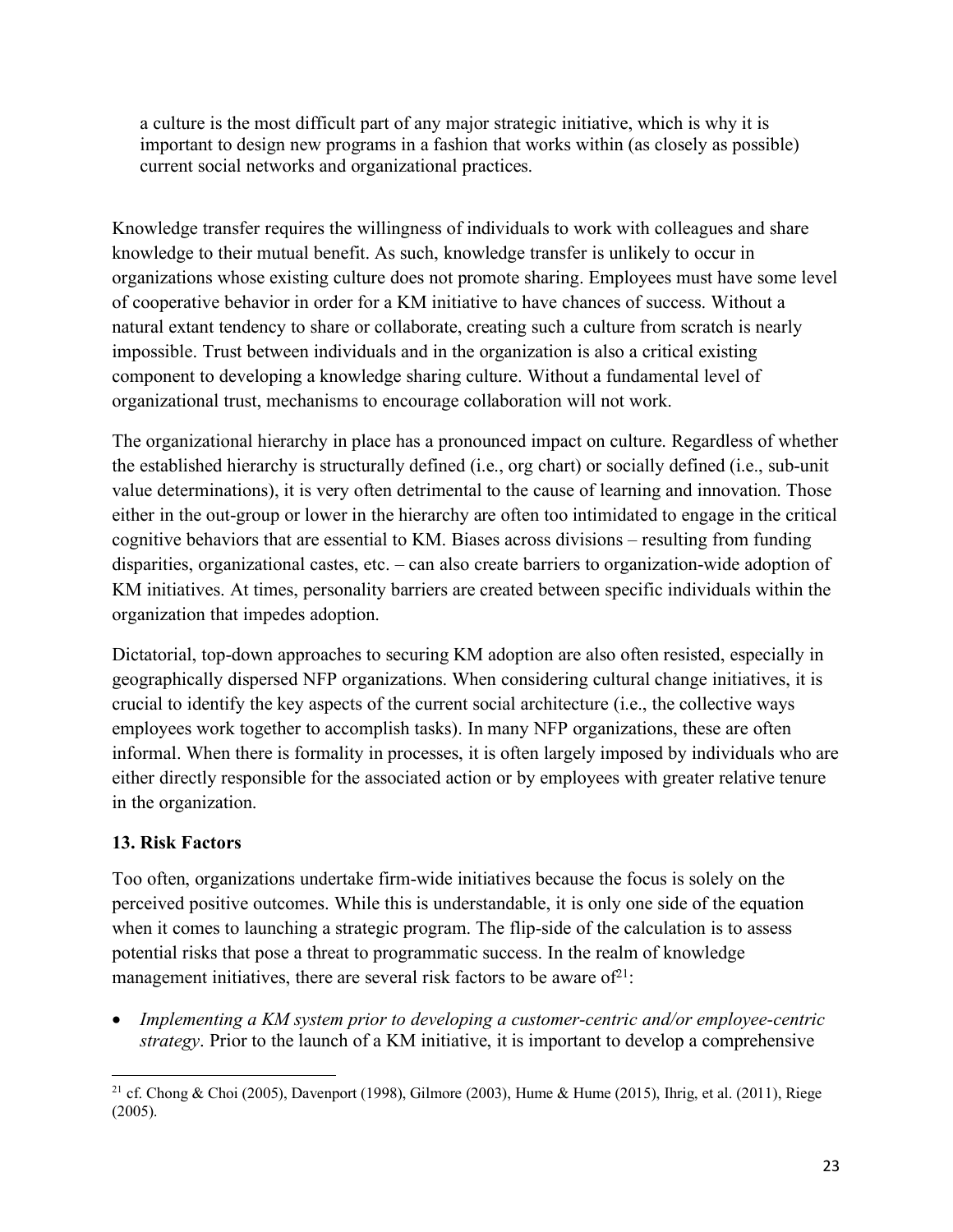a culture is the most difficult part of any major strategic initiative, which is why it is important to design new programs in a fashion that works within (as closely as possible) current social networks and organizational practices.

Knowledge transfer requires the willingness of individuals to work with colleagues and share knowledge to their mutual benefit. As such, knowledge transfer is unlikely to occur in organizations whose existing culture does not promote sharing. Employees must have some level of cooperative behavior in order for a KM initiative to have chances of success. Without a natural extant tendency to share or collaborate, creating such a culture from scratch is nearly impossible. Trust between individuals and in the organization is also a critical existing component to developing a knowledge sharing culture. Without a fundamental level of organizational trust, mechanisms to encourage collaboration will not work.

The organizational hierarchy in place has a pronounced impact on culture. Regardless of whether the established hierarchy is structurally defined (i.e., org chart) or socially defined (i.e., sub-unit value determinations), it is very often detrimental to the cause of learning and innovation. Those either in the out-group or lower in the hierarchy are often too intimidated to engage in the critical cognitive behaviors that are essential to KM. Biases across divisions – resulting from funding disparities, organizational castes, etc. – can also create barriers to organization-wide adoption of KM initiatives. At times, personality barriers are created between specific individuals within the organization that impedes adoption.

Dictatorial, top-down approaches to securing KM adoption are also often resisted, especially in geographically dispersed NFP organizations. When considering cultural change initiatives, it is crucial to identify the key aspects of the current social architecture (i.e., the collective ways employees work together to accomplish tasks). In many NFP organizations, these are often informal. When there is formality in processes, it is often largely imposed by individuals who are either directly responsible for the associated action or by employees with greater relative tenure in the organization.

### **13. Risk Factors**

Too often, organizations undertake firm-wide initiatives because the focus is solely on the perceived positive outcomes. While this is understandable, it is only one side of the equation when it comes to launching a strategic program. The flip-side of the calculation is to assess potential risks that pose a threat to programmatic success. In the realm of knowledge management initiatives, there are several risk factors to be aware of  $2^1$ :

• *Implementing a KM system prior to developing a customer-centric and/or employee-centric strategy*. Prior to the launch of a KM initiative, it is important to develop a comprehensive

l <sup>21</sup> cf. Chong & Choi (2005), Davenport (1998), Gilmore (2003), Hume & Hume (2015), Ihrig, et al. (2011), Riege (2005).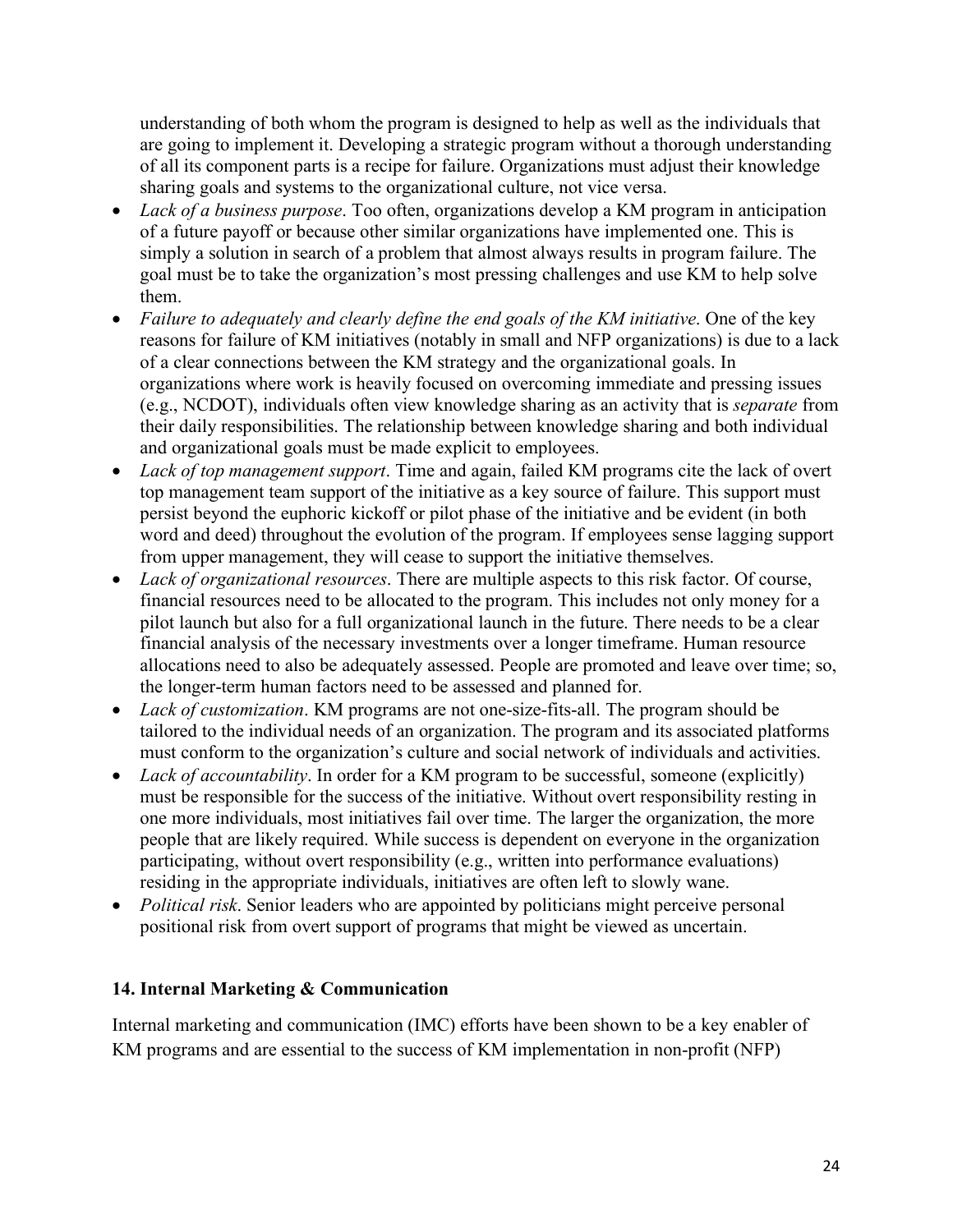understanding of both whom the program is designed to help as well as the individuals that are going to implement it. Developing a strategic program without a thorough understanding of all its component parts is a recipe for failure. Organizations must adjust their knowledge sharing goals and systems to the organizational culture, not vice versa.

- *Lack of a business purpose*. Too often, organizations develop a KM program in anticipation of a future payoff or because other similar organizations have implemented one. This is simply a solution in search of a problem that almost always results in program failure. The goal must be to take the organization's most pressing challenges and use KM to help solve them.
- *Failure to adequately and clearly define the end goals of the KM initiative*. One of the key reasons for failure of KM initiatives (notably in small and NFP organizations) is due to a lack of a clear connections between the KM strategy and the organizational goals. In organizations where work is heavily focused on overcoming immediate and pressing issues (e.g., NCDOT), individuals often view knowledge sharing as an activity that is *separate* from their daily responsibilities. The relationship between knowledge sharing and both individual and organizational goals must be made explicit to employees.
- *Lack of top management support*. Time and again, failed KM programs cite the lack of overt top management team support of the initiative as a key source of failure. This support must persist beyond the euphoric kickoff or pilot phase of the initiative and be evident (in both word and deed) throughout the evolution of the program. If employees sense lagging support from upper management, they will cease to support the initiative themselves.
- *Lack of organizational resources*. There are multiple aspects to this risk factor. Of course, financial resources need to be allocated to the program. This includes not only money for a pilot launch but also for a full organizational launch in the future. There needs to be a clear financial analysis of the necessary investments over a longer timeframe. Human resource allocations need to also be adequately assessed. People are promoted and leave over time; so, the longer-term human factors need to be assessed and planned for.
- *Lack of customization*. KM programs are not one-size-fits-all. The program should be tailored to the individual needs of an organization. The program and its associated platforms must conform to the organization's culture and social network of individuals and activities.
- *Lack of accountability*. In order for a KM program to be successful, someone (explicitly) must be responsible for the success of the initiative. Without overt responsibility resting in one more individuals, most initiatives fail over time. The larger the organization, the more people that are likely required. While success is dependent on everyone in the organization participating, without overt responsibility (e.g., written into performance evaluations) residing in the appropriate individuals, initiatives are often left to slowly wane.
- *Political risk*. Senior leaders who are appointed by politicians might perceive personal positional risk from overt support of programs that might be viewed as uncertain.

### **14. Internal Marketing & Communication**

Internal marketing and communication (IMC) efforts have been shown to be a key enabler of KM programs and are essential to the success of KM implementation in non-profit (NFP)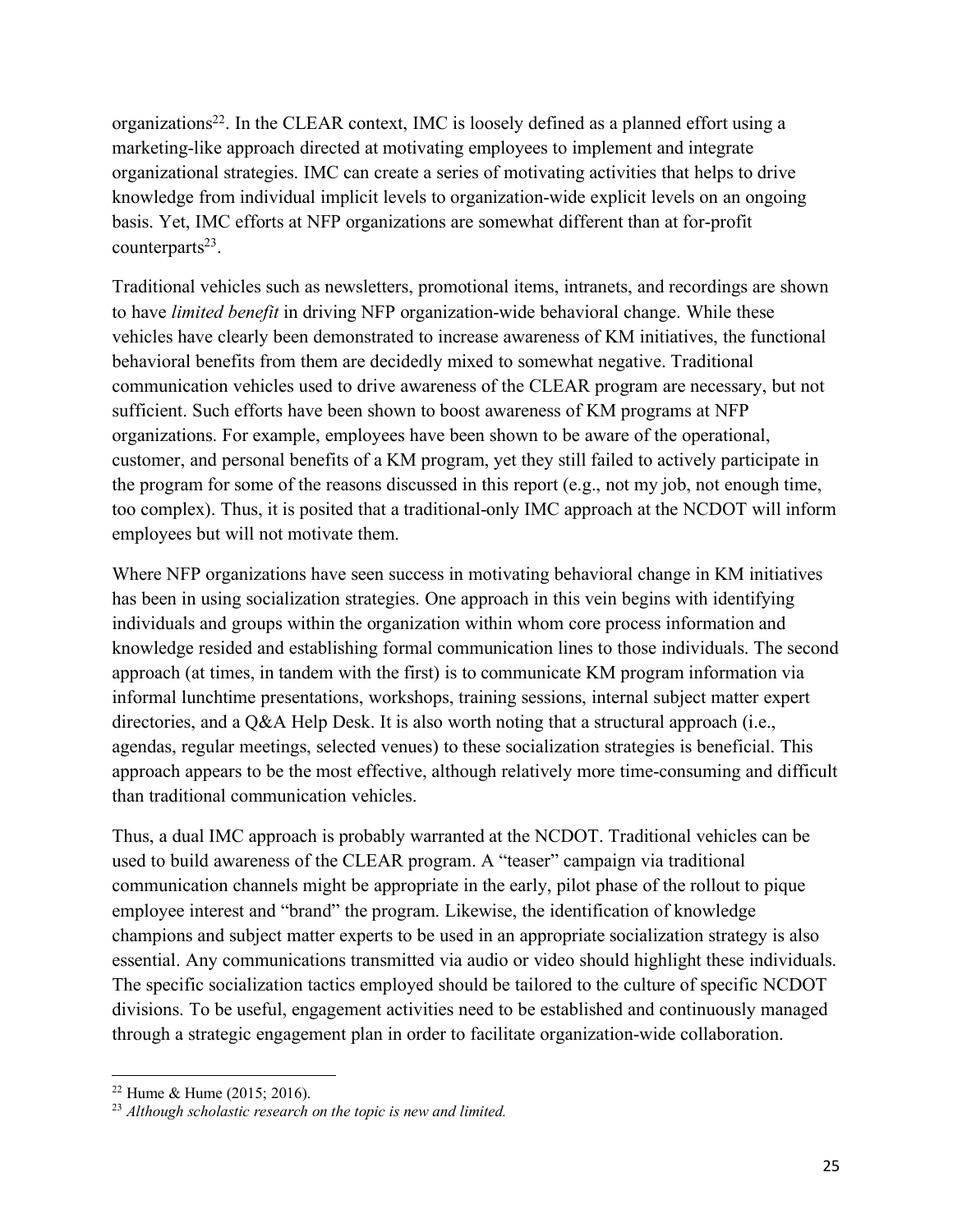organizations22. In the CLEAR context, IMC is loosely defined as a planned effort using a marketing-like approach directed at motivating employees to implement and integrate organizational strategies. IMC can create a series of motivating activities that helps to drive knowledge from individual implicit levels to organization-wide explicit levels on an ongoing basis. Yet, IMC efforts at NFP organizations are somewhat different than at for-profit counterparts $^{23}$ .

Traditional vehicles such as newsletters, promotional items, intranets, and recordings are shown to have *limited benefit* in driving NFP organization-wide behavioral change. While these vehicles have clearly been demonstrated to increase awareness of KM initiatives, the functional behavioral benefits from them are decidedly mixed to somewhat negative. Traditional communication vehicles used to drive awareness of the CLEAR program are necessary, but not sufficient. Such efforts have been shown to boost awareness of KM programs at NFP organizations. For example, employees have been shown to be aware of the operational, customer, and personal benefits of a KM program, yet they still failed to actively participate in the program for some of the reasons discussed in this report (e.g., not my job, not enough time, too complex). Thus, it is posited that a traditional-only IMC approach at the NCDOT will inform employees but will not motivate them.

Where NFP organizations have seen success in motivating behavioral change in KM initiatives has been in using socialization strategies. One approach in this vein begins with identifying individuals and groups within the organization within whom core process information and knowledge resided and establishing formal communication lines to those individuals. The second approach (at times, in tandem with the first) is to communicate KM program information via informal lunchtime presentations, workshops, training sessions, internal subject matter expert directories, and a Q&A Help Desk. It is also worth noting that a structural approach (i.e., agendas, regular meetings, selected venues) to these socialization strategies is beneficial. This approach appears to be the most effective, although relatively more time-consuming and difficult than traditional communication vehicles.

Thus, a dual IMC approach is probably warranted at the NCDOT. Traditional vehicles can be used to build awareness of the CLEAR program. A "teaser" campaign via traditional communication channels might be appropriate in the early, pilot phase of the rollout to pique employee interest and "brand" the program. Likewise, the identification of knowledge champions and subject matter experts to be used in an appropriate socialization strategy is also essential. Any communications transmitted via audio or video should highlight these individuals. The specific socialization tactics employed should be tailored to the culture of specific NCDOT divisions. To be useful, engagement activities need to be established and continuously managed through a strategic engagement plan in order to facilitate organization-wide collaboration.

l

 $22$  Hume & Hume (2015; 2016).

<sup>23</sup> *Although scholastic research on the topic is new and limited.*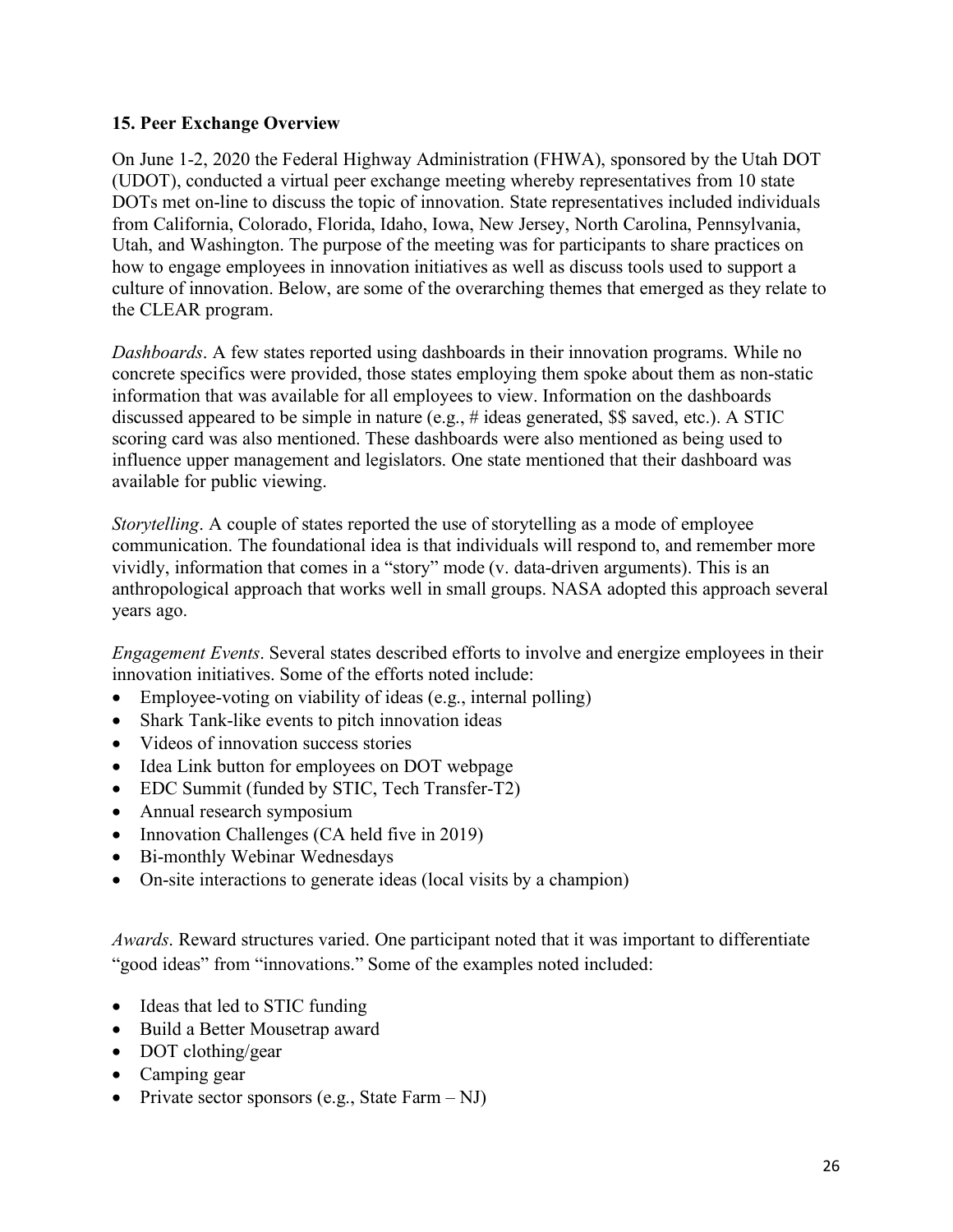#### **15. Peer Exchange Overview**

On June 1-2, 2020 the Federal Highway Administration (FHWA), sponsored by the Utah DOT (UDOT), conducted a virtual peer exchange meeting whereby representatives from 10 state DOTs met on-line to discuss the topic of innovation. State representatives included individuals from California, Colorado, Florida, Idaho, Iowa, New Jersey, North Carolina, Pennsylvania, Utah, and Washington. The purpose of the meeting was for participants to share practices on how to engage employees in innovation initiatives as well as discuss tools used to support a culture of innovation. Below, are some of the overarching themes that emerged as they relate to the CLEAR program.

*Dashboards*. A few states reported using dashboards in their innovation programs. While no concrete specifics were provided, those states employing them spoke about them as non-static information that was available for all employees to view. Information on the dashboards discussed appeared to be simple in nature (e.g., # ideas generated, \$\$ saved, etc.). A STIC scoring card was also mentioned. These dashboards were also mentioned as being used to influence upper management and legislators. One state mentioned that their dashboard was available for public viewing.

*Storytelling*. A couple of states reported the use of storytelling as a mode of employee communication. The foundational idea is that individuals will respond to, and remember more vividly, information that comes in a "story" mode (v. data-driven arguments). This is an anthropological approach that works well in small groups. NASA adopted this approach several years ago.

*Engagement Events*. Several states described efforts to involve and energize employees in their innovation initiatives. Some of the efforts noted include:

- Employee-voting on viability of ideas (e.g., internal polling)
- Shark Tank-like events to pitch innovation ideas
- Videos of innovation success stories
- Idea Link button for employees on DOT webpage
- EDC Summit (funded by STIC, Tech Transfer-T2)
- Annual research symposium
- Innovation Challenges (CA held five in 2019)
- Bi-monthly Webinar Wednesdays
- On-site interactions to generate ideas (local visits by a champion)

*Awards*. Reward structures varied. One participant noted that it was important to differentiate "good ideas" from "innovations." Some of the examples noted included:

- Ideas that led to STIC funding
- Build a Better Mousetrap award
- DOT clothing/gear
- Camping gear
- Private sector sponsors (e.g., State Farm NJ)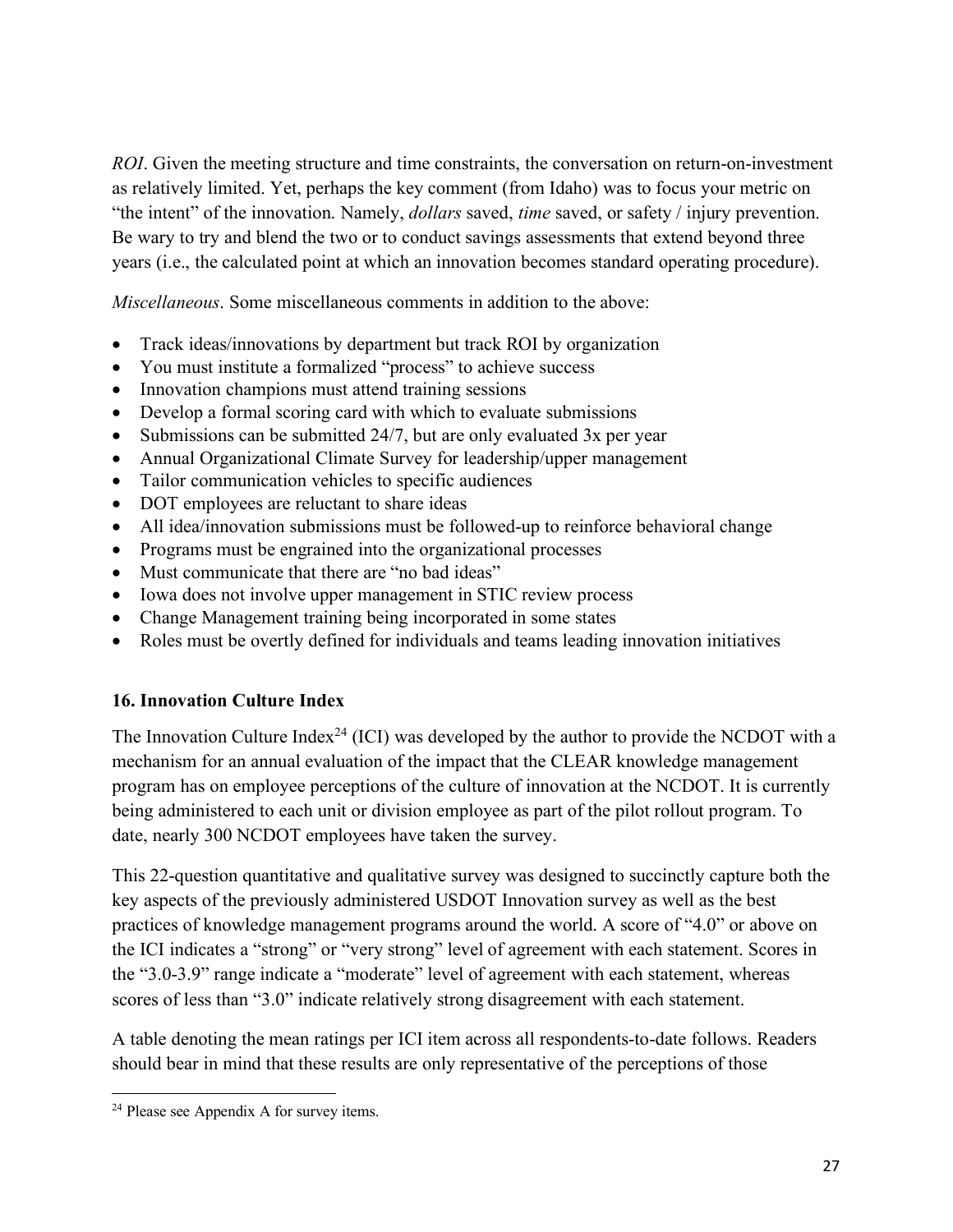*ROI*. Given the meeting structure and time constraints, the conversation on return-on-investment as relatively limited. Yet, perhaps the key comment (from Idaho) was to focus your metric on "the intent" of the innovation. Namely, *dollars* saved, *time* saved, or safety / injury prevention. Be wary to try and blend the two or to conduct savings assessments that extend beyond three years (i.e., the calculated point at which an innovation becomes standard operating procedure).

*Miscellaneous*. Some miscellaneous comments in addition to the above:

- Track ideas/innovations by department but track ROI by organization
- You must institute a formalized "process" to achieve success
- Innovation champions must attend training sessions
- Develop a formal scoring card with which to evaluate submissions
- Submissions can be submitted 24/7, but are only evaluated 3x per year
- Annual Organizational Climate Survey for leadership/upper management
- Tailor communication vehicles to specific audiences
- DOT employees are reluctant to share ideas
- All idea/innovation submissions must be followed-up to reinforce behavioral change
- Programs must be engrained into the organizational processes
- Must communicate that there are "no bad ideas"
- Iowa does not involve upper management in STIC review process
- Change Management training being incorporated in some states
- Roles must be overtly defined for individuals and teams leading innovation initiatives

### **16. Innovation Culture Index**

The Innovation Culture Index<sup>24</sup> (ICI) was developed by the author to provide the NCDOT with a mechanism for an annual evaluation of the impact that the CLEAR knowledge management program has on employee perceptions of the culture of innovation at the NCDOT. It is currently being administered to each unit or division employee as part of the pilot rollout program. To date, nearly 300 NCDOT employees have taken the survey.

This 22-question quantitative and qualitative survey was designed to succinctly capture both the key aspects of the previously administered USDOT Innovation survey as well as the best practices of knowledge management programs around the world. A score of "4.0" or above on the ICI indicates a "strong" or "very strong" level of agreement with each statement. Scores in the "3.0-3.9" range indicate a "moderate" level of agreement with each statement, whereas scores of less than "3.0" indicate relatively strong disagreement with each statement.

A table denoting the mean ratings per ICI item across all respondents-to-date follows. Readers should bear in mind that these results are only representative of the perceptions of those

l

<sup>24</sup> Please see Appendix A for survey items.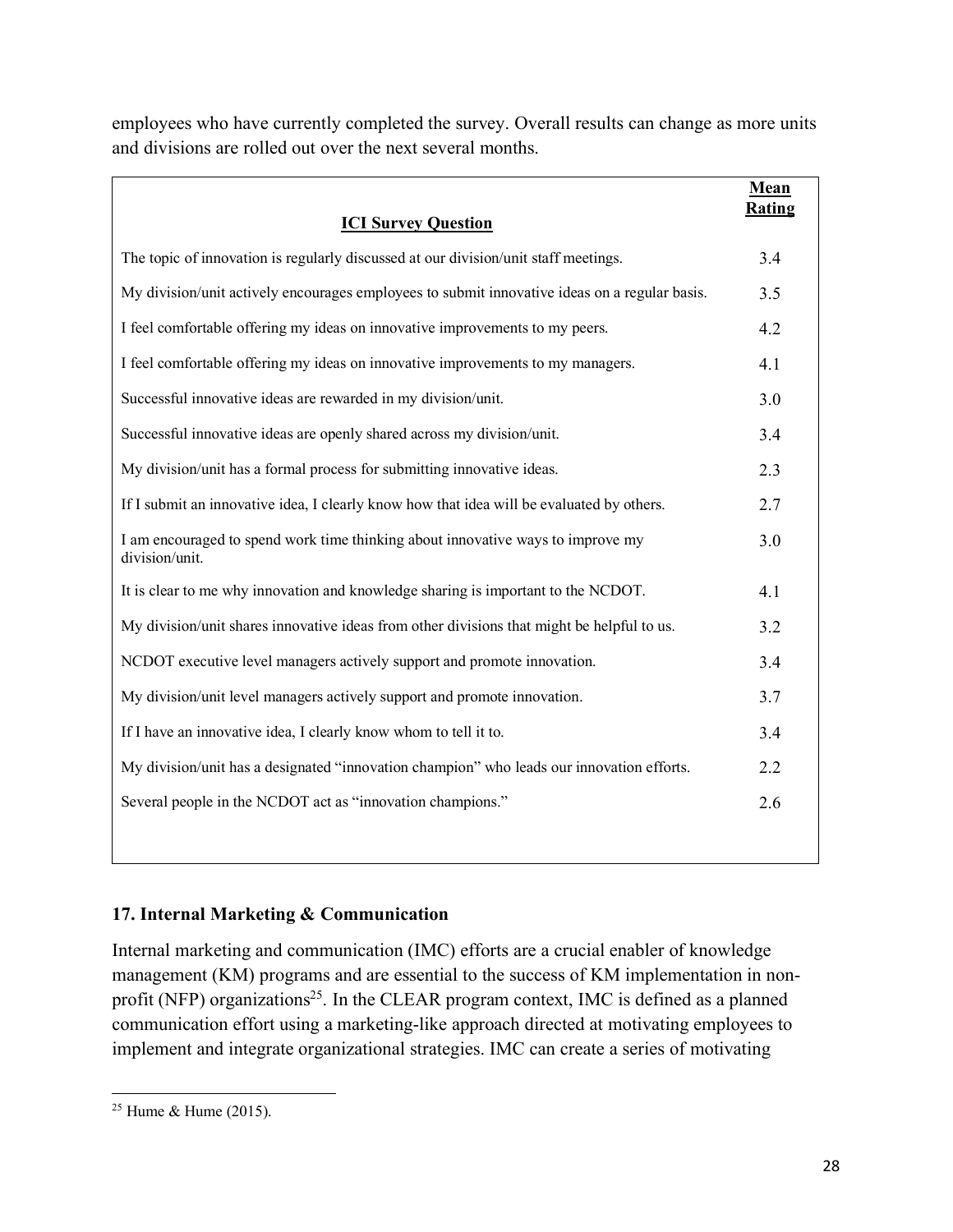employees who have currently completed the survey. Overall results can change as more units and divisions are rolled out over the next several months.

|                                                                                                   | Mean<br>Rating |
|---------------------------------------------------------------------------------------------------|----------------|
| <b>ICI Survey Question</b>                                                                        |                |
| The topic of innovation is regularly discussed at our division/unit staff meetings.               | 3.4            |
| My division/unit actively encourages employees to submit innovative ideas on a regular basis.     | 3.5            |
| I feel comfortable offering my ideas on innovative improvements to my peers.                      | 4.2            |
| I feel comfortable offering my ideas on innovative improvements to my managers.                   | 4.1            |
| Successful innovative ideas are rewarded in my division/unit.                                     | 3.0            |
| Successful innovative ideas are openly shared across my division/unit.                            | 3.4            |
| My division/unit has a formal process for submitting innovative ideas.                            | 2.3            |
| If I submit an innovative idea, I clearly know how that idea will be evaluated by others.         | 2.7            |
| I am encouraged to spend work time thinking about innovative ways to improve my<br>division/unit. | 3.0            |
| It is clear to me why innovation and knowledge sharing is important to the NCDOT.                 | 4.1            |
| My division/unit shares innovative ideas from other divisions that might be helpful to us.        | 3.2            |
| NCDOT executive level managers actively support and promote innovation.                           | 3.4            |
| My division/unit level managers actively support and promote innovation.                          | 3.7            |
| If I have an innovative idea, I clearly know whom to tell it to.                                  | 3.4            |
| My division/unit has a designated "innovation champion" who leads our innovation efforts.         | 2.2            |
| Several people in the NCDOT act as "innovation champions."                                        | 2.6            |
|                                                                                                   |                |

## **17. Internal Marketing & Communication**

Internal marketing and communication (IMC) efforts are a crucial enabler of knowledge management (KM) programs and are essential to the success of KM implementation in nonprofit (NFP) organizations<sup>25</sup>. In the CLEAR program context, IMC is defined as a planned communication effort using a marketing-like approach directed at motivating employees to implement and integrate organizational strategies. IMC can create a series of motivating

l <sup>25</sup> Hume & Hume (2015).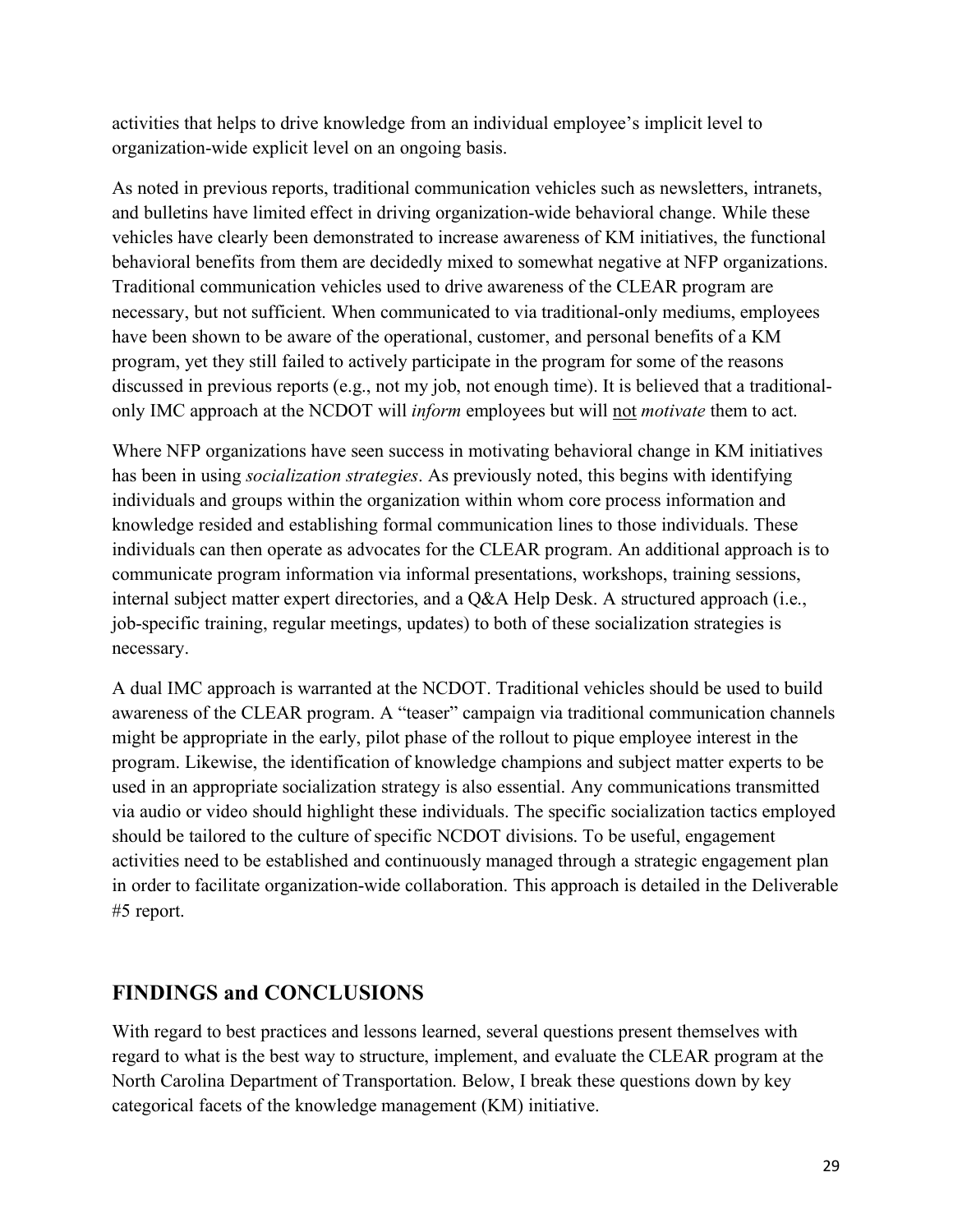activities that helps to drive knowledge from an individual employee's implicit level to organization-wide explicit level on an ongoing basis.

As noted in previous reports, traditional communication vehicles such as newsletters, intranets, and bulletins have limited effect in driving organization-wide behavioral change. While these vehicles have clearly been demonstrated to increase awareness of KM initiatives, the functional behavioral benefits from them are decidedly mixed to somewhat negative at NFP organizations. Traditional communication vehicles used to drive awareness of the CLEAR program are necessary, but not sufficient. When communicated to via traditional-only mediums, employees have been shown to be aware of the operational, customer, and personal benefits of a KM program, yet they still failed to actively participate in the program for some of the reasons discussed in previous reports (e.g., not my job, not enough time). It is believed that a traditionalonly IMC approach at the NCDOT will *inform* employees but will not *motivate* them to act.

Where NFP organizations have seen success in motivating behavioral change in KM initiatives has been in using *socialization strategies*. As previously noted, this begins with identifying individuals and groups within the organization within whom core process information and knowledge resided and establishing formal communication lines to those individuals. These individuals can then operate as advocates for the CLEAR program. An additional approach is to communicate program information via informal presentations, workshops, training sessions, internal subject matter expert directories, and a Q&A Help Desk. A structured approach (i.e., job-specific training, regular meetings, updates) to both of these socialization strategies is necessary.

A dual IMC approach is warranted at the NCDOT. Traditional vehicles should be used to build awareness of the CLEAR program. A "teaser" campaign via traditional communication channels might be appropriate in the early, pilot phase of the rollout to pique employee interest in the program. Likewise, the identification of knowledge champions and subject matter experts to be used in an appropriate socialization strategy is also essential. Any communications transmitted via audio or video should highlight these individuals. The specific socialization tactics employed should be tailored to the culture of specific NCDOT divisions. To be useful, engagement activities need to be established and continuously managed through a strategic engagement plan in order to facilitate organization-wide collaboration. This approach is detailed in the Deliverable #5 report.

## **FINDINGS and CONCLUSIONS**

With regard to best practices and lessons learned, several questions present themselves with regard to what is the best way to structure, implement, and evaluate the CLEAR program at the North Carolina Department of Transportation. Below, I break these questions down by key categorical facets of the knowledge management (KM) initiative.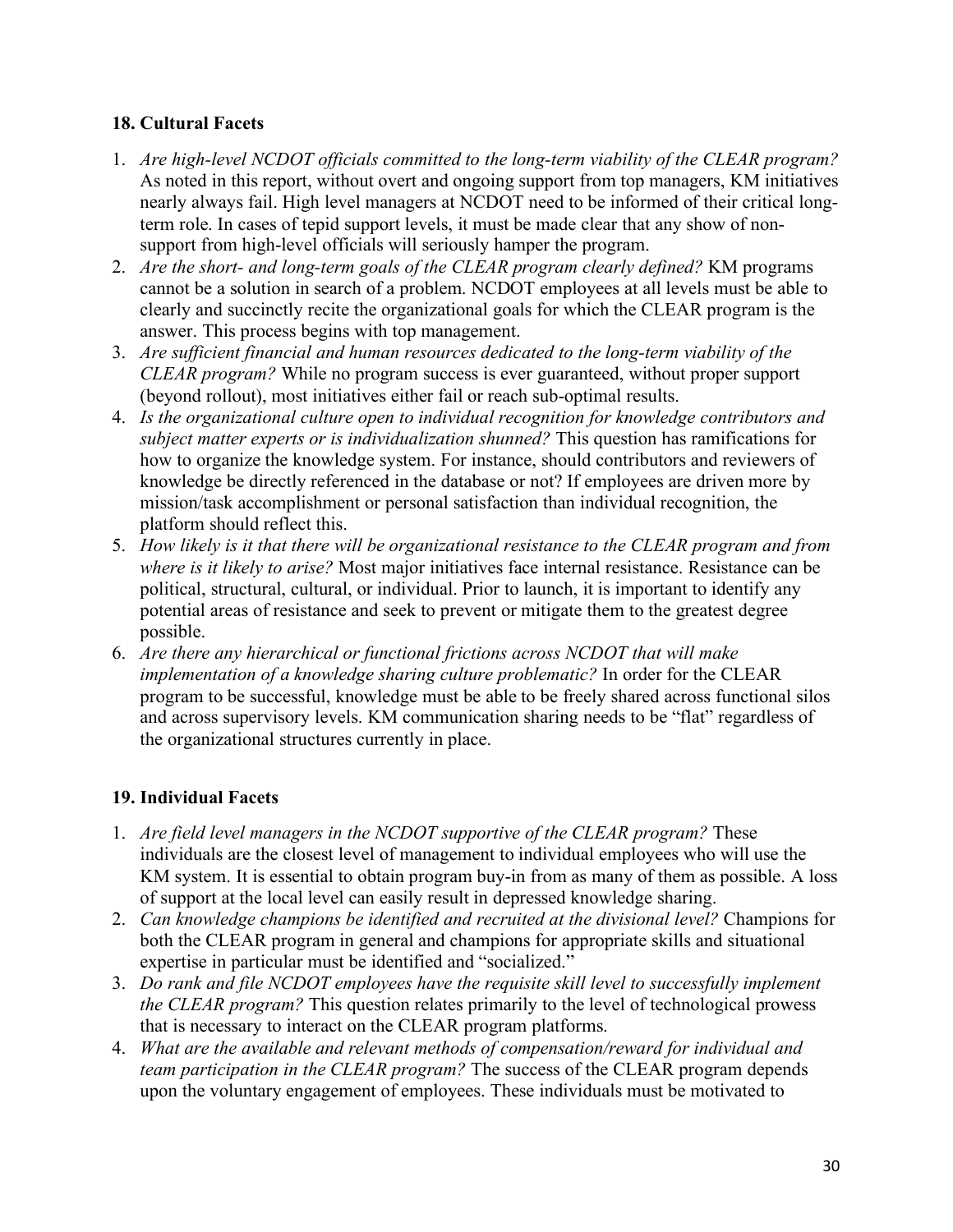## **18. Cultural Facets**

- 1. *Are high-level NCDOT officials committed to the long-term viability of the CLEAR program?* As noted in this report, without overt and ongoing support from top managers, KM initiatives nearly always fail. High level managers at NCDOT need to be informed of their critical longterm role. In cases of tepid support levels, it must be made clear that any show of nonsupport from high-level officials will seriously hamper the program.
- 2. *Are the short- and long-term goals of the CLEAR program clearly defined?* KM programs cannot be a solution in search of a problem. NCDOT employees at all levels must be able to clearly and succinctly recite the organizational goals for which the CLEAR program is the answer. This process begins with top management.
- 3. *Are sufficient financial and human resources dedicated to the long-term viability of the CLEAR program?* While no program success is ever guaranteed, without proper support (beyond rollout), most initiatives either fail or reach sub-optimal results.
- 4. *Is the organizational culture open to individual recognition for knowledge contributors and subject matter experts or is individualization shunned?* This question has ramifications for how to organize the knowledge system. For instance, should contributors and reviewers of knowledge be directly referenced in the database or not? If employees are driven more by mission/task accomplishment or personal satisfaction than individual recognition, the platform should reflect this.
- 5. *How likely is it that there will be organizational resistance to the CLEAR program and from where is it likely to arise?* Most major initiatives face internal resistance. Resistance can be political, structural, cultural, or individual. Prior to launch, it is important to identify any potential areas of resistance and seek to prevent or mitigate them to the greatest degree possible.
- 6. *Are there any hierarchical or functional frictions across NCDOT that will make implementation of a knowledge sharing culture problematic?* In order for the CLEAR program to be successful, knowledge must be able to be freely shared across functional silos and across supervisory levels. KM communication sharing needs to be "flat" regardless of the organizational structures currently in place.

### **19. Individual Facets**

- 1. *Are field level managers in the NCDOT supportive of the CLEAR program?* These individuals are the closest level of management to individual employees who will use the KM system. It is essential to obtain program buy-in from as many of them as possible. A loss of support at the local level can easily result in depressed knowledge sharing.
- 2. *Can knowledge champions be identified and recruited at the divisional level?* Champions for both the CLEAR program in general and champions for appropriate skills and situational expertise in particular must be identified and "socialized."
- 3. *Do rank and file NCDOT employees have the requisite skill level to successfully implement the CLEAR program?* This question relates primarily to the level of technological prowess that is necessary to interact on the CLEAR program platforms.
- 4. *What are the available and relevant methods of compensation/reward for individual and team participation in the CLEAR program?* The success of the CLEAR program depends upon the voluntary engagement of employees. These individuals must be motivated to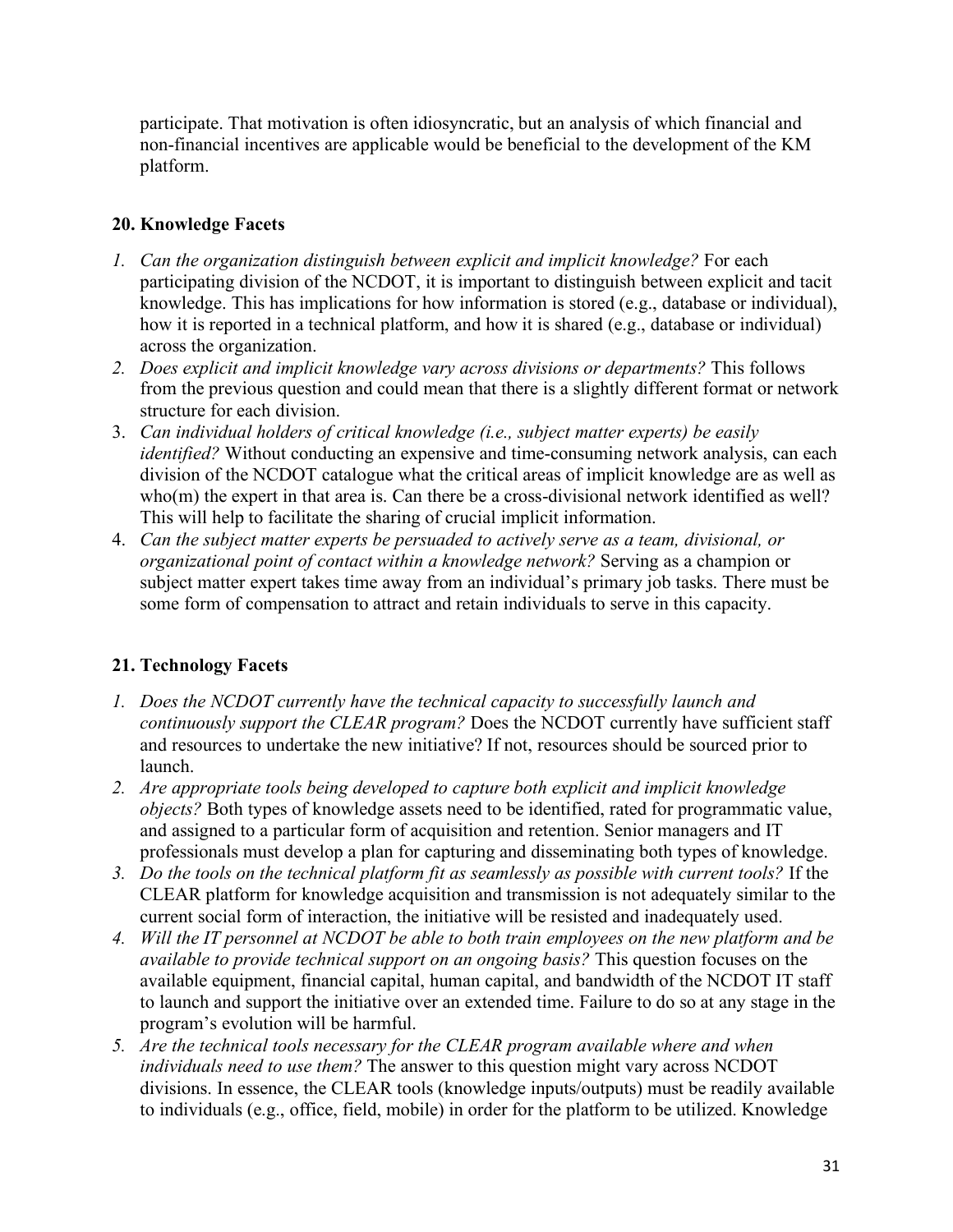participate. That motivation is often idiosyncratic, but an analysis of which financial and non-financial incentives are applicable would be beneficial to the development of the KM platform.

### **20. Knowledge Facets**

- *1. Can the organization distinguish between explicit and implicit knowledge?* For each participating division of the NCDOT, it is important to distinguish between explicit and tacit knowledge. This has implications for how information is stored (e.g., database or individual), how it is reported in a technical platform, and how it is shared (e.g., database or individual) across the organization.
- *2. Does explicit and implicit knowledge vary across divisions or departments?* This follows from the previous question and could mean that there is a slightly different format or network structure for each division.
- 3. *Can individual holders of critical knowledge (i.e., subject matter experts) be easily identified?* Without conducting an expensive and time-consuming network analysis, can each division of the NCDOT catalogue what the critical areas of implicit knowledge are as well as who(m) the expert in that area is. Can there be a cross-divisional network identified as well? This will help to facilitate the sharing of crucial implicit information.
- 4. *Can the subject matter experts be persuaded to actively serve as a team, divisional, or organizational point of contact within a knowledge network?* Serving as a champion or subject matter expert takes time away from an individual's primary job tasks. There must be some form of compensation to attract and retain individuals to serve in this capacity.

### **21. Technology Facets**

- *1. Does the NCDOT currently have the technical capacity to successfully launch and continuously support the CLEAR program?* Does the NCDOT currently have sufficient staff and resources to undertake the new initiative? If not, resources should be sourced prior to launch.
- *2. Are appropriate tools being developed to capture both explicit and implicit knowledge objects?* Both types of knowledge assets need to be identified, rated for programmatic value, and assigned to a particular form of acquisition and retention. Senior managers and IT professionals must develop a plan for capturing and disseminating both types of knowledge.
- *3. Do the tools on the technical platform fit as seamlessly as possible with current tools?* If the CLEAR platform for knowledge acquisition and transmission is not adequately similar to the current social form of interaction, the initiative will be resisted and inadequately used.
- *4. Will the IT personnel at NCDOT be able to both train employees on the new platform and be available to provide technical support on an ongoing basis?* This question focuses on the available equipment, financial capital, human capital, and bandwidth of the NCDOT IT staff to launch and support the initiative over an extended time. Failure to do so at any stage in the program's evolution will be harmful.
- *5. Are the technical tools necessary for the CLEAR program available where and when individuals need to use them?* The answer to this question might vary across NCDOT divisions. In essence, the CLEAR tools (knowledge inputs/outputs) must be readily available to individuals (e.g., office, field, mobile) in order for the platform to be utilized. Knowledge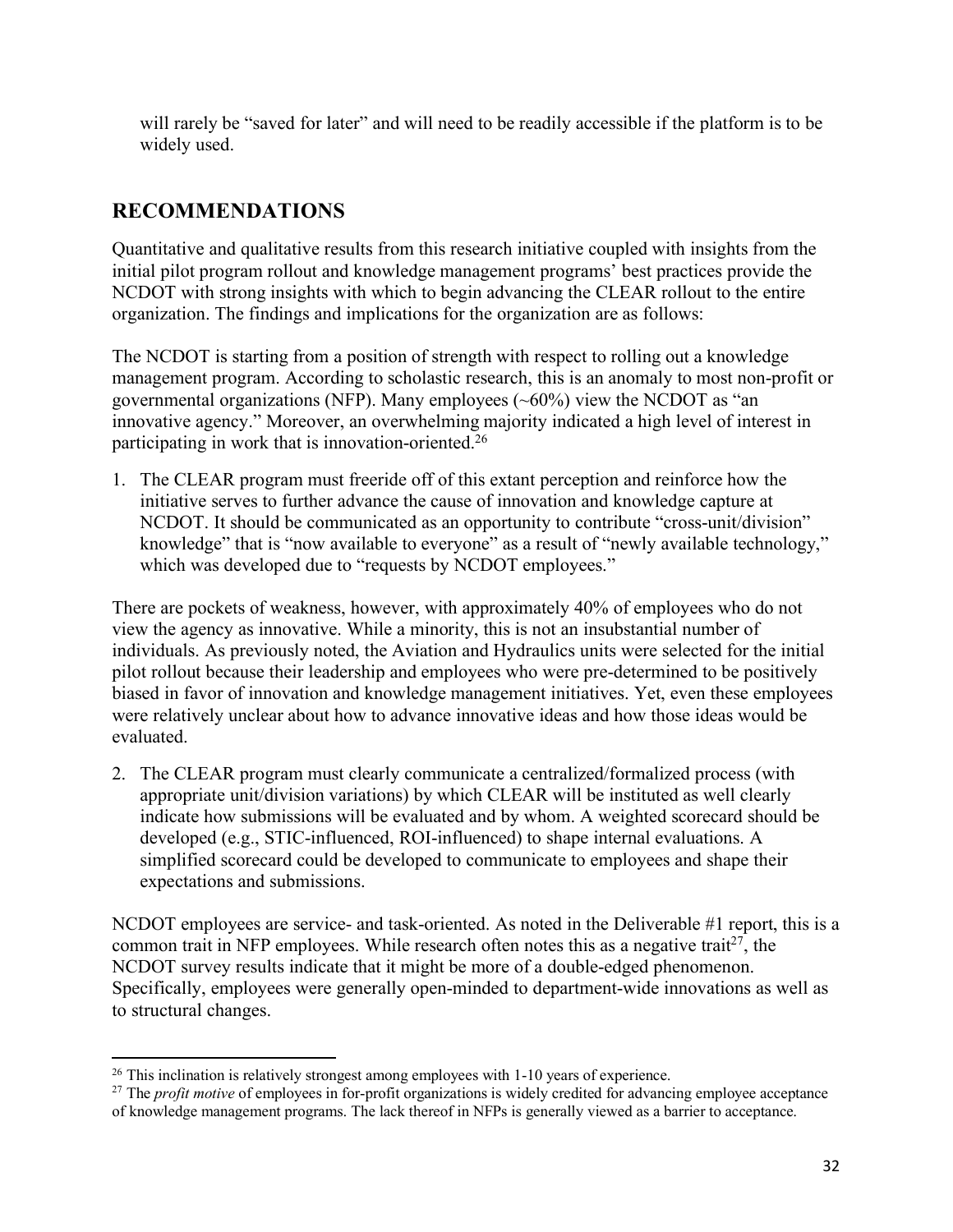will rarely be "saved for later" and will need to be readily accessible if the platform is to be widely used.

# **RECOMMENDATIONS**

Quantitative and qualitative results from this research initiative coupled with insights from the initial pilot program rollout and knowledge management programs' best practices provide the NCDOT with strong insights with which to begin advancing the CLEAR rollout to the entire organization. The findings and implications for the organization are as follows:

The NCDOT is starting from a position of strength with respect to rolling out a knowledge management program. According to scholastic research, this is an anomaly to most non-profit or governmental organizations (NFP). Many employees  $(\sim 60\%)$  view the NCDOT as "an innovative agency." Moreover, an overwhelming majority indicated a high level of interest in participating in work that is innovation-oriented.26

1. The CLEAR program must freeride off of this extant perception and reinforce how the initiative serves to further advance the cause of innovation and knowledge capture at NCDOT. It should be communicated as an opportunity to contribute "cross-unit/division" knowledge" that is "now available to everyone" as a result of "newly available technology," which was developed due to "requests by NCDOT employees."

There are pockets of weakness, however, with approximately 40% of employees who do not view the agency as innovative. While a minority, this is not an insubstantial number of individuals. As previously noted, the Aviation and Hydraulics units were selected for the initial pilot rollout because their leadership and employees who were pre-determined to be positively biased in favor of innovation and knowledge management initiatives. Yet, even these employees were relatively unclear about how to advance innovative ideas and how those ideas would be evaluated.

2. The CLEAR program must clearly communicate a centralized/formalized process (with appropriate unit/division variations) by which CLEAR will be instituted as well clearly indicate how submissions will be evaluated and by whom. A weighted scorecard should be developed (e.g., STIC-influenced, ROI-influenced) to shape internal evaluations. A simplified scorecard could be developed to communicate to employees and shape their expectations and submissions.

NCDOT employees are service- and task-oriented. As noted in the Deliverable #1 report, this is a common trait in NFP employees. While research often notes this as a negative trait<sup>27</sup>, the NCDOT survey results indicate that it might be more of a double-edged phenomenon. Specifically, employees were generally open-minded to department-wide innovations as well as to structural changes.

 $\overline{\phantom{a}}$ 

<sup>&</sup>lt;sup>26</sup> This inclination is relatively strongest among employees with 1-10 years of experience.

<sup>&</sup>lt;sup>27</sup> The *profit motive* of employees in for-profit organizations is widely credited for advancing employee acceptance of knowledge management programs. The lack thereof in NFPs is generally viewed as a barrier to acceptance.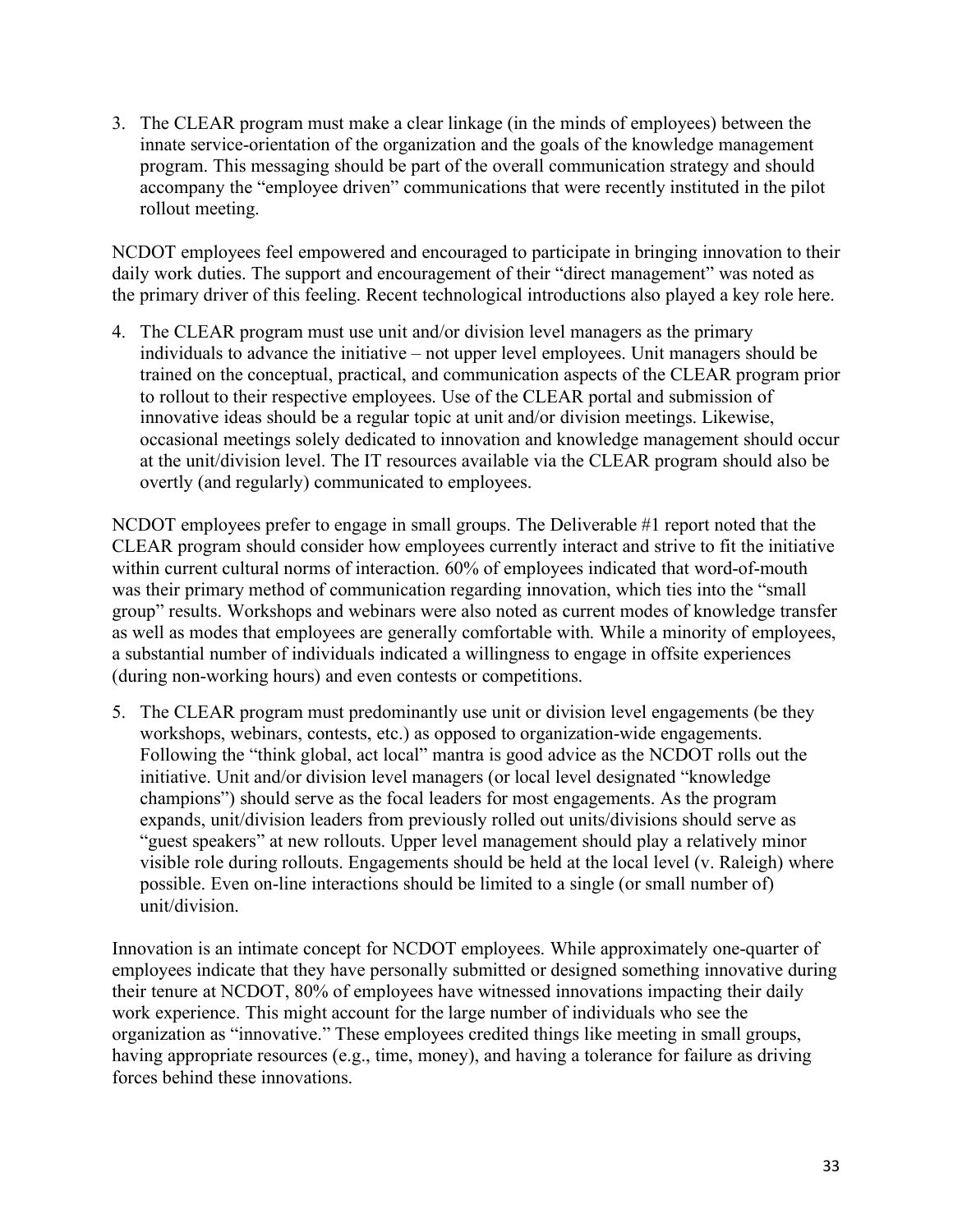3. The CLEAR program must make a clear linkage (in the minds of employees) between the innate service-orientation of the organization and the goals of the knowledge management program. This messaging should be part of the overall communication strategy and should accompany the "employee driven" communications that were recently instituted in the pilot rollout meeting.

NCDOT employees feel empowered and encouraged to participate in bringing innovation to their daily work duties. The support and encouragement of their "direct management" was noted as the primary driver of this feeling. Recent technological introductions also played a key role here.

4. The CLEAR program must use unit and/or division level managers as the primary individuals to advance the initiative – not upper level employees. Unit managers should be trained on the conceptual, practical, and communication aspects of the CLEAR program prior to rollout to their respective employees. Use of the CLEAR portal and submission of innovative ideas should be a regular topic at unit and/or division meetings. Likewise, occasional meetings solely dedicated to innovation and knowledge management should occur at the unit/division level. The IT resources available via the CLEAR program should also be overtly (and regularly) communicated to employees.

NCDOT employees prefer to engage in small groups. The Deliverable #1 report noted that the CLEAR program should consider how employees currently interact and strive to fit the initiative within current cultural norms of interaction. 60% of employees indicated that word-of-mouth was their primary method of communication regarding innovation, which ties into the "small group" results. Workshops and webinars were also noted as current modes of knowledge transfer as well as modes that employees are generally comfortable with. While a minority of employees, a substantial number of individuals indicated a willingness to engage in offsite experiences (during non-working hours) and even contests or competitions.

5. The CLEAR program must predominantly use unit or division level engagements (be they workshops, webinars, contests, etc.) as opposed to organization-wide engagements. Following the "think global, act local" mantra is good advice as the NCDOT rolls out the initiative. Unit and/or division level managers (or local level designated "knowledge champions") should serve as the focal leaders for most engagements. As the program expands, unit/division leaders from previously rolled out units/divisions should serve as "guest speakers" at new rollouts. Upper level management should play a relatively minor visible role during rollouts. Engagements should be held at the local level (v. Raleigh) where possible. Even on-line interactions should be limited to a single (or small number of) unit/division.

Innovation is an intimate concept for NCDOT employees. While approximately one-quarter of employees indicate that they have personally submitted or designed something innovative during their tenure at NCDOT, 80% of employees have witnessed innovations impacting their daily work experience. This might account for the large number of individuals who see the organization as "innovative." These employees credited things like meeting in small groups, having appropriate resources (e.g., time, money), and having a tolerance for failure as driving forces behind these innovations.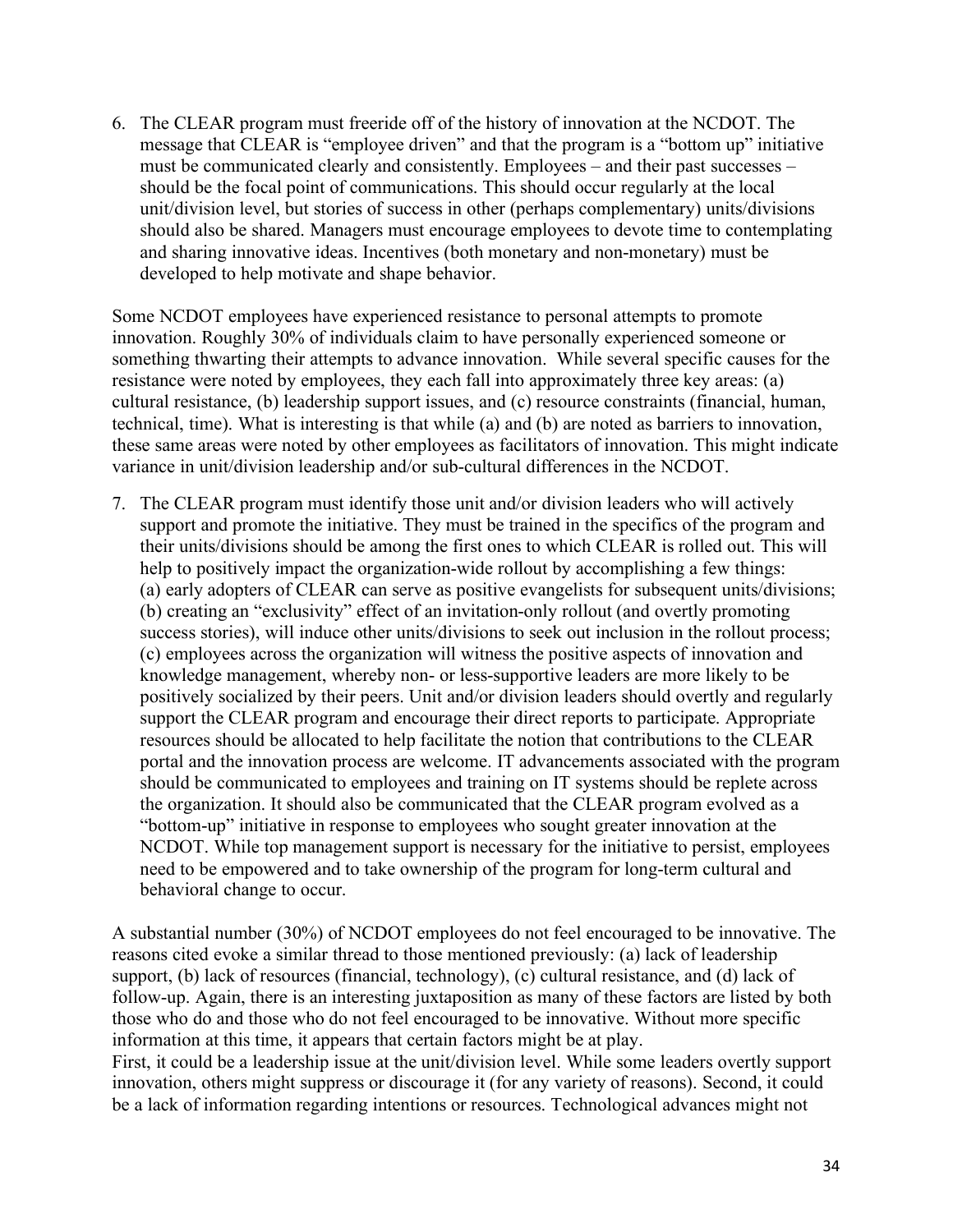6. The CLEAR program must freeride off of the history of innovation at the NCDOT. The message that CLEAR is "employee driven" and that the program is a "bottom up" initiative must be communicated clearly and consistently. Employees – and their past successes – should be the focal point of communications. This should occur regularly at the local unit/division level, but stories of success in other (perhaps complementary) units/divisions should also be shared. Managers must encourage employees to devote time to contemplating and sharing innovative ideas. Incentives (both monetary and non-monetary) must be developed to help motivate and shape behavior.

Some NCDOT employees have experienced resistance to personal attempts to promote innovation. Roughly 30% of individuals claim to have personally experienced someone or something thwarting their attempts to advance innovation. While several specific causes for the resistance were noted by employees, they each fall into approximately three key areas: (a) cultural resistance, (b) leadership support issues, and (c) resource constraints (financial, human, technical, time). What is interesting is that while (a) and (b) are noted as barriers to innovation, these same areas were noted by other employees as facilitators of innovation. This might indicate variance in unit/division leadership and/or sub-cultural differences in the NCDOT.

7. The CLEAR program must identify those unit and/or division leaders who will actively support and promote the initiative. They must be trained in the specifics of the program and their units/divisions should be among the first ones to which CLEAR is rolled out. This will help to positively impact the organization-wide rollout by accomplishing a few things: (a) early adopters of CLEAR can serve as positive evangelists for subsequent units/divisions; (b) creating an "exclusivity" effect of an invitation-only rollout (and overtly promoting success stories), will induce other units/divisions to seek out inclusion in the rollout process; (c) employees across the organization will witness the positive aspects of innovation and knowledge management, whereby non- or less-supportive leaders are more likely to be positively socialized by their peers. Unit and/or division leaders should overtly and regularly support the CLEAR program and encourage their direct reports to participate. Appropriate resources should be allocated to help facilitate the notion that contributions to the CLEAR portal and the innovation process are welcome. IT advancements associated with the program should be communicated to employees and training on IT systems should be replete across the organization. It should also be communicated that the CLEAR program evolved as a "bottom-up" initiative in response to employees who sought greater innovation at the NCDOT. While top management support is necessary for the initiative to persist, employees need to be empowered and to take ownership of the program for long-term cultural and behavioral change to occur.

A substantial number (30%) of NCDOT employees do not feel encouraged to be innovative. The reasons cited evoke a similar thread to those mentioned previously: (a) lack of leadership support, (b) lack of resources (financial, technology), (c) cultural resistance, and (d) lack of follow-up. Again, there is an interesting juxtaposition as many of these factors are listed by both those who do and those who do not feel encouraged to be innovative. Without more specific information at this time, it appears that certain factors might be at play. First, it could be a leadership issue at the unit/division level. While some leaders overtly support

innovation, others might suppress or discourage it (for any variety of reasons). Second, it could be a lack of information regarding intentions or resources. Technological advances might not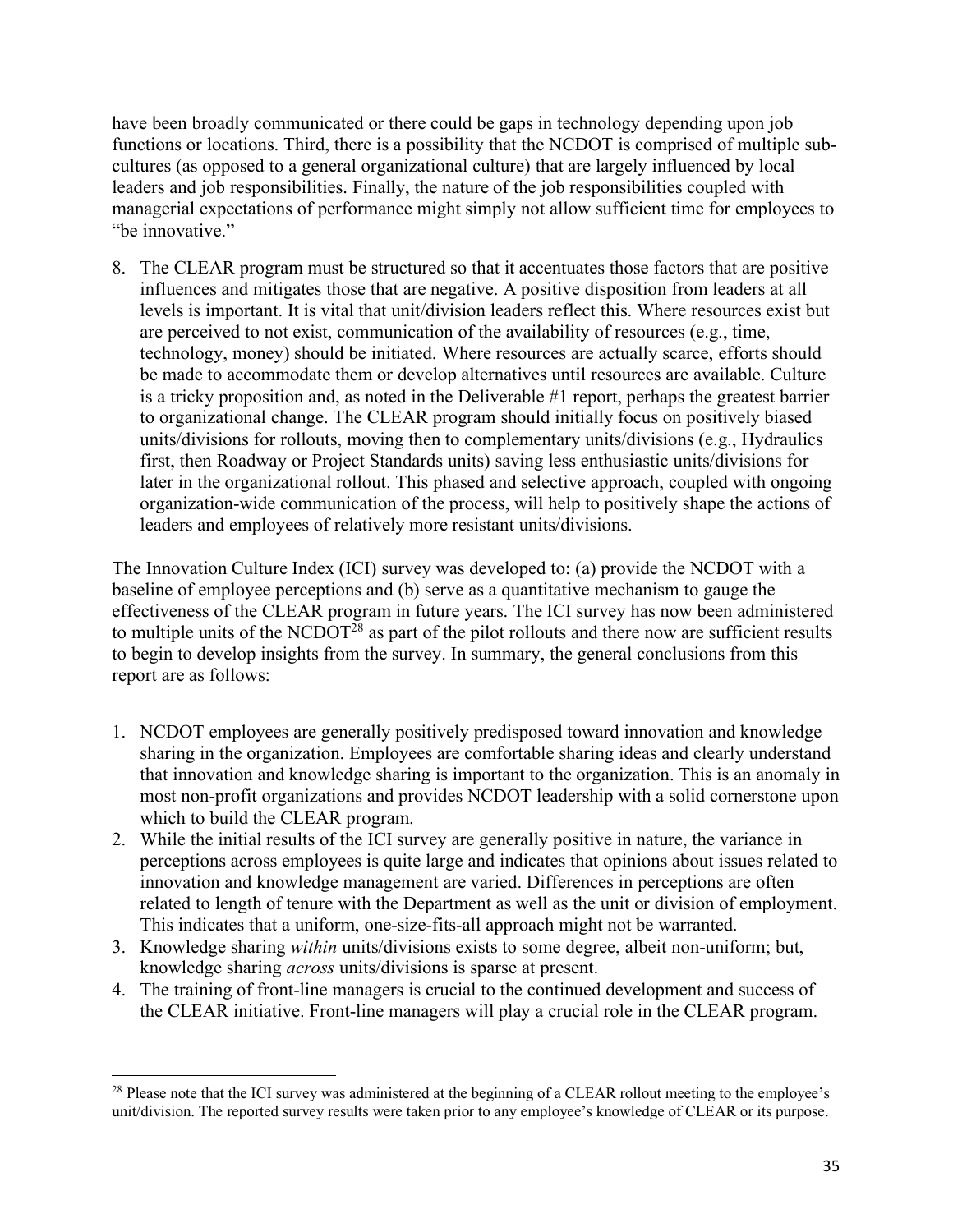have been broadly communicated or there could be gaps in technology depending upon job functions or locations. Third, there is a possibility that the NCDOT is comprised of multiple subcultures (as opposed to a general organizational culture) that are largely influenced by local leaders and job responsibilities. Finally, the nature of the job responsibilities coupled with managerial expectations of performance might simply not allow sufficient time for employees to "be innovative."

8. The CLEAR program must be structured so that it accentuates those factors that are positive influences and mitigates those that are negative. A positive disposition from leaders at all levels is important. It is vital that unit/division leaders reflect this. Where resources exist but are perceived to not exist, communication of the availability of resources (e.g., time, technology, money) should be initiated. Where resources are actually scarce, efforts should be made to accommodate them or develop alternatives until resources are available. Culture is a tricky proposition and, as noted in the Deliverable #1 report, perhaps the greatest barrier to organizational change. The CLEAR program should initially focus on positively biased units/divisions for rollouts, moving then to complementary units/divisions (e.g., Hydraulics first, then Roadway or Project Standards units) saving less enthusiastic units/divisions for later in the organizational rollout. This phased and selective approach, coupled with ongoing organization-wide communication of the process, will help to positively shape the actions of leaders and employees of relatively more resistant units/divisions.

The Innovation Culture Index (ICI) survey was developed to: (a) provide the NCDOT with a baseline of employee perceptions and (b) serve as a quantitative mechanism to gauge the effectiveness of the CLEAR program in future years. The ICI survey has now been administered to multiple units of the NCDOT<sup>28</sup> as part of the pilot rollouts and there now are sufficient results to begin to develop insights from the survey. In summary, the general conclusions from this report are as follows:

- 1. NCDOT employees are generally positively predisposed toward innovation and knowledge sharing in the organization. Employees are comfortable sharing ideas and clearly understand that innovation and knowledge sharing is important to the organization. This is an anomaly in most non-profit organizations and provides NCDOT leadership with a solid cornerstone upon which to build the CLEAR program.
- 2. While the initial results of the ICI survey are generally positive in nature, the variance in perceptions across employees is quite large and indicates that opinions about issues related to innovation and knowledge management are varied. Differences in perceptions are often related to length of tenure with the Department as well as the unit or division of employment. This indicates that a uniform, one-size-fits-all approach might not be warranted.
- 3. Knowledge sharing *within* units/divisions exists to some degree, albeit non-uniform; but, knowledge sharing *across* units/divisions is sparse at present.
- 4. The training of front-line managers is crucial to the continued development and success of the CLEAR initiative. Front-line managers will play a crucial role in the CLEAR program.

l

<sup>&</sup>lt;sup>28</sup> Please note that the ICI survey was administered at the beginning of a CLEAR rollout meeting to the employee's unit/division. The reported survey results were taken prior to any employee's knowledge of CLEAR or its purpose.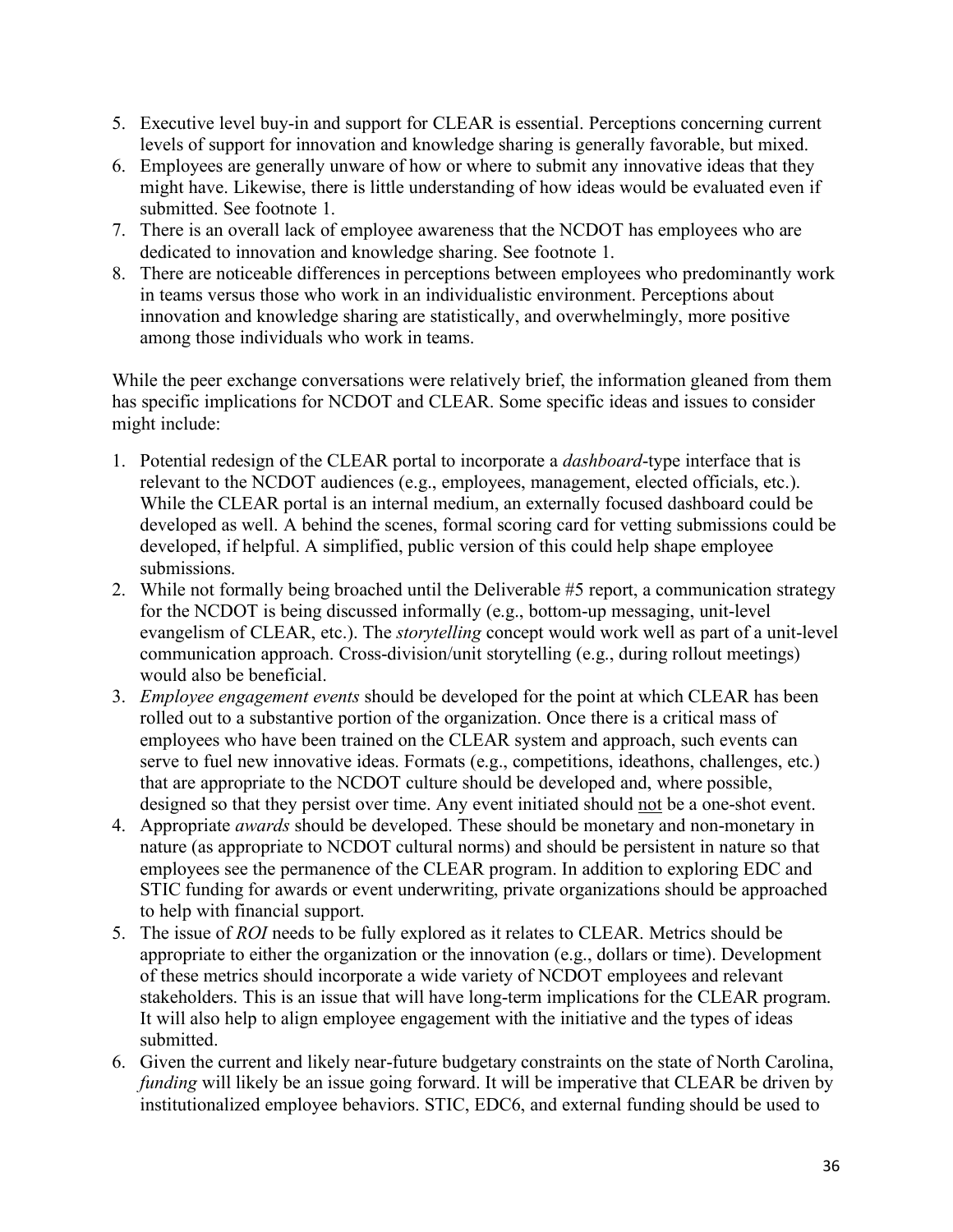- 5. Executive level buy-in and support for CLEAR is essential. Perceptions concerning current levels of support for innovation and knowledge sharing is generally favorable, but mixed.
- 6. Employees are generally unware of how or where to submit any innovative ideas that they might have. Likewise, there is little understanding of how ideas would be evaluated even if submitted. See footnote 1.
- 7. There is an overall lack of employee awareness that the NCDOT has employees who are dedicated to innovation and knowledge sharing. See footnote 1.
- 8. There are noticeable differences in perceptions between employees who predominantly work in teams versus those who work in an individualistic environment. Perceptions about innovation and knowledge sharing are statistically, and overwhelmingly, more positive among those individuals who work in teams.

While the peer exchange conversations were relatively brief, the information gleaned from them has specific implications for NCDOT and CLEAR. Some specific ideas and issues to consider might include:

- 1. Potential redesign of the CLEAR portal to incorporate a *dashboard*-type interface that is relevant to the NCDOT audiences (e.g., employees, management, elected officials, etc.). While the CLEAR portal is an internal medium, an externally focused dashboard could be developed as well. A behind the scenes, formal scoring card for vetting submissions could be developed, if helpful. A simplified, public version of this could help shape employee submissions.
- 2. While not formally being broached until the Deliverable #5 report, a communication strategy for the NCDOT is being discussed informally (e.g., bottom-up messaging, unit-level evangelism of CLEAR, etc.). The *storytelling* concept would work well as part of a unit-level communication approach. Cross-division/unit storytelling (e.g., during rollout meetings) would also be beneficial.
- 3. *Employee engagement events* should be developed for the point at which CLEAR has been rolled out to a substantive portion of the organization. Once there is a critical mass of employees who have been trained on the CLEAR system and approach, such events can serve to fuel new innovative ideas. Formats (e.g., competitions, ideathons, challenges, etc.) that are appropriate to the NCDOT culture should be developed and, where possible, designed so that they persist over time. Any event initiated should not be a one-shot event.
- 4. Appropriate *awards* should be developed. These should be monetary and non-monetary in nature (as appropriate to NCDOT cultural norms) and should be persistent in nature so that employees see the permanence of the CLEAR program. In addition to exploring EDC and STIC funding for awards or event underwriting, private organizations should be approached to help with financial support.
- 5. The issue of *ROI* needs to be fully explored as it relates to CLEAR. Metrics should be appropriate to either the organization or the innovation (e.g., dollars or time). Development of these metrics should incorporate a wide variety of NCDOT employees and relevant stakeholders. This is an issue that will have long-term implications for the CLEAR program. It will also help to align employee engagement with the initiative and the types of ideas submitted.
- 6. Given the current and likely near-future budgetary constraints on the state of North Carolina, *funding* will likely be an issue going forward. It will be imperative that CLEAR be driven by institutionalized employee behaviors. STIC, EDC6, and external funding should be used to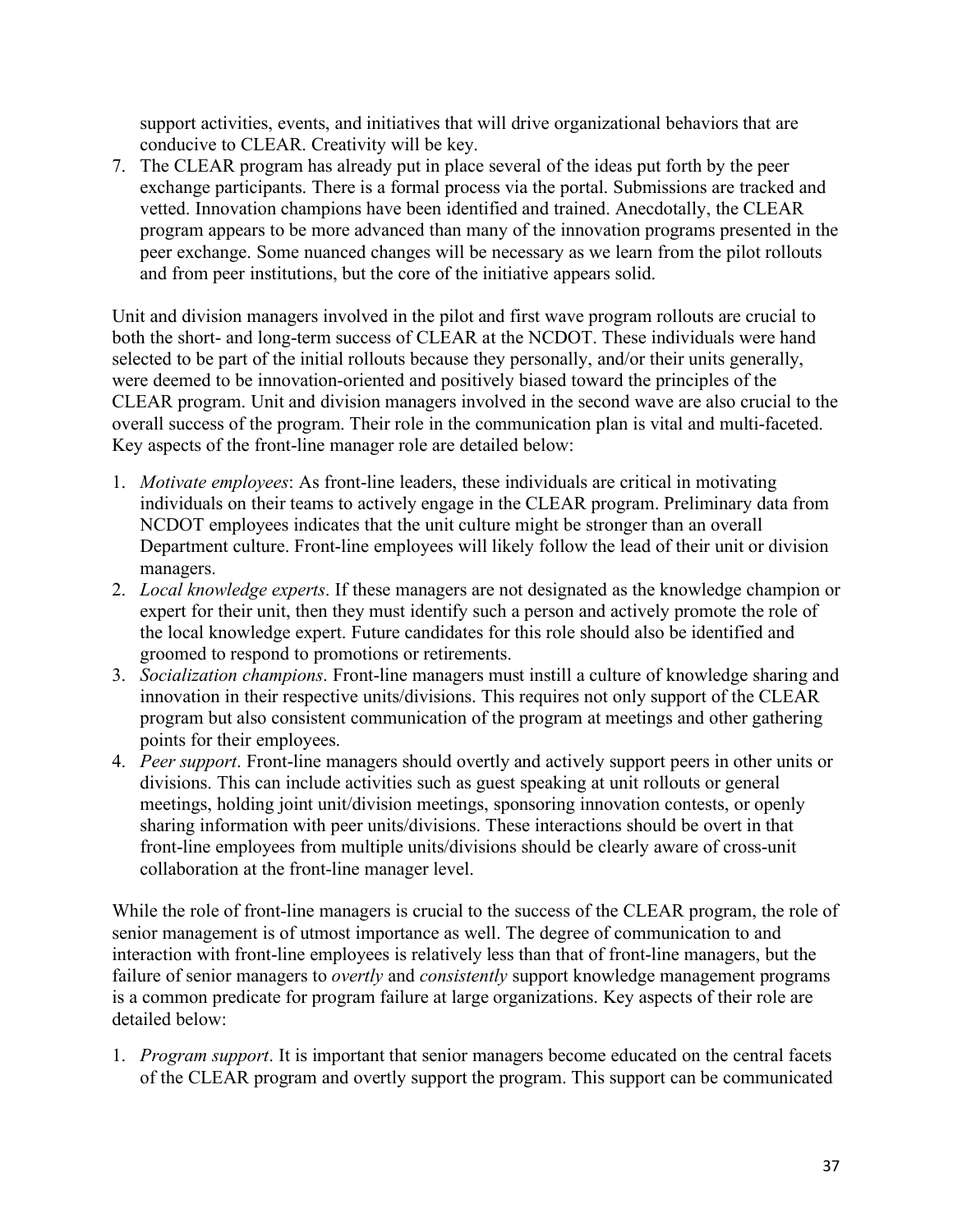support activities, events, and initiatives that will drive organizational behaviors that are conducive to CLEAR. Creativity will be key.

7. The CLEAR program has already put in place several of the ideas put forth by the peer exchange participants. There is a formal process via the portal. Submissions are tracked and vetted. Innovation champions have been identified and trained. Anecdotally, the CLEAR program appears to be more advanced than many of the innovation programs presented in the peer exchange. Some nuanced changes will be necessary as we learn from the pilot rollouts and from peer institutions, but the core of the initiative appears solid.

Unit and division managers involved in the pilot and first wave program rollouts are crucial to both the short- and long-term success of CLEAR at the NCDOT. These individuals were hand selected to be part of the initial rollouts because they personally, and/or their units generally, were deemed to be innovation-oriented and positively biased toward the principles of the CLEAR program. Unit and division managers involved in the second wave are also crucial to the overall success of the program. Their role in the communication plan is vital and multi-faceted. Key aspects of the front-line manager role are detailed below:

- 1. *Motivate employees*: As front-line leaders, these individuals are critical in motivating individuals on their teams to actively engage in the CLEAR program. Preliminary data from NCDOT employees indicates that the unit culture might be stronger than an overall Department culture. Front-line employees will likely follow the lead of their unit or division managers.
- 2. *Local knowledge experts*. If these managers are not designated as the knowledge champion or expert for their unit, then they must identify such a person and actively promote the role of the local knowledge expert. Future candidates for this role should also be identified and groomed to respond to promotions or retirements.
- 3. *Socialization champions*. Front-line managers must instill a culture of knowledge sharing and innovation in their respective units/divisions. This requires not only support of the CLEAR program but also consistent communication of the program at meetings and other gathering points for their employees.
- 4. *Peer support*. Front-line managers should overtly and actively support peers in other units or divisions. This can include activities such as guest speaking at unit rollouts or general meetings, holding joint unit/division meetings, sponsoring innovation contests, or openly sharing information with peer units/divisions. These interactions should be overt in that front-line employees from multiple units/divisions should be clearly aware of cross-unit collaboration at the front-line manager level.

While the role of front-line managers is crucial to the success of the CLEAR program, the role of senior management is of utmost importance as well. The degree of communication to and interaction with front-line employees is relatively less than that of front-line managers, but the failure of senior managers to *overtly* and *consistently* support knowledge management programs is a common predicate for program failure at large organizations. Key aspects of their role are detailed below:

1. *Program support*. It is important that senior managers become educated on the central facets of the CLEAR program and overtly support the program. This support can be communicated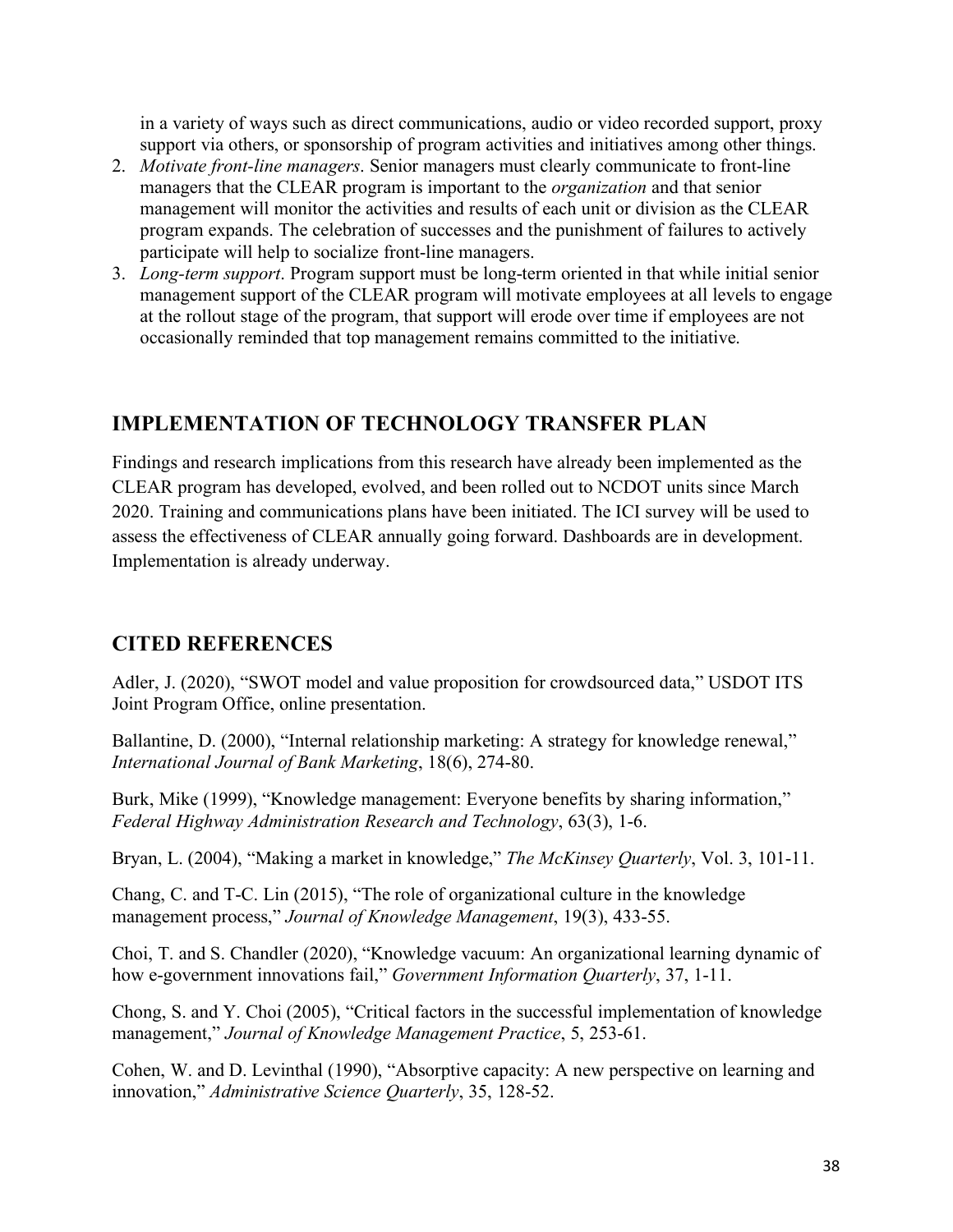in a variety of ways such as direct communications, audio or video recorded support, proxy support via others, or sponsorship of program activities and initiatives among other things.

- 2. *Motivate front-line managers*. Senior managers must clearly communicate to front-line managers that the CLEAR program is important to the *organization* and that senior management will monitor the activities and results of each unit or division as the CLEAR program expands. The celebration of successes and the punishment of failures to actively participate will help to socialize front-line managers.
- 3. *Long-term support*. Program support must be long-term oriented in that while initial senior management support of the CLEAR program will motivate employees at all levels to engage at the rollout stage of the program, that support will erode over time if employees are not occasionally reminded that top management remains committed to the initiative.

# **IMPLEMENTATION OF TECHNOLOGY TRANSFER PLAN**

Findings and research implications from this research have already been implemented as the CLEAR program has developed, evolved, and been rolled out to NCDOT units since March 2020. Training and communications plans have been initiated. The ICI survey will be used to assess the effectiveness of CLEAR annually going forward. Dashboards are in development. Implementation is already underway.

## **CITED REFERENCES**

Adler, J. (2020), "SWOT model and value proposition for crowdsourced data," USDOT ITS Joint Program Office, online presentation.

Ballantine, D. (2000), "Internal relationship marketing: A strategy for knowledge renewal," *International Journal of Bank Marketing*, 18(6), 274-80.

Burk, Mike (1999), "Knowledge management: Everyone benefits by sharing information," *Federal Highway Administration Research and Technology*, 63(3), 1-6.

Bryan, L. (2004), "Making a market in knowledge," *The McKinsey Quarterly*, Vol. 3, 101-11.

Chang, C. and T-C. Lin (2015), "The role of organizational culture in the knowledge management process," *Journal of Knowledge Management*, 19(3), 433-55.

Choi, T. and S. Chandler (2020), "Knowledge vacuum: An organizational learning dynamic of how e-government innovations fail," *Government Information Quarterly*, 37, 1-11.

Chong, S. and Y. Choi (2005), "Critical factors in the successful implementation of knowledge management," *Journal of Knowledge Management Practice*, 5, 253-61.

Cohen, W. and D. Levinthal (1990), "Absorptive capacity: A new perspective on learning and innovation," *Administrative Science Quarterly*, 35, 128-52.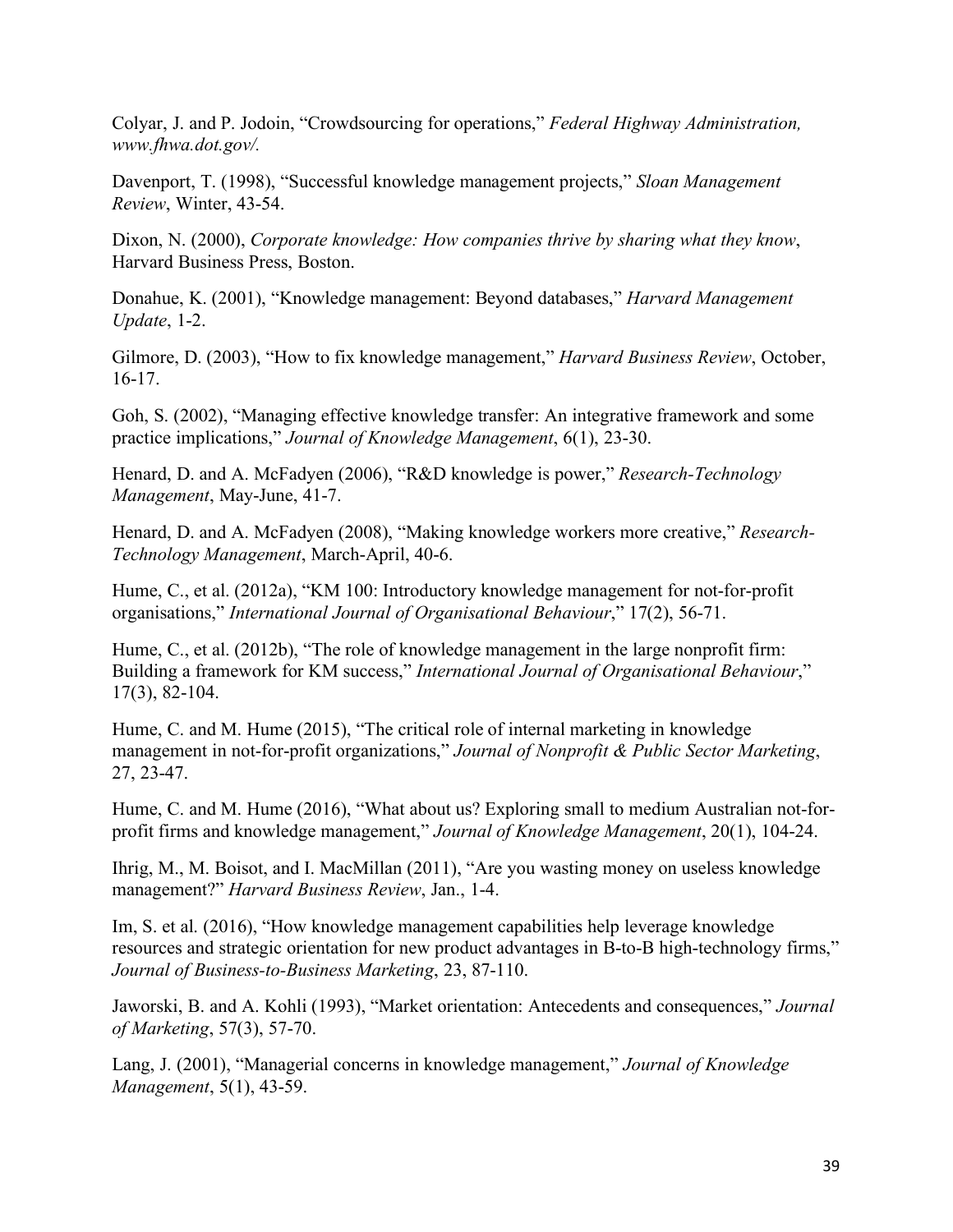Colyar, J. and P. Jodoin, "Crowdsourcing for operations," *Federal Highway Administration, www.fhwa.dot.gov/.*

Davenport, T. (1998), "Successful knowledge management projects," *Sloan Management Review*, Winter, 43-54.

Dixon, N. (2000), *Corporate knowledge: How companies thrive by sharing what they know*, Harvard Business Press, Boston.

Donahue, K. (2001), "Knowledge management: Beyond databases," *Harvard Management Update*, 1-2.

Gilmore, D. (2003), "How to fix knowledge management," *Harvard Business Review*, October, 16-17.

Goh, S. (2002), "Managing effective knowledge transfer: An integrative framework and some practice implications," *Journal of Knowledge Management*, 6(1), 23-30.

Henard, D. and A. McFadyen (2006), "R&D knowledge is power," *Research-Technology Management*, May-June, 41-7.

Henard, D. and A. McFadyen (2008), "Making knowledge workers more creative," *Research-Technology Management*, March-April, 40-6.

Hume, C., et al. (2012a), "KM 100: Introductory knowledge management for not-for-profit organisations," *International Journal of Organisational Behaviour*," 17(2), 56-71.

Hume, C., et al. (2012b), "The role of knowledge management in the large nonprofit firm: Building a framework for KM success," *International Journal of Organisational Behaviour*," 17(3), 82-104.

Hume, C. and M. Hume (2015), "The critical role of internal marketing in knowledge management in not-for-profit organizations," *Journal of Nonprofit & Public Sector Marketing*, 27, 23-47.

Hume, C. and M. Hume (2016), "What about us? Exploring small to medium Australian not-forprofit firms and knowledge management," *Journal of Knowledge Management*, 20(1), 104-24.

Ihrig, M., M. Boisot, and I. MacMillan (2011), "Are you wasting money on useless knowledge management?" *Harvard Business Review*, Jan., 1-4.

Im, S. et al. (2016), "How knowledge management capabilities help leverage knowledge resources and strategic orientation for new product advantages in B-to-B high-technology firms," *Journal of Business-to-Business Marketing*, 23, 87-110.

Jaworski, B. and A. Kohli (1993), "Market orientation: Antecedents and consequences," *Journal of Marketing*, 57(3), 57-70.

Lang, J. (2001), "Managerial concerns in knowledge management," *Journal of Knowledge Management*, 5(1), 43-59.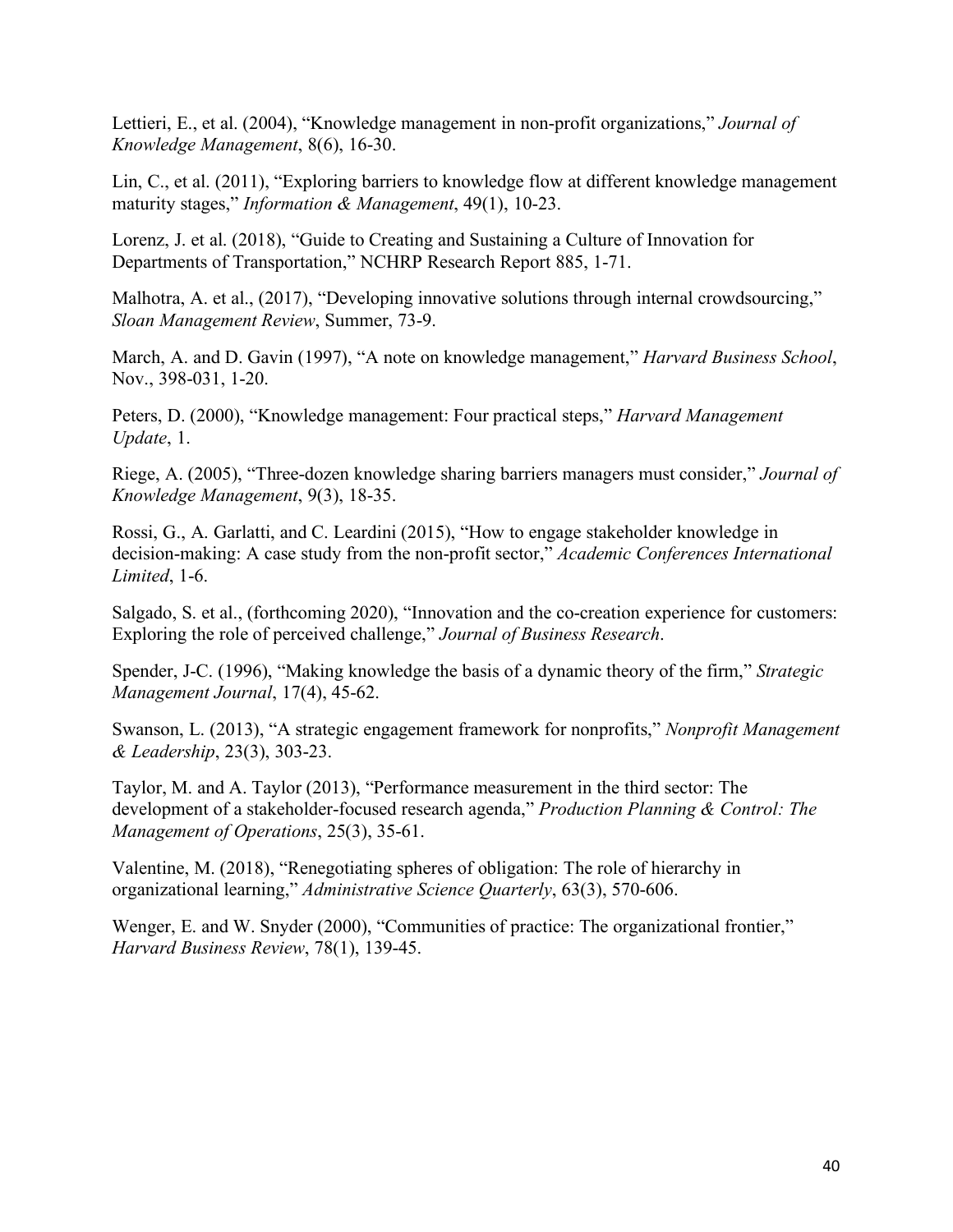Lettieri, E., et al. (2004), "Knowledge management in non-profit organizations," *Journal of Knowledge Management*, 8(6), 16-30.

Lin, C., et al. (2011), "Exploring barriers to knowledge flow at different knowledge management maturity stages," *Information & Management*, 49(1), 10-23.

Lorenz, J. et al. (2018), "Guide to Creating and Sustaining a Culture of Innovation for Departments of Transportation," NCHRP Research Report 885, 1-71.

Malhotra, A. et al., (2017), "Developing innovative solutions through internal crowdsourcing," *Sloan Management Review*, Summer, 73-9.

March, A. and D. Gavin (1997), "A note on knowledge management," *Harvard Business School*, Nov., 398-031, 1-20.

Peters, D. (2000), "Knowledge management: Four practical steps," *Harvard Management Update*, 1.

Riege, A. (2005), "Three-dozen knowledge sharing barriers managers must consider," *Journal of Knowledge Management*, 9(3), 18-35.

Rossi, G., A. Garlatti, and C. Leardini (2015), "How to engage stakeholder knowledge in decision-making: A case study from the non-profit sector," *Academic Conferences International Limited*, 1-6.

Salgado, S. et al., (forthcoming 2020), "Innovation and the co-creation experience for customers: Exploring the role of perceived challenge," *Journal of Business Research*.

Spender, J-C. (1996), "Making knowledge the basis of a dynamic theory of the firm," *Strategic Management Journal*, 17(4), 45-62.

Swanson, L. (2013), "A strategic engagement framework for nonprofits," *Nonprofit Management & Leadership*, 23(3), 303-23.

Taylor, M. and A. Taylor (2013), "Performance measurement in the third sector: The development of a stakeholder-focused research agenda," *Production Planning & Control: The Management of Operations*, 25(3), 35-61.

Valentine, M. (2018), "Renegotiating spheres of obligation: The role of hierarchy in organizational learning," *Administrative Science Quarterly*, 63(3), 570-606.

Wenger, E. and W. Snyder (2000), "Communities of practice: The organizational frontier," *Harvard Business Review*, 78(1), 139-45.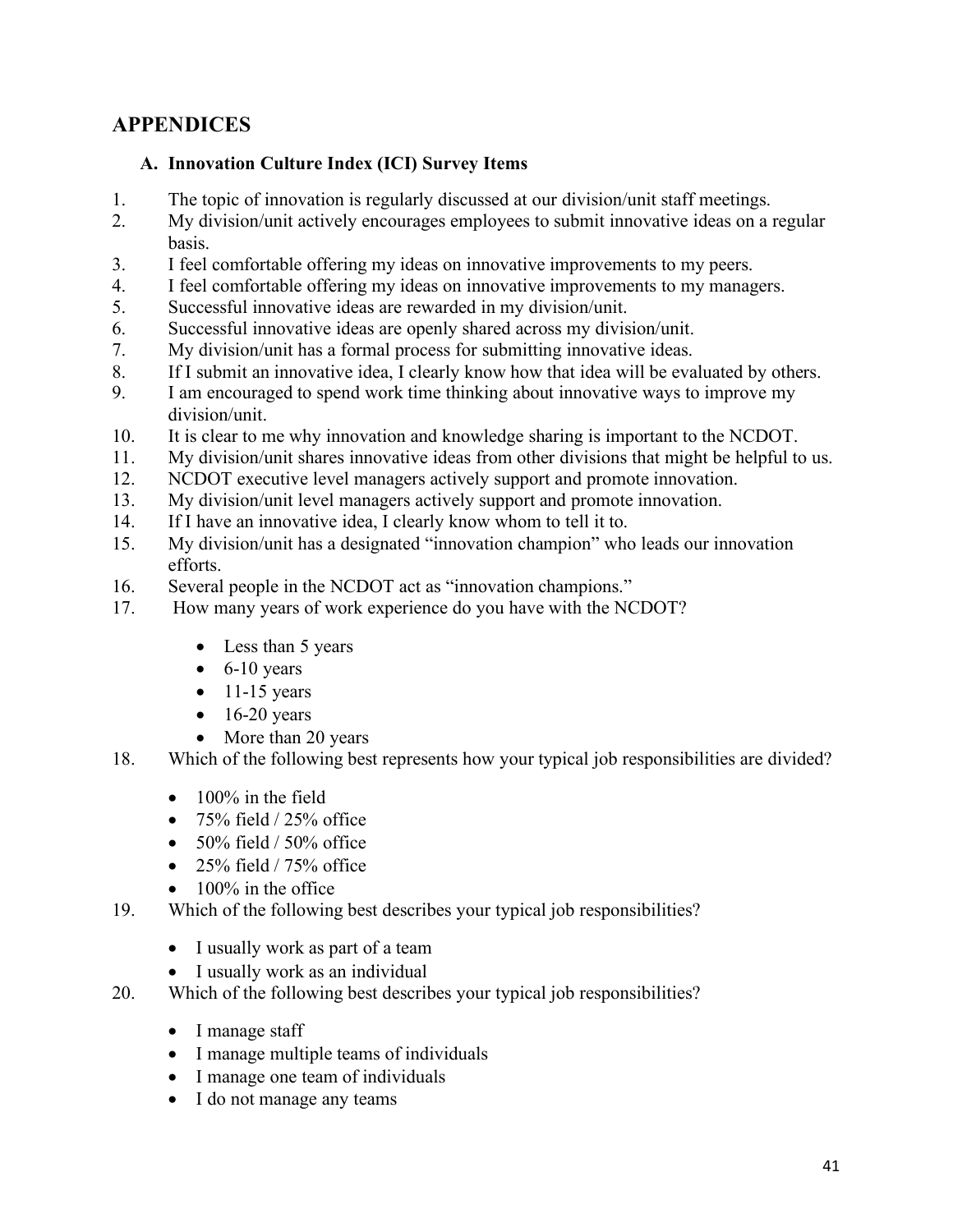# **APPENDICES**

#### **A. Innovation Culture Index (ICI) Survey Items**

- 1. The topic of innovation is regularly discussed at our division/unit staff meetings.
- 2. My division/unit actively encourages employees to submit innovative ideas on a regular basis.
- 3. I feel comfortable offering my ideas on innovative improvements to my peers.
- 4. I feel comfortable offering my ideas on innovative improvements to my managers.
- 5. Successful innovative ideas are rewarded in my division/unit.
- 6. Successful innovative ideas are openly shared across my division/unit.
- 7. My division/unit has a formal process for submitting innovative ideas.
- 8. If I submit an innovative idea, I clearly know how that idea will be evaluated by others.
- 9. I am encouraged to spend work time thinking about innovative ways to improve my division/unit.
- 10. It is clear to me why innovation and knowledge sharing is important to the NCDOT.
- 11. My division/unit shares innovative ideas from other divisions that might be helpful to us.
- 12. NCDOT executive level managers actively support and promote innovation.
- 13. My division/unit level managers actively support and promote innovation.
- 14. If I have an innovative idea, I clearly know whom to tell it to.
- 15. My division/unit has a designated "innovation champion" who leads our innovation efforts.
- 16. Several people in the NCDOT act as "innovation champions."
- 17. How many years of work experience do you have with the NCDOT?
	- Less than 5 years
	- $\bullet$  6-10 years
	- $\bullet$  11-15 years
	- $\bullet$  16-20 years
	- More than 20 years
- 18. Which of the following best represents how your typical job responsibilities are divided?
	- 100% in the field
	- $75\%$  field  $/25\%$  office
	- $50\%$  field /  $50\%$  office
	- 25% field  $/ 75%$  office
	- 100% in the office
- 19. Which of the following best describes your typical job responsibilities?
	- I usually work as part of a team
	- I usually work as an individual
- 20. Which of the following best describes your typical job responsibilities?
	- I manage staff
	- I manage multiple teams of individuals
	- I manage one team of individuals
	- I do not manage any teams